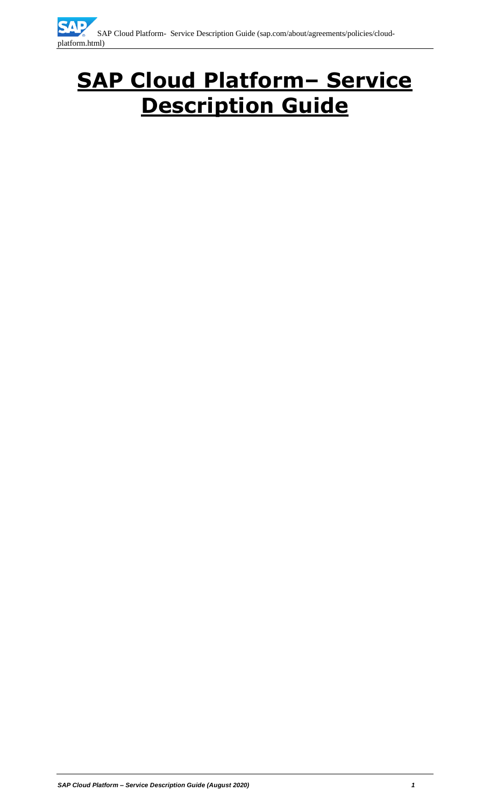# **SAP Cloud Platform– Service Description Guide**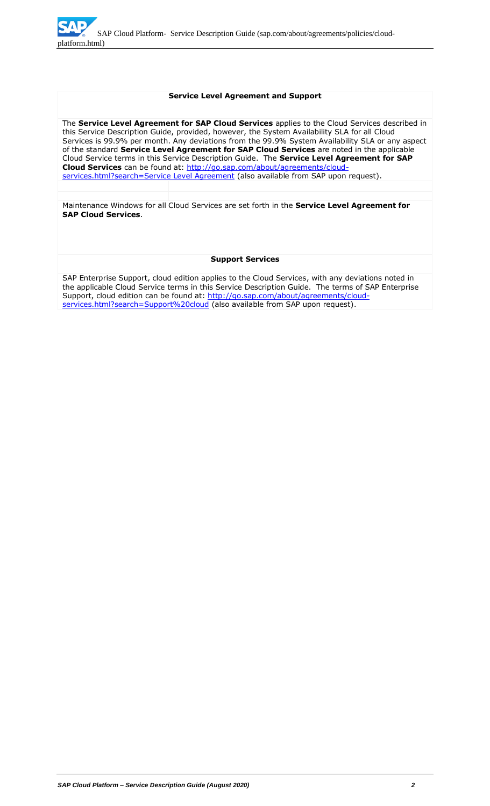

#### **Service Level Agreement and Support**

The **Service Level Agreement for SAP Cloud Services** applies to the Cloud Services described in this Service Description Guide, provided, however, the System Availability SLA for all Cloud Services is 99.9% per month. Any deviations from the 99.9% System Availability SLA or any aspect of the standard **Service Level Agreement for SAP Cloud Services** are noted in the applicable Cloud Service terms in this Service Description Guide. The **Service Level Agreement for SAP Cloud Services** can be found at: [http://go.sap.com/about/agreements/cloud](http://go.sap.com/about/agreements/cloud-services.html?search=Service%20Level%20Agreement)[services.html?search=Service Level Agreement](http://go.sap.com/about/agreements/cloud-services.html?search=Service%20Level%20Agreement) (also available from SAP upon request).

Maintenance Windows for all Cloud Services are set forth in the **Service Level Agreement for SAP Cloud Services**.

#### **Support Services**

SAP Enterprise Support, cloud edition applies to the Cloud Services, with any deviations noted in the applicable Cloud Service terms in this Service Description Guide. The terms of SAP Enterprise Support, cloud edition can be found at: [http://go.sap.com/about/agreements/cloud](http://go.sap.com/about/agreements/cloud-services.html?search=Support%20cloud)[services.html?search=Support%20cloud](http://go.sap.com/about/agreements/cloud-services.html?search=Support%20cloud) (also available from SAP upon request).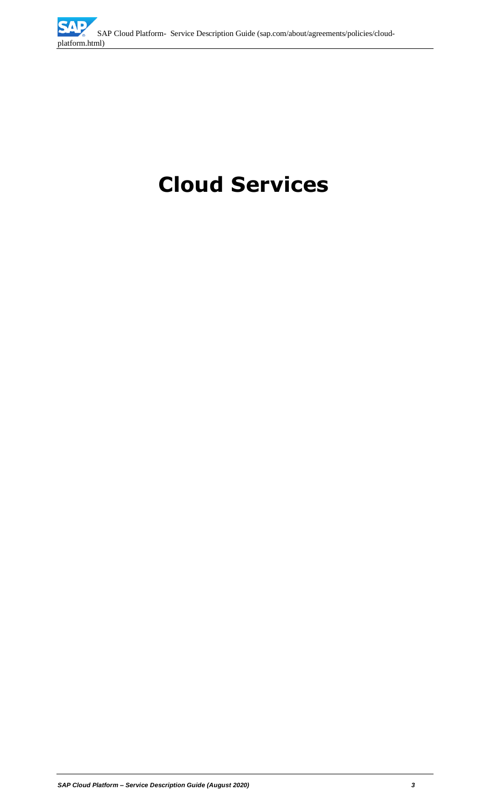

# **Cloud Services**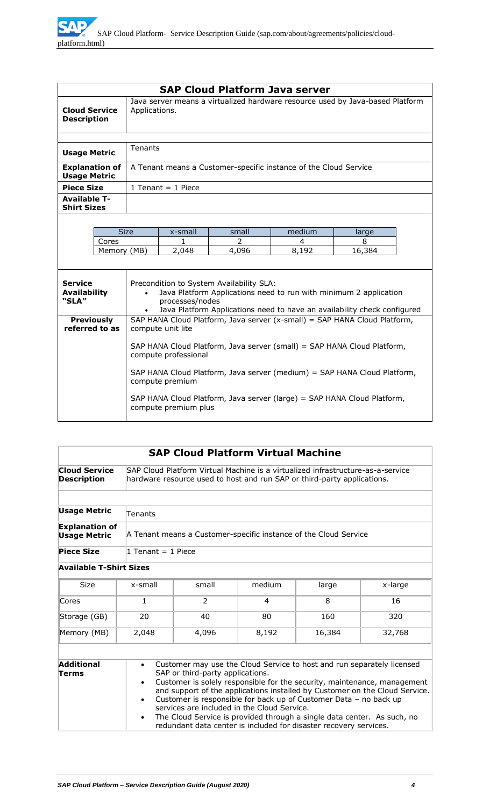|                                                | <b>SAP Cloud Platform Java server</b>                                                                                                                                                                                                                                                                                  |                                                                                                                                                                                                              |                                                                  |        |             |
|------------------------------------------------|------------------------------------------------------------------------------------------------------------------------------------------------------------------------------------------------------------------------------------------------------------------------------------------------------------------------|--------------------------------------------------------------------------------------------------------------------------------------------------------------------------------------------------------------|------------------------------------------------------------------|--------|-------------|
| <b>Cloud Service</b><br><b>Description</b>     |                                                                                                                                                                                                                                                                                                                        | Java server means a virtualized hardware resource used by Java-based Platform<br>Applications.                                                                                                               |                                                                  |        |             |
|                                                |                                                                                                                                                                                                                                                                                                                        |                                                                                                                                                                                                              |                                                                  |        |             |
| <b>Usage Metric</b>                            | <b>Tenants</b>                                                                                                                                                                                                                                                                                                         |                                                                                                                                                                                                              |                                                                  |        |             |
| <b>Explanation of</b><br><b>Usage Metric</b>   |                                                                                                                                                                                                                                                                                                                        |                                                                                                                                                                                                              | A Tenant means a Customer-specific instance of the Cloud Service |        |             |
| <b>Piece Size</b>                              |                                                                                                                                                                                                                                                                                                                        | 1 Tenant = $1$ Piece                                                                                                                                                                                         |                                                                  |        |             |
| <b>Available T-</b><br><b>Shirt Sizes</b>      |                                                                                                                                                                                                                                                                                                                        |                                                                                                                                                                                                              |                                                                  |        |             |
|                                                |                                                                                                                                                                                                                                                                                                                        |                                                                                                                                                                                                              |                                                                  |        |             |
|                                                | <b>Size</b>                                                                                                                                                                                                                                                                                                            | x-small                                                                                                                                                                                                      | small                                                            | medium | large       |
| Cores                                          |                                                                                                                                                                                                                                                                                                                        | 1.                                                                                                                                                                                                           | 2<br>4,096                                                       | 4      | 8<br>16,384 |
| Memory (MB)                                    |                                                                                                                                                                                                                                                                                                                        | 2,048                                                                                                                                                                                                        |                                                                  | 8,192  |             |
| <b>Service</b><br><b>Availability</b><br>"SLA" |                                                                                                                                                                                                                                                                                                                        | Precondition to System Availability SLA:<br>Java Platform Applications need to run with minimum 2 application<br>processes/nodes<br>Java Platform Applications need to have an availability check configured |                                                                  |        |             |
| <b>Previously</b><br>referred to as            |                                                                                                                                                                                                                                                                                                                        | SAP HANA Cloud Platform, Java server (x-small) = SAP HANA Cloud Platform,                                                                                                                                    |                                                                  |        |             |
|                                                | compute unit lite<br>SAP HANA Cloud Platform, Java server (small) = SAP HANA Cloud Platform,<br>compute professional<br>SAP HANA Cloud Platform, Java server (medium) = SAP HANA Cloud Platform,<br>compute premium<br>SAP HANA Cloud Platform, Java server (large) = SAP HANA Cloud Platform,<br>compute premium plus |                                                                                                                                                                                                              |                                                                  |        |             |

|                                              |                                     | <b>SAP Cloud Platform Virtual Machine</b>                                                                                                                                                                                                                                                                                                                                                                                                                                                                                                 |        |        |         |  |
|----------------------------------------------|-------------------------------------|-------------------------------------------------------------------------------------------------------------------------------------------------------------------------------------------------------------------------------------------------------------------------------------------------------------------------------------------------------------------------------------------------------------------------------------------------------------------------------------------------------------------------------------------|--------|--------|---------|--|
| <b>Cloud Service</b><br><b>Description</b>   |                                     | SAP Cloud Platform Virtual Machine is a virtualized infrastructure-as-a-service<br>hardware resource used to host and run SAP or third-party applications.                                                                                                                                                                                                                                                                                                                                                                                |        |        |         |  |
|                                              |                                     |                                                                                                                                                                                                                                                                                                                                                                                                                                                                                                                                           |        |        |         |  |
| <b>Usage Metric</b>                          | Tenants                             |                                                                                                                                                                                                                                                                                                                                                                                                                                                                                                                                           |        |        |         |  |
| <b>Explanation of</b><br><b>Usage Metric</b> |                                     | A Tenant means a Customer-specific instance of the Cloud Service                                                                                                                                                                                                                                                                                                                                                                                                                                                                          |        |        |         |  |
| <b>Piece Size</b>                            | 1 Tenant = 1 Piece                  |                                                                                                                                                                                                                                                                                                                                                                                                                                                                                                                                           |        |        |         |  |
| <b>Available T-Shirt Sizes</b>               |                                     |                                                                                                                                                                                                                                                                                                                                                                                                                                                                                                                                           |        |        |         |  |
| <b>Size</b>                                  | x-small                             | small                                                                                                                                                                                                                                                                                                                                                                                                                                                                                                                                     | medium | large  | x-large |  |
| Cores                                        | $\mathbf{1}$                        | $\overline{2}$                                                                                                                                                                                                                                                                                                                                                                                                                                                                                                                            | 4      | 8      | 16      |  |
| Storage (GB)                                 | 20                                  | 40                                                                                                                                                                                                                                                                                                                                                                                                                                                                                                                                        | 80     | 160    | 320     |  |
| Memory (MB)                                  | 2,048                               | 4,096                                                                                                                                                                                                                                                                                                                                                                                                                                                                                                                                     | 8,192  | 16,384 | 32,768  |  |
|                                              |                                     |                                                                                                                                                                                                                                                                                                                                                                                                                                                                                                                                           |        |        |         |  |
| <b>Additional</b><br>Terms                   | $\bullet$<br>$\bullet$<br>$\bullet$ | Customer may use the Cloud Service to host and run separately licensed<br>SAP or third-party applications.<br>Customer is solely responsible for the security, maintenance, management<br>and support of the applications installed by Customer on the Cloud Service.<br>Customer is responsible for back up of Customer Data - no back up<br>services are included in the Cloud Service.<br>The Cloud Service is provided through a single data center. As such, no<br>redundant data center is included for disaster recovery services. |        |        |         |  |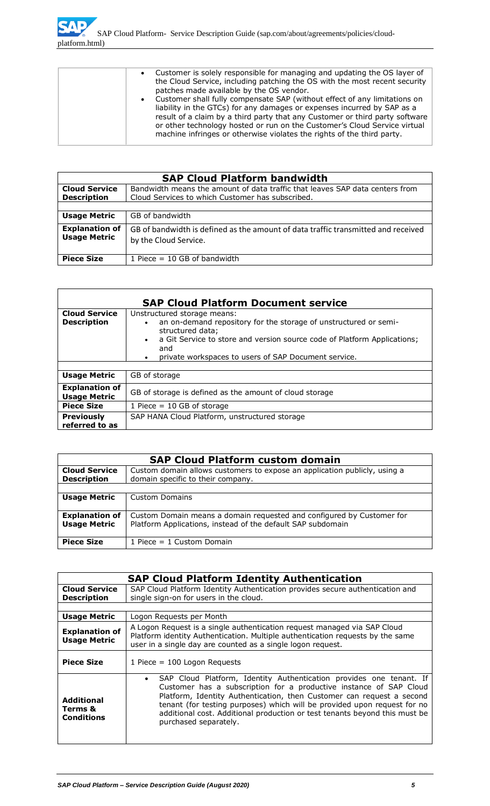| Customer is solely responsible for managing and updating the OS layer of<br>the Cloud Service, including patching the OS with the most recent security<br>patches made available by the OS vendor.<br>• Customer shall fully compensate SAP (without effect of any limitations on<br>liability in the GTCs) for any damages or expenses incurred by SAP as a<br>result of a claim by a third party that any Customer or third party software<br>or other technology hosted or run on the Customer's Cloud Service virtual<br>machine infringes or otherwise violates the rights of the third party. |
|-----------------------------------------------------------------------------------------------------------------------------------------------------------------------------------------------------------------------------------------------------------------------------------------------------------------------------------------------------------------------------------------------------------------------------------------------------------------------------------------------------------------------------------------------------------------------------------------------------|
|                                                                                                                                                                                                                                                                                                                                                                                                                                                                                                                                                                                                     |

|                                              | <b>SAP Cloud Platform bandwidth</b>                                                                                              |  |
|----------------------------------------------|----------------------------------------------------------------------------------------------------------------------------------|--|
| <b>Cloud Service</b><br><b>Description</b>   | Bandwidth means the amount of data traffic that leaves SAP data centers from<br>Cloud Services to which Customer has subscribed. |  |
|                                              |                                                                                                                                  |  |
| <b>Usage Metric</b>                          | GB of bandwidth                                                                                                                  |  |
| <b>Explanation of</b><br><b>Usage Metric</b> | GB of bandwidth is defined as the amount of data traffic transmitted and received<br>by the Cloud Service.                       |  |
| <b>Piece Size</b>                            | 1 Piece $=$ 10 GB of bandwidth                                                                                                   |  |

|                                              | <b>SAP Cloud Platform Document service</b>                                                                                                                                                                                                                                               |  |
|----------------------------------------------|------------------------------------------------------------------------------------------------------------------------------------------------------------------------------------------------------------------------------------------------------------------------------------------|--|
| <b>Cloud Service</b><br><b>Description</b>   | Unstructured storage means:<br>an on-demand repository for the storage of unstructured or semi-<br>$\bullet$<br>structured data;<br>a Git Service to store and version source code of Platform Applications;<br>$\bullet$<br>and<br>private workspaces to users of SAP Document service. |  |
|                                              |                                                                                                                                                                                                                                                                                          |  |
| <b>Usage Metric</b>                          | GB of storage                                                                                                                                                                                                                                                                            |  |
| <b>Explanation of</b><br><b>Usage Metric</b> | GB of storage is defined as the amount of cloud storage                                                                                                                                                                                                                                  |  |
| <b>Piece Size</b>                            | 1 Piece $=$ 10 GB of storage                                                                                                                                                                                                                                                             |  |
| <b>Previously</b><br>referred to as          | SAP HANA Cloud Platform, unstructured storage                                                                                                                                                                                                                                            |  |

|                                              | <b>SAP Cloud Platform custom domain</b>                                                                                              |  |
|----------------------------------------------|--------------------------------------------------------------------------------------------------------------------------------------|--|
| <b>Cloud Service</b><br><b>Description</b>   | Custom domain allows customers to expose an application publicly, using a<br>domain specific to their company.                       |  |
|                                              |                                                                                                                                      |  |
| <b>Usage Metric</b>                          | Custom Domains                                                                                                                       |  |
| <b>Explanation of</b><br><b>Usage Metric</b> | Custom Domain means a domain requested and configured by Customer for<br>Platform Applications, instead of the default SAP subdomain |  |
| <b>Piece Size</b>                            | 1 Piece = $1$ Custom Domain                                                                                                          |  |

|                                                   | <b>SAP Cloud Platform Identity Authentication</b>                                                                                                                                                                                                                                                                                                                                                     |  |  |
|---------------------------------------------------|-------------------------------------------------------------------------------------------------------------------------------------------------------------------------------------------------------------------------------------------------------------------------------------------------------------------------------------------------------------------------------------------------------|--|--|
| <b>Cloud Service</b><br><b>Description</b>        | SAP Cloud Platform Identity Authentication provides secure authentication and<br>single sign-on for users in the cloud.                                                                                                                                                                                                                                                                               |  |  |
|                                                   |                                                                                                                                                                                                                                                                                                                                                                                                       |  |  |
| <b>Usage Metric</b>                               | Logon Reguests per Month                                                                                                                                                                                                                                                                                                                                                                              |  |  |
| <b>Explanation of</b><br><b>Usage Metric</b>      | A Logon Request is a single authentication request managed via SAP Cloud<br>Platform identity Authentication. Multiple authentication requests by the same<br>user in a single day are counted as a single logon request.                                                                                                                                                                             |  |  |
| <b>Piece Size</b>                                 | 1 Piece = $100$ Logon Requests                                                                                                                                                                                                                                                                                                                                                                        |  |  |
| <b>Additional</b><br>Terms &<br><b>Conditions</b> | SAP Cloud Platform, Identity Authentication provides one tenant. If<br>Customer has a subscription for a productive instance of SAP Cloud<br>Platform, Identity Authentication, then Customer can request a second<br>tenant (for testing purposes) which will be provided upon request for no<br>additional cost. Additional production or test tenants beyond this must be<br>purchased separately. |  |  |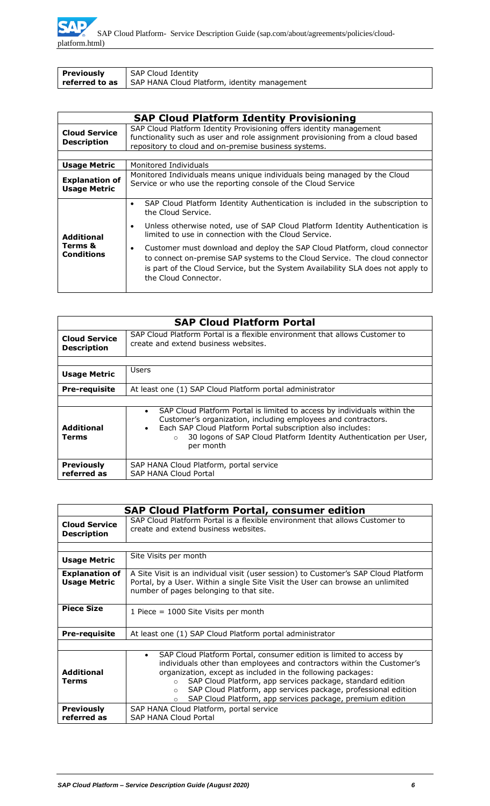| <b>Previously</b> | SAP Cloud Identity                                                        |
|-------------------|---------------------------------------------------------------------------|
|                   | <b>referred to as</b> $\mid$ SAP HANA Cloud Platform, identity management |

|                                              | <b>SAP Cloud Platform Identity Provisioning</b>                                                                                                                                                                                                                     |  |  |
|----------------------------------------------|---------------------------------------------------------------------------------------------------------------------------------------------------------------------------------------------------------------------------------------------------------------------|--|--|
| <b>Cloud Service</b><br><b>Description</b>   | SAP Cloud Platform Identity Provisioning offers identity management<br>functionality such as user and role assignment provisioning from a cloud based<br>repository to cloud and on-premise business systems.                                                       |  |  |
|                                              |                                                                                                                                                                                                                                                                     |  |  |
| <b>Usage Metric</b>                          | Monitored Individuals                                                                                                                                                                                                                                               |  |  |
| <b>Explanation of</b><br><b>Usage Metric</b> | Monitored Individuals means unique individuals being managed by the Cloud<br>Service or who use the reporting console of the Cloud Service                                                                                                                          |  |  |
|                                              | SAP Cloud Platform Identity Authentication is included in the subscription to<br>٠<br>the Cloud Service.                                                                                                                                                            |  |  |
| <b>Additional</b>                            | Unless otherwise noted, use of SAP Cloud Platform Identity Authentication is<br>limited to use in connection with the Cloud Service.                                                                                                                                |  |  |
| Terms &<br><b>Conditions</b>                 | Customer must download and deploy the SAP Cloud Platform, cloud connector<br>to connect on-premise SAP systems to the Cloud Service. The cloud connector<br>is part of the Cloud Service, but the System Availability SLA does not apply to<br>the Cloud Connector. |  |  |

|                                            | <b>SAP Cloud Platform Portal</b>                                                                                                                                                                                                                                                                                               |
|--------------------------------------------|--------------------------------------------------------------------------------------------------------------------------------------------------------------------------------------------------------------------------------------------------------------------------------------------------------------------------------|
| <b>Cloud Service</b><br><b>Description</b> | SAP Cloud Platform Portal is a flexible environment that allows Customer to<br>create and extend business websites.                                                                                                                                                                                                            |
|                                            |                                                                                                                                                                                                                                                                                                                                |
| <b>Usage Metric</b>                        | Users                                                                                                                                                                                                                                                                                                                          |
| <b>Pre-requisite</b>                       | At least one (1) SAP Cloud Platform portal administrator                                                                                                                                                                                                                                                                       |
|                                            |                                                                                                                                                                                                                                                                                                                                |
| <b>Additional</b><br>Terms                 | SAP Cloud Platform Portal is limited to access by individuals within the<br>$\bullet$<br>Customer's organization, including employees and contractors.<br>Each SAP Cloud Platform Portal subscription also includes:<br>$\bullet$<br>30 logons of SAP Cloud Platform Identity Authentication per User,<br>$\circ$<br>per month |
| <b>Previously</b><br>referred as           | SAP HANA Cloud Platform, portal service<br><b>SAP HANA Cloud Portal</b>                                                                                                                                                                                                                                                        |

| <b>SAP Cloud Platform Portal, consumer edition</b> |                                                                                                                                                                                                                                                                                                                                                                                                                                                           |  |  |
|----------------------------------------------------|-----------------------------------------------------------------------------------------------------------------------------------------------------------------------------------------------------------------------------------------------------------------------------------------------------------------------------------------------------------------------------------------------------------------------------------------------------------|--|--|
| <b>Cloud Service</b><br><b>Description</b>         | SAP Cloud Platform Portal is a flexible environment that allows Customer to<br>create and extend business websites.                                                                                                                                                                                                                                                                                                                                       |  |  |
|                                                    |                                                                                                                                                                                                                                                                                                                                                                                                                                                           |  |  |
| <b>Usage Metric</b>                                | Site Visits per month                                                                                                                                                                                                                                                                                                                                                                                                                                     |  |  |
| <b>Explanation of</b><br><b>Usage Metric</b>       | A Site Visit is an individual visit (user session) to Customer's SAP Cloud Platform<br>Portal, by a User. Within a single Site Visit the User can browse an unlimited<br>number of pages belonging to that site.                                                                                                                                                                                                                                          |  |  |
| <b>Piece Size</b>                                  | 1 Piece = 1000 Site Visits per month                                                                                                                                                                                                                                                                                                                                                                                                                      |  |  |
| <b>Pre-requisite</b>                               | At least one (1) SAP Cloud Platform portal administrator                                                                                                                                                                                                                                                                                                                                                                                                  |  |  |
|                                                    |                                                                                                                                                                                                                                                                                                                                                                                                                                                           |  |  |
| <b>Additional</b><br><b>Terms</b>                  | SAP Cloud Platform Portal, consumer edition is limited to access by<br>$\bullet$<br>individuals other than employees and contractors within the Customer's<br>organization, except as included in the following packages:<br>SAP Cloud Platform, app services package, standard edition<br>$\Omega$<br>SAP Cloud Platform, app services package, professional edition<br>$\circ$<br>SAP Cloud Platform, app services package, premium edition<br>$\Omega$ |  |  |
| <b>Previously</b><br>referred as                   | SAP HANA Cloud Platform, portal service<br><b>SAP HANA Cloud Portal</b>                                                                                                                                                                                                                                                                                                                                                                                   |  |  |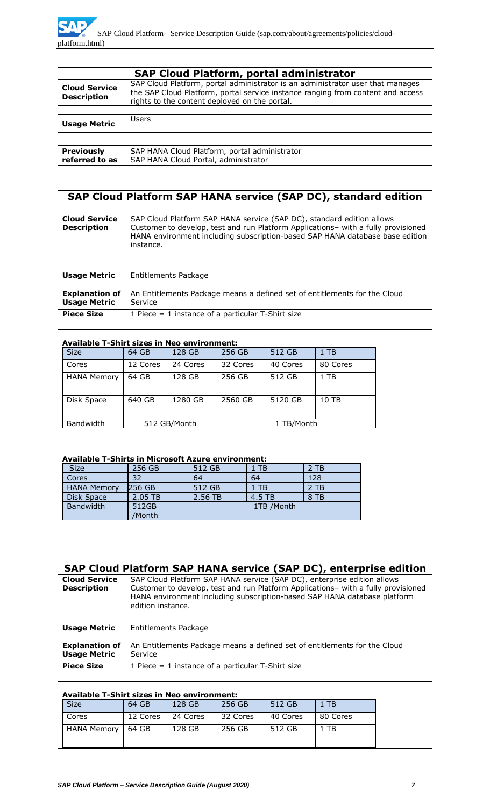|                                            | <b>SAP Cloud Platform, portal administrator</b>                                                                                                                                                                    |
|--------------------------------------------|--------------------------------------------------------------------------------------------------------------------------------------------------------------------------------------------------------------------|
| <b>Cloud Service</b><br><b>Description</b> | SAP Cloud Platform, portal administrator is an administrator user that manages<br>the SAP Cloud Platform, portal service instance ranging from content and access<br>rights to the content deployed on the portal. |
|                                            |                                                                                                                                                                                                                    |
| <b>Usage Metric</b>                        | <b>Users</b>                                                                                                                                                                                                       |
|                                            |                                                                                                                                                                                                                    |
| <b>Previously</b><br>referred to as        | SAP HANA Cloud Platform, portal administrator<br>SAP HANA Cloud Portal, administrator                                                                                                                              |

|                                              | SAP Cloud Platform SAP HANA service (SAP DC), standard edition                                                                                                                                                                                          |
|----------------------------------------------|---------------------------------------------------------------------------------------------------------------------------------------------------------------------------------------------------------------------------------------------------------|
| <b>Cloud Service</b><br><b>Description</b>   | SAP Cloud Platform SAP HANA service (SAP DC), standard edition allows<br>Customer to develop, test and run Platform Applications- with a fully provisioned<br>HANA environment including subscription-based SAP HANA database base edition<br>instance. |
|                                              |                                                                                                                                                                                                                                                         |
| <b>Usage Metric</b>                          | Entitlements Package                                                                                                                                                                                                                                    |
| <b>Explanation of</b><br><b>Usage Metric</b> | An Entitlements Package means a defined set of entitlements for the Cloud<br>Service                                                                                                                                                                    |
| <b>Piece Size</b>                            | 1 Piece $=$ 1 instance of a particular T-Shirt size                                                                                                                                                                                                     |
|                                              |                                                                                                                                                                                                                                                         |

#### **Available T-Shirt sizes in Neo environment:**

| <b>Size</b>        | 64 GB    | 128 GB       | 256 GB   | 512 GB     | $1$ TB   |
|--------------------|----------|--------------|----------|------------|----------|
| Cores              | 12 Cores | 24 Cores     | 32 Cores | 40 Cores   | 80 Cores |
| <b>HANA Memory</b> | 64 GB    | 128 GB       | 256 GB   | 512 GB     | 1 TB     |
| Disk Space         | 640 GB   | 1280 GB      | 2560 GB  | 5120 GB    | 10 TB    |
| <b>Bandwidth</b>   |          | 512 GB/Month |          | 1 TB/Month |          |

#### **Available T-Shirts in Microsoft Azure environment:**

| AVANADIC T DIIII (D III I IICI ODOR ALAI C CIIVII ONIICI (N |               |            |        |        |  |
|-------------------------------------------------------------|---------------|------------|--------|--------|--|
| <b>Size</b>                                                 | 256 GB        | 512 GB     | $1$ TB | $2$ TB |  |
| Cores                                                       | 32            | 64         | 64     | 128    |  |
| <b>HANA Memory</b>                                          | <b>256 GB</b> | 512 GB     | $1$ TB | 2 TB   |  |
| Disk Space                                                  | 2.05 TB       | 2.56 TB    | 4.5 TB | 8 TB   |  |
| <b>Bandwidth</b>                                            | 512GB         | 1TB /Month |        |        |  |
|                                                             | /Month        |            |        |        |  |
|                                                             |               |            |        |        |  |

| SAP Cloud Platform SAP HANA service (SAP DC), enterprise edition |                                                     |                                                                                                                                                                                                                                                               |          |          |          |  |  |
|------------------------------------------------------------------|-----------------------------------------------------|---------------------------------------------------------------------------------------------------------------------------------------------------------------------------------------------------------------------------------------------------------------|----------|----------|----------|--|--|
| <b>Cloud Service</b><br><b>Description</b>                       |                                                     | SAP Cloud Platform SAP HANA service (SAP DC), enterprise edition allows<br>Customer to develop, test and run Platform Applications- with a fully provisioned<br>HANA environment including subscription-based SAP HANA database platform<br>edition instance. |          |          |          |  |  |
| <b>Usage Metric</b>                                              | Entitlements Package                                |                                                                                                                                                                                                                                                               |          |          |          |  |  |
|                                                                  |                                                     |                                                                                                                                                                                                                                                               |          |          |          |  |  |
| <b>Explanation of</b><br><b>Usage Metric</b>                     | Service                                             | An Entitlements Package means a defined set of entitlements for the Cloud                                                                                                                                                                                     |          |          |          |  |  |
| <b>Piece Size</b>                                                | 1 Piece $=$ 1 instance of a particular T-Shirt size |                                                                                                                                                                                                                                                               |          |          |          |  |  |
| <b>Available T-Shirt sizes in Neo environment:</b>               |                                                     |                                                                                                                                                                                                                                                               |          |          |          |  |  |
| <b>Size</b>                                                      | 64 GB                                               | 128 GB                                                                                                                                                                                                                                                        | 256 GB   | 512 GB   | $1$ TB   |  |  |
| Cores                                                            | 12 Cores                                            | 24 Cores                                                                                                                                                                                                                                                      | 32 Cores | 40 Cores | 80 Cores |  |  |
| <b>HANA Memory</b>                                               | 64 GB                                               | 128 GB                                                                                                                                                                                                                                                        | 256 GB   | 512 GB   | $1$ TB   |  |  |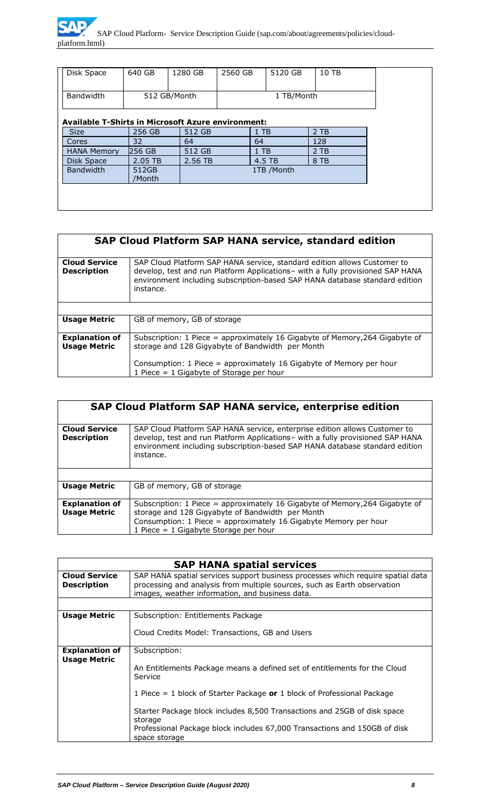| <b>Bandwidth</b><br>512 GB/Month<br>1 TB/Month<br><b>Available T-Shirts in Microsoft Azure environment:</b><br>$2$ TB<br><b>Size</b><br>256 GB<br>512 GB<br>$1$ TB<br>32<br>128<br>64<br>64<br>Cores<br>256 GB<br><b>HANA Memory</b><br>512 GB<br>$2$ TB<br>$1$ TB<br>2.05 TB<br>2.56 TB<br>4.5 TB<br>8 TB<br>Disk Space<br><b>Bandwidth</b><br>1TB /Month<br>512GB | Disk Space | 640 GB | 1280 GB | 2560 GB | 5120 GB | 10 TB |  |  |
|---------------------------------------------------------------------------------------------------------------------------------------------------------------------------------------------------------------------------------------------------------------------------------------------------------------------------------------------------------------------|------------|--------|---------|---------|---------|-------|--|--|
|                                                                                                                                                                                                                                                                                                                                                                     |            |        |         |         |         |       |  |  |
|                                                                                                                                                                                                                                                                                                                                                                     |            |        |         |         |         |       |  |  |
|                                                                                                                                                                                                                                                                                                                                                                     |            |        |         |         |         |       |  |  |
|                                                                                                                                                                                                                                                                                                                                                                     |            |        |         |         |         |       |  |  |
|                                                                                                                                                                                                                                                                                                                                                                     |            |        |         |         |         |       |  |  |
|                                                                                                                                                                                                                                                                                                                                                                     |            |        |         |         |         |       |  |  |
|                                                                                                                                                                                                                                                                                                                                                                     |            |        |         |         |         |       |  |  |
|                                                                                                                                                                                                                                                                                                                                                                     |            |        |         |         |         |       |  |  |
|                                                                                                                                                                                                                                                                                                                                                                     |            |        |         |         |         |       |  |  |
|                                                                                                                                                                                                                                                                                                                                                                     |            | /Month |         |         |         |       |  |  |
|                                                                                                                                                                                                                                                                                                                                                                     |            |        |         |         |         |       |  |  |

|                                              | <b>SAP Cloud Platform SAP HANA service, standard edition</b>                                                                                                                                                                                           |
|----------------------------------------------|--------------------------------------------------------------------------------------------------------------------------------------------------------------------------------------------------------------------------------------------------------|
| <b>Cloud Service</b><br><b>Description</b>   | SAP Cloud Platform SAP HANA service, standard edition allows Customer to<br>develop, test and run Platform Applications- with a fully provisioned SAP HANA<br>environment including subscription-based SAP HANA database standard edition<br>instance. |
|                                              |                                                                                                                                                                                                                                                        |
| <b>Usage Metric</b>                          | GB of memory, GB of storage                                                                                                                                                                                                                            |
| <b>Explanation of</b><br><b>Usage Metric</b> | Subscription: 1 Piece = approximately 16 Gigabyte of Memory, 264 Gigabyte of<br>storage and 128 Gigyabyte of Bandwidth per Month                                                                                                                       |
|                                              | Consumption: 1 Piece = approximately 16 Gigabyte of Memory per hour<br>1 Piece = $1$ Gigabyte of Storage per hour                                                                                                                                      |

|                                              | SAP Cloud Platform SAP HANA service, enterprise edition                                                                                                                                                                                                  |
|----------------------------------------------|----------------------------------------------------------------------------------------------------------------------------------------------------------------------------------------------------------------------------------------------------------|
| <b>Cloud Service</b><br><b>Description</b>   | SAP Cloud Platform SAP HANA service, enterprise edition allows Customer to<br>develop, test and run Platform Applications- with a fully provisioned SAP HANA<br>environment including subscription-based SAP HANA database standard edition<br>instance. |
|                                              |                                                                                                                                                                                                                                                          |
| <b>Usage Metric</b>                          | GB of memory, GB of storage                                                                                                                                                                                                                              |
| <b>Explanation of</b><br><b>Usage Metric</b> | Subscription: 1 Piece = approximately 16 Gigabyte of Memory, 264 Gigabyte of<br>storage and 128 Gigyabyte of Bandwidth per Month<br>Consumption: 1 Piece = approximately 16 Gigabyte Memory per hour<br>1 Piece = 1 Gigabyte Storage per hour            |

|                                              | <b>SAP HANA spatial services</b>                                                                                                                                                                                                                                                                                                                                      |  |  |  |  |  |
|----------------------------------------------|-----------------------------------------------------------------------------------------------------------------------------------------------------------------------------------------------------------------------------------------------------------------------------------------------------------------------------------------------------------------------|--|--|--|--|--|
| <b>Cloud Service</b><br><b>Description</b>   | SAP HANA spatial services support business processes which require spatial data<br>processing and analysis from multiple sources, such as Earth observation<br>images, weather information, and business data.                                                                                                                                                        |  |  |  |  |  |
|                                              |                                                                                                                                                                                                                                                                                                                                                                       |  |  |  |  |  |
| <b>Usage Metric</b>                          | Subscription: Entitlements Package<br>Cloud Credits Model: Transactions, GB and Users                                                                                                                                                                                                                                                                                 |  |  |  |  |  |
| <b>Explanation of</b><br><b>Usage Metric</b> | Subscription:<br>An Entitlements Package means a defined set of entitlements for the Cloud<br>Service<br>1 Piece = 1 block of Starter Package or 1 block of Professional Package<br>Starter Package block includes 8,500 Transactions and 25GB of disk space<br>storage<br>Professional Package block includes 67,000 Transactions and 150GB of disk<br>space storage |  |  |  |  |  |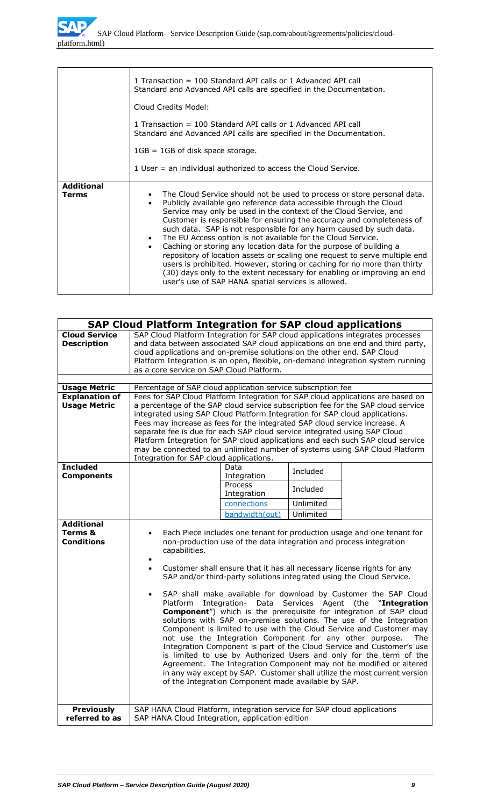|                            | 1 Transaction = 100 Standard API calls or 1 Advanced API call<br>Standard and Advanced API calls are specified in the Documentation.<br>Cloud Credits Model:<br>1 Transaction = 100 Standard API calls or 1 Advanced API call<br>Standard and Advanced API calls are specified in the Documentation.<br>$1GB = 1GB$ of disk space storage.<br>1 User = an individual authorized to access the Cloud Service.                                                                                                                                                                                                                                                                                                                                                                                                                                             |
|----------------------------|----------------------------------------------------------------------------------------------------------------------------------------------------------------------------------------------------------------------------------------------------------------------------------------------------------------------------------------------------------------------------------------------------------------------------------------------------------------------------------------------------------------------------------------------------------------------------------------------------------------------------------------------------------------------------------------------------------------------------------------------------------------------------------------------------------------------------------------------------------|
| <b>Additional</b><br>Terms | The Cloud Service should not be used to process or store personal data.<br>$\bullet$<br>Publicly available geo reference data accessible through the Cloud<br>$\bullet$<br>Service may only be used in the context of the Cloud Service, and<br>Customer is responsible for ensuring the accuracy and completeness of<br>such data. SAP is not responsible for any harm caused by such data.<br>The EU Access option is not available for the Cloud Service.<br>$\bullet$<br>Caching or storing any location data for the purpose of building a<br>$\bullet$<br>repository of location assets or scaling one request to serve multiple end<br>users is prohibited. However, storing or caching for no more than thirty<br>(30) days only to the extent necessary for enabling or improving an end<br>user's use of SAP HANA spatial services is allowed. |

|                                                   | <b>SAP Cloud Platform Integration for SAP cloud applications</b>                                                                                                                                                                                                                                                                                                                                                                                                                                                                                                                                                                                                                                                                                                                                                                                                                                                                                                                                                                                                                                                                                                |                        |           |                                                                                                                                                                   |  |
|---------------------------------------------------|-----------------------------------------------------------------------------------------------------------------------------------------------------------------------------------------------------------------------------------------------------------------------------------------------------------------------------------------------------------------------------------------------------------------------------------------------------------------------------------------------------------------------------------------------------------------------------------------------------------------------------------------------------------------------------------------------------------------------------------------------------------------------------------------------------------------------------------------------------------------------------------------------------------------------------------------------------------------------------------------------------------------------------------------------------------------------------------------------------------------------------------------------------------------|------------------------|-----------|-------------------------------------------------------------------------------------------------------------------------------------------------------------------|--|
| <b>Cloud Service</b><br><b>Description</b>        | SAP Cloud Platform Integration for SAP cloud applications integrates processes<br>cloud applications and on-premise solutions on the other end. SAP Cloud<br>as a core service on SAP Cloud Platform.                                                                                                                                                                                                                                                                                                                                                                                                                                                                                                                                                                                                                                                                                                                                                                                                                                                                                                                                                           |                        |           | and data between associated SAP cloud applications on one end and third party,<br>Platform Integration is an open, flexible, on-demand integration system running |  |
|                                                   |                                                                                                                                                                                                                                                                                                                                                                                                                                                                                                                                                                                                                                                                                                                                                                                                                                                                                                                                                                                                                                                                                                                                                                 |                        |           |                                                                                                                                                                   |  |
| <b>Usage Metric</b>                               | Percentage of SAP cloud application service subscription fee                                                                                                                                                                                                                                                                                                                                                                                                                                                                                                                                                                                                                                                                                                                                                                                                                                                                                                                                                                                                                                                                                                    |                        |           |                                                                                                                                                                   |  |
| <b>Explanation of</b><br><b>Usage Metric</b>      | Fees for SAP Cloud Platform Integration for SAP cloud applications are based on<br>a percentage of the SAP cloud service subscription fee for the SAP cloud service<br>integrated using SAP Cloud Platform Integration for SAP cloud applications.<br>Fees may increase as fees for the integrated SAP cloud service increase. A<br>separate fee is due for each SAP cloud service integrated using SAP Cloud<br>Platform Integration for SAP cloud applications and each such SAP cloud service<br>may be connected to an unlimited number of systems using SAP Cloud Platform<br>Integration for SAP cloud applications.                                                                                                                                                                                                                                                                                                                                                                                                                                                                                                                                      |                        |           |                                                                                                                                                                   |  |
| <b>Included</b><br><b>Components</b>              |                                                                                                                                                                                                                                                                                                                                                                                                                                                                                                                                                                                                                                                                                                                                                                                                                                                                                                                                                                                                                                                                                                                                                                 | Data<br>Integration    | Included  |                                                                                                                                                                   |  |
|                                                   |                                                                                                                                                                                                                                                                                                                                                                                                                                                                                                                                                                                                                                                                                                                                                                                                                                                                                                                                                                                                                                                                                                                                                                 | Process<br>Integration | Included  |                                                                                                                                                                   |  |
|                                                   |                                                                                                                                                                                                                                                                                                                                                                                                                                                                                                                                                                                                                                                                                                                                                                                                                                                                                                                                                                                                                                                                                                                                                                 | connections            | Unlimited |                                                                                                                                                                   |  |
|                                                   |                                                                                                                                                                                                                                                                                                                                                                                                                                                                                                                                                                                                                                                                                                                                                                                                                                                                                                                                                                                                                                                                                                                                                                 | bandwidth(out)         | Unlimited |                                                                                                                                                                   |  |
| <b>Additional</b><br>Terms &<br><b>Conditions</b> | Each Piece includes one tenant for production usage and one tenant for<br>non-production use of the data integration and process integration<br>capabilities.<br>٠<br>Customer shall ensure that it has all necessary license rights for any<br>$\bullet$<br>SAP and/or third-party solutions integrated using the Cloud Service.<br>SAP shall make available for download by Customer the SAP Cloud<br>$\bullet$<br>Services Agent<br><b>Platform</b><br>Integration-<br>Data<br>(the<br>"Integration<br><b>Component</b> ") which is the prerequisite for integration of SAP cloud<br>solutions with SAP on-premise solutions. The use of the Integration<br>Component is limited to use with the Cloud Service and Customer may<br>not use the Integration Component for any other purpose.<br>The<br>Integration Component is part of the Cloud Service and Customer's use<br>is limited to use by Authorized Users and only for the term of the<br>Agreement. The Integration Component may not be modified or altered<br>in any way except by SAP. Customer shall utilize the most current version<br>of the Integration Component made available by SAP. |                        |           |                                                                                                                                                                   |  |
| <b>Previously</b><br>referred to as               | SAP HANA Cloud Platform, integration service for SAP cloud applications<br>SAP HANA Cloud Integration, application edition                                                                                                                                                                                                                                                                                                                                                                                                                                                                                                                                                                                                                                                                                                                                                                                                                                                                                                                                                                                                                                      |                        |           |                                                                                                                                                                   |  |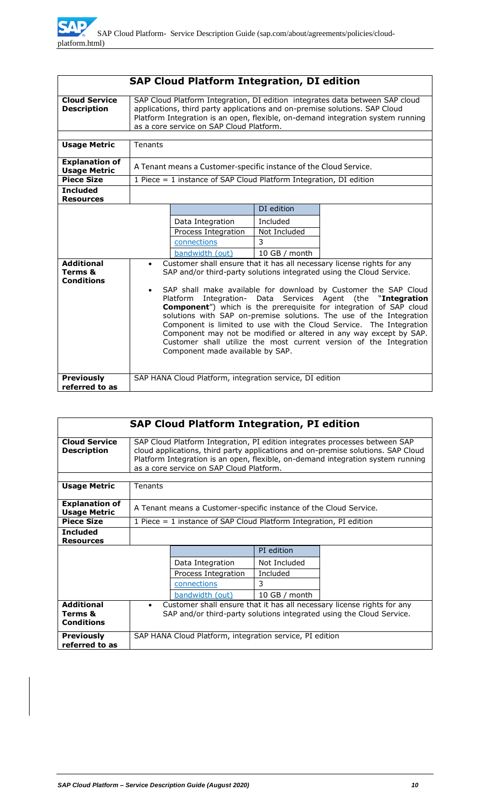|                                                   |                                                                                                                                                                                                                                                                                                                                                                                                                                                                                                                                                                                                                                                                                                                              | <b>SAP Cloud Platform Integration, DI edition</b>                  |              |  |  |  |
|---------------------------------------------------|------------------------------------------------------------------------------------------------------------------------------------------------------------------------------------------------------------------------------------------------------------------------------------------------------------------------------------------------------------------------------------------------------------------------------------------------------------------------------------------------------------------------------------------------------------------------------------------------------------------------------------------------------------------------------------------------------------------------------|--------------------------------------------------------------------|--------------|--|--|--|
| <b>Cloud Service</b><br><b>Description</b>        | SAP Cloud Platform Integration, DI edition integrates data between SAP cloud<br>applications, third party applications and on-premise solutions. SAP Cloud<br>Platform Integration is an open, flexible, on-demand integration system running<br>as a core service on SAP Cloud Platform.                                                                                                                                                                                                                                                                                                                                                                                                                                    |                                                                    |              |  |  |  |
| <b>Usage Metric</b>                               | Tenants                                                                                                                                                                                                                                                                                                                                                                                                                                                                                                                                                                                                                                                                                                                      |                                                                    |              |  |  |  |
| <b>Explanation of</b><br><b>Usage Metric</b>      |                                                                                                                                                                                                                                                                                                                                                                                                                                                                                                                                                                                                                                                                                                                              | A Tenant means a Customer-specific instance of the Cloud Service.  |              |  |  |  |
| <b>Piece Size</b>                                 |                                                                                                                                                                                                                                                                                                                                                                                                                                                                                                                                                                                                                                                                                                                              | 1 Piece = 1 instance of SAP Cloud Platform Integration, DI edition |              |  |  |  |
| <b>Included</b><br><b>Resources</b>               |                                                                                                                                                                                                                                                                                                                                                                                                                                                                                                                                                                                                                                                                                                                              |                                                                    |              |  |  |  |
|                                                   |                                                                                                                                                                                                                                                                                                                                                                                                                                                                                                                                                                                                                                                                                                                              |                                                                    | DI edition   |  |  |  |
|                                                   |                                                                                                                                                                                                                                                                                                                                                                                                                                                                                                                                                                                                                                                                                                                              | Data Integration                                                   | Included     |  |  |  |
|                                                   |                                                                                                                                                                                                                                                                                                                                                                                                                                                                                                                                                                                                                                                                                                                              | Process Integration                                                | Not Included |  |  |  |
|                                                   | connections<br>3                                                                                                                                                                                                                                                                                                                                                                                                                                                                                                                                                                                                                                                                                                             |                                                                    |              |  |  |  |
|                                                   | 10 GB / month<br>bandwidth (out)                                                                                                                                                                                                                                                                                                                                                                                                                                                                                                                                                                                                                                                                                             |                                                                    |              |  |  |  |
| <b>Additional</b><br>Terms &<br><b>Conditions</b> | Customer shall ensure that it has all necessary license rights for any<br>$\bullet$<br>SAP and/or third-party solutions integrated using the Cloud Service.<br>SAP shall make available for download by Customer the SAP Cloud<br>$\bullet$<br>Platform Integration-<br>Data<br>Services Agent (the "Integration<br><b>Component</b> ") which is the prerequisite for integration of SAP cloud<br>solutions with SAP on-premise solutions. The use of the Integration<br>Component is limited to use with the Cloud Service. The Integration<br>Component may not be modified or altered in any way except by SAP.<br>Customer shall utilize the most current version of the Integration<br>Component made available by SAP. |                                                                    |              |  |  |  |
| <b>Previously</b>                                 |                                                                                                                                                                                                                                                                                                                                                                                                                                                                                                                                                                                                                                                                                                                              | SAP HANA Cloud Platform, integration service, DI edition           |              |  |  |  |
| referred to as                                    |                                                                                                                                                                                                                                                                                                                                                                                                                                                                                                                                                                                                                                                                                                                              |                                                                    |              |  |  |  |

| <b>SAP Cloud Platform Integration, PI edition</b> |                                                                                                                                                                                                                                                                                                |                                                                   |              |  |  |  |
|---------------------------------------------------|------------------------------------------------------------------------------------------------------------------------------------------------------------------------------------------------------------------------------------------------------------------------------------------------|-------------------------------------------------------------------|--------------|--|--|--|
| <b>Cloud Service</b><br><b>Description</b>        | SAP Cloud Platform Integration, PI edition integrates processes between SAP<br>cloud applications, third party applications and on-premise solutions. SAP Cloud<br>Platform Integration is an open, flexible, on-demand integration system running<br>as a core service on SAP Cloud Platform. |                                                                   |              |  |  |  |
|                                                   |                                                                                                                                                                                                                                                                                                |                                                                   |              |  |  |  |
| <b>Usage Metric</b>                               | Tenants                                                                                                                                                                                                                                                                                        |                                                                   |              |  |  |  |
| <b>Explanation of</b><br><b>Usage Metric</b>      |                                                                                                                                                                                                                                                                                                | A Tenant means a Customer-specific instance of the Cloud Service. |              |  |  |  |
| <b>Piece Size</b>                                 | 1 Piece $=$ 1 instance of SAP Cloud Platform Integration, PI edition                                                                                                                                                                                                                           |                                                                   |              |  |  |  |
| <b>Included</b><br><b>Resources</b>               |                                                                                                                                                                                                                                                                                                |                                                                   |              |  |  |  |
|                                                   |                                                                                                                                                                                                                                                                                                |                                                                   | PI edition   |  |  |  |
|                                                   |                                                                                                                                                                                                                                                                                                | Data Integration                                                  | Not Included |  |  |  |
|                                                   | Included<br>Process Integration                                                                                                                                                                                                                                                                |                                                                   |              |  |  |  |
|                                                   | 3<br>connections                                                                                                                                                                                                                                                                               |                                                                   |              |  |  |  |
|                                                   | 10 GB / month<br>bandwidth (out)                                                                                                                                                                                                                                                               |                                                                   |              |  |  |  |
| <b>Additional</b><br>Terms &<br><b>Conditions</b> | Customer shall ensure that it has all necessary license rights for any<br>$\bullet$<br>SAP and/or third-party solutions integrated using the Cloud Service.                                                                                                                                    |                                                                   |              |  |  |  |
| <b>Previously</b><br>referred to as               |                                                                                                                                                                                                                                                                                                | SAP HANA Cloud Platform, integration service, PI edition          |              |  |  |  |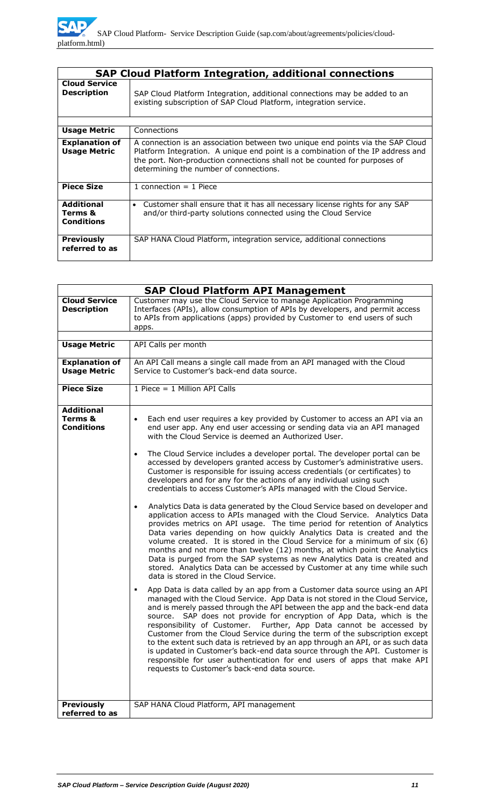|                                                   | <b>SAP Cloud Platform Integration, additional connections</b>                                                                                                                                                                                                                            |
|---------------------------------------------------|------------------------------------------------------------------------------------------------------------------------------------------------------------------------------------------------------------------------------------------------------------------------------------------|
| <b>Cloud Service</b><br><b>Description</b>        | SAP Cloud Platform Integration, additional connections may be added to an<br>existing subscription of SAP Cloud Platform, integration service.                                                                                                                                           |
|                                                   |                                                                                                                                                                                                                                                                                          |
| <b>Usage Metric</b>                               | Connections                                                                                                                                                                                                                                                                              |
| <b>Explanation of</b><br><b>Usage Metric</b>      | A connection is an association between two unique end points via the SAP Cloud<br>Platform Integration. A unique end point is a combination of the IP address and<br>the port. Non-production connections shall not be counted for purposes of<br>determining the number of connections. |
| <b>Piece Size</b>                                 | 1 connection $=$ 1 Piece                                                                                                                                                                                                                                                                 |
| <b>Additional</b><br>Terms &<br><b>Conditions</b> | Customer shall ensure that it has all necessary license rights for any SAP<br>$\bullet$<br>and/or third-party solutions connected using the Cloud Service                                                                                                                                |
| <b>Previously</b><br>referred to as               | SAP HANA Cloud Platform, integration service, additional connections                                                                                                                                                                                                                     |

|                                                              | <b>SAP Cloud Platform API Management</b>                                                                                                                                                                                                                                                                                                                                                                                                                                                                                                                                                                                                                                                                                                                                                                                                                                                                                                                                                                                                                                                                                                                                                                                                                                                                                                                                                                                                                                                                                                                                                                                                                                                                                                                                                                                                                                                                                                                                                                                                                                                                |
|--------------------------------------------------------------|---------------------------------------------------------------------------------------------------------------------------------------------------------------------------------------------------------------------------------------------------------------------------------------------------------------------------------------------------------------------------------------------------------------------------------------------------------------------------------------------------------------------------------------------------------------------------------------------------------------------------------------------------------------------------------------------------------------------------------------------------------------------------------------------------------------------------------------------------------------------------------------------------------------------------------------------------------------------------------------------------------------------------------------------------------------------------------------------------------------------------------------------------------------------------------------------------------------------------------------------------------------------------------------------------------------------------------------------------------------------------------------------------------------------------------------------------------------------------------------------------------------------------------------------------------------------------------------------------------------------------------------------------------------------------------------------------------------------------------------------------------------------------------------------------------------------------------------------------------------------------------------------------------------------------------------------------------------------------------------------------------------------------------------------------------------------------------------------------------|
| <b>Cloud Service</b><br><b>Description</b>                   | Customer may use the Cloud Service to manage Application Programming<br>Interfaces (APIs), allow consumption of APIs by developers, and permit access<br>to APIs from applications (apps) provided by Customer to end users of such<br>apps.                                                                                                                                                                                                                                                                                                                                                                                                                                                                                                                                                                                                                                                                                                                                                                                                                                                                                                                                                                                                                                                                                                                                                                                                                                                                                                                                                                                                                                                                                                                                                                                                                                                                                                                                                                                                                                                            |
|                                                              |                                                                                                                                                                                                                                                                                                                                                                                                                                                                                                                                                                                                                                                                                                                                                                                                                                                                                                                                                                                                                                                                                                                                                                                                                                                                                                                                                                                                                                                                                                                                                                                                                                                                                                                                                                                                                                                                                                                                                                                                                                                                                                         |
| <b>Usage Metric</b>                                          | API Calls per month                                                                                                                                                                                                                                                                                                                                                                                                                                                                                                                                                                                                                                                                                                                                                                                                                                                                                                                                                                                                                                                                                                                                                                                                                                                                                                                                                                                                                                                                                                                                                                                                                                                                                                                                                                                                                                                                                                                                                                                                                                                                                     |
| <b>Explanation of</b><br><b>Usage Metric</b>                 | An API Call means a single call made from an API managed with the Cloud<br>Service to Customer's back-end data source.                                                                                                                                                                                                                                                                                                                                                                                                                                                                                                                                                                                                                                                                                                                                                                                                                                                                                                                                                                                                                                                                                                                                                                                                                                                                                                                                                                                                                                                                                                                                                                                                                                                                                                                                                                                                                                                                                                                                                                                  |
| <b>Piece Size</b>                                            | 1 Piece = 1 Million API Calls                                                                                                                                                                                                                                                                                                                                                                                                                                                                                                                                                                                                                                                                                                                                                                                                                                                                                                                                                                                                                                                                                                                                                                                                                                                                                                                                                                                                                                                                                                                                                                                                                                                                                                                                                                                                                                                                                                                                                                                                                                                                           |
| <b>Additional</b><br><b>Terms &amp;</b><br><b>Conditions</b> | Each end user requires a key provided by Customer to access an API via an<br>$\bullet$<br>end user app. Any end user accessing or sending data via an API managed<br>with the Cloud Service is deemed an Authorized User.<br>The Cloud Service includes a developer portal. The developer portal can be<br>$\bullet$<br>accessed by developers granted access by Customer's administrative users.<br>Customer is responsible for issuing access credentials (or certificates) to<br>developers and for any for the actions of any individual using such<br>credentials to access Customer's APIs managed with the Cloud Service.<br>Analytics Data is data generated by the Cloud Service based on developer and<br>$\bullet$<br>application access to APIs managed with the Cloud Service. Analytics Data<br>provides metrics on API usage. The time period for retention of Analytics<br>Data varies depending on how quickly Analytics Data is created and the<br>volume created. It is stored in the Cloud Service for a minimum of six (6)<br>months and not more than twelve (12) months, at which point the Analytics<br>Data is purged from the SAP systems as new Analytics Data is created and<br>stored. Analytics Data can be accessed by Customer at any time while such<br>data is stored in the Cloud Service.<br>App Data is data called by an app from a Customer data source using an API<br>٠<br>managed with the Cloud Service. App Data is not stored in the Cloud Service,<br>and is merely passed through the API between the app and the back-end data<br>source. SAP does not provide for encryption of App Data, which is the<br>responsibility of Customer. Further, App Data cannot be accessed by<br>Customer from the Cloud Service during the term of the subscription except<br>to the extent such data is retrieved by an app through an API, or as such data<br>is updated in Customer's back-end data source through the API. Customer is<br>responsible for user authentication for end users of apps that make API<br>requests to Customer's back-end data source. |
| <b>Previously</b><br>referred to as                          | SAP HANA Cloud Platform, API management                                                                                                                                                                                                                                                                                                                                                                                                                                                                                                                                                                                                                                                                                                                                                                                                                                                                                                                                                                                                                                                                                                                                                                                                                                                                                                                                                                                                                                                                                                                                                                                                                                                                                                                                                                                                                                                                                                                                                                                                                                                                 |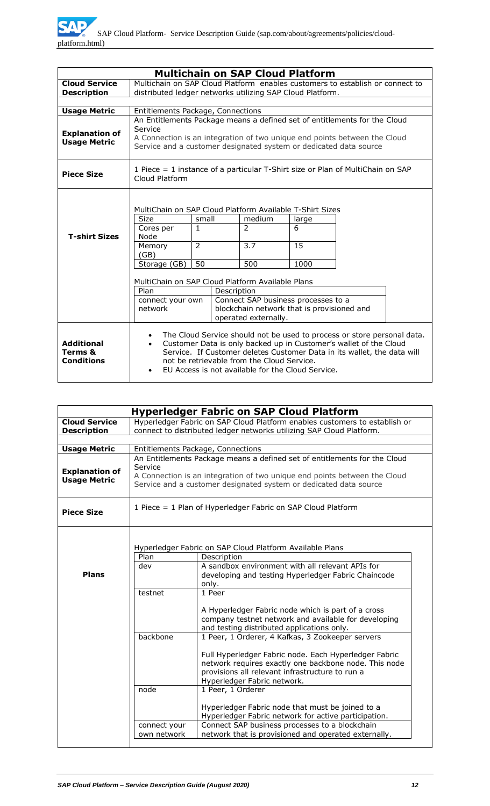| <b>Multichain on SAP Cloud Platform</b>           |                                                                                                                                                                                    |                                    |                                                                                                           |                          |                                                                                                                                                                                                                         |
|---------------------------------------------------|------------------------------------------------------------------------------------------------------------------------------------------------------------------------------------|------------------------------------|-----------------------------------------------------------------------------------------------------------|--------------------------|-------------------------------------------------------------------------------------------------------------------------------------------------------------------------------------------------------------------------|
| <b>Cloud Service</b>                              | Multichain on SAP Cloud Platform enables customers to establish or connect to                                                                                                      |                                    |                                                                                                           |                          |                                                                                                                                                                                                                         |
| <b>Description</b>                                | distributed ledger networks utilizing SAP Cloud Platform.                                                                                                                          |                                    |                                                                                                           |                          |                                                                                                                                                                                                                         |
|                                                   |                                                                                                                                                                                    |                                    |                                                                                                           |                          |                                                                                                                                                                                                                         |
| <b>Usage Metric</b>                               | Entitlements Package, Connections                                                                                                                                                  |                                    |                                                                                                           |                          |                                                                                                                                                                                                                         |
| <b>Explanation of</b><br><b>Usage Metric</b>      | Service<br>Service and a customer designated system or dedicated data source                                                                                                       |                                    |                                                                                                           |                          | An Entitlements Package means a defined set of entitlements for the Cloud<br>A Connection is an integration of two unique end points between the Cloud                                                                  |
| <b>Piece Size</b>                                 | 1 Piece = 1 instance of a particular T-Shirt size or Plan of MultiChain on SAP<br>Cloud Platform                                                                                   |                                    |                                                                                                           |                          |                                                                                                                                                                                                                         |
| <b>T-shirt Sizes</b>                              | MultiChain on SAP Cloud Platform Available T-Shirt Sizes<br><b>Size</b><br>Cores per<br>Node<br>Memory<br>(GB)<br>Storage (GB)<br>MultiChain on SAP Cloud Platform Available Plans | small<br>1<br>$\overline{2}$<br>50 | medium<br>$\mathcal{P}$<br>3.7<br>500                                                                     | large<br>6<br>15<br>1000 |                                                                                                                                                                                                                         |
|                                                   | Plan                                                                                                                                                                               | Description                        |                                                                                                           |                          |                                                                                                                                                                                                                         |
|                                                   | connect your own<br>network                                                                                                                                                        |                                    | Connect SAP business processes to a<br>blockchain network that is provisioned and<br>operated externally. |                          |                                                                                                                                                                                                                         |
| <b>Additional</b><br>Terms &<br><b>Conditions</b> | $\bullet$<br>$\bullet$<br>$\bullet$                                                                                                                                                |                                    | not be retrievable from the Cloud Service.<br>EU Access is not available for the Cloud Service.           |                          | The Cloud Service should not be used to process or store personal data.<br>Customer Data is only backed up in Customer's wallet of the Cloud<br>Service. If Customer deletes Customer Data in its wallet, the data will |

|                                              |                                                                                                                                                                                                                                        | <b>Hyperledger Fabric on SAP Cloud Platform</b>                                                                                                                                                  |  |
|----------------------------------------------|----------------------------------------------------------------------------------------------------------------------------------------------------------------------------------------------------------------------------------------|--------------------------------------------------------------------------------------------------------------------------------------------------------------------------------------------------|--|
| <b>Cloud Service</b>                         |                                                                                                                                                                                                                                        | Hyperledger Fabric on SAP Cloud Platform enables customers to establish or                                                                                                                       |  |
| <b>Description</b>                           |                                                                                                                                                                                                                                        | connect to distributed ledger networks utilizing SAP Cloud Platform.                                                                                                                             |  |
|                                              |                                                                                                                                                                                                                                        |                                                                                                                                                                                                  |  |
| <b>Usage Metric</b>                          |                                                                                                                                                                                                                                        | Entitlements Package, Connections                                                                                                                                                                |  |
| <b>Explanation of</b><br><b>Usage Metric</b> | An Entitlements Package means a defined set of entitlements for the Cloud<br>Service<br>A Connection is an integration of two unique end points between the Cloud<br>Service and a customer designated system or dedicated data source |                                                                                                                                                                                                  |  |
| <b>Piece Size</b>                            |                                                                                                                                                                                                                                        | 1 Piece = 1 Plan of Hyperledger Fabric on SAP Cloud Platform                                                                                                                                     |  |
|                                              | Plan                                                                                                                                                                                                                                   | Hyperledger Fabric on SAP Cloud Platform Available Plans<br>Description                                                                                                                          |  |
|                                              | dev                                                                                                                                                                                                                                    | A sandbox environment with all relevant APIs for                                                                                                                                                 |  |
| <b>Plans</b>                                 |                                                                                                                                                                                                                                        | developing and testing Hyperledger Fabric Chaincode<br>only.                                                                                                                                     |  |
|                                              | testnet                                                                                                                                                                                                                                | 1 Peer                                                                                                                                                                                           |  |
|                                              |                                                                                                                                                                                                                                        | A Hyperledger Fabric node which is part of a cross<br>company testnet network and available for developing<br>and testing distributed applications only.                                         |  |
|                                              | backbone                                                                                                                                                                                                                               | 1 Peer, 1 Orderer, 4 Kafkas, 3 Zookeeper servers                                                                                                                                                 |  |
|                                              |                                                                                                                                                                                                                                        | Full Hyperledger Fabric node. Each Hyperledger Fabric<br>network requires exactly one backbone node. This node<br>provisions all relevant infrastructure to run a<br>Hyperledger Fabric network. |  |
|                                              | node                                                                                                                                                                                                                                   | 1 Peer, 1 Orderer                                                                                                                                                                                |  |
|                                              |                                                                                                                                                                                                                                        | Hyperledger Fabric node that must be joined to a<br>Hyperledger Fabric network for active participation.                                                                                         |  |
|                                              | connect your                                                                                                                                                                                                                           | Connect SAP business processes to a blockchain                                                                                                                                                   |  |
|                                              | own network                                                                                                                                                                                                                            | network that is provisioned and operated externally.                                                                                                                                             |  |
|                                              |                                                                                                                                                                                                                                        |                                                                                                                                                                                                  |  |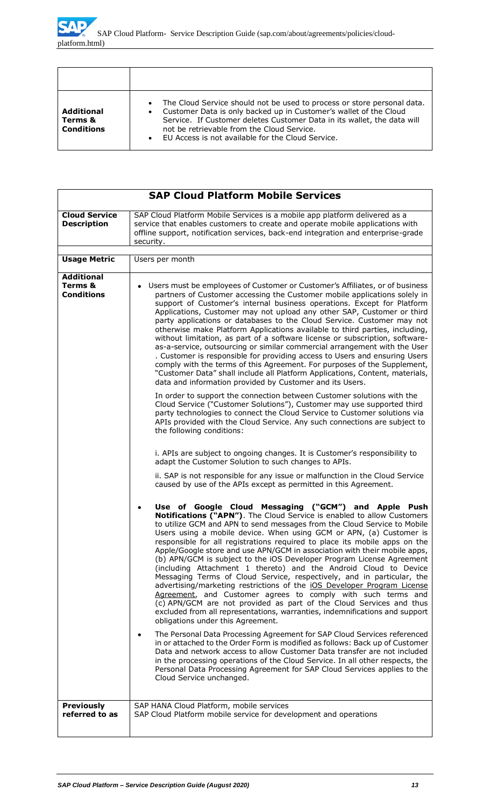| Additional<br>Terms &<br><b>Conditions</b> | The Cloud Service should not be used to process or store personal data.<br>$\bullet$<br>Customer Data is only backed up in Customer's wallet of the Cloud<br>$\bullet$<br>Service. If Customer deletes Customer Data in its wallet, the data will<br>not be retrievable from the Cloud Service.<br>EU Access is not available for the Cloud Service.<br>$\bullet$ |
|--------------------------------------------|-------------------------------------------------------------------------------------------------------------------------------------------------------------------------------------------------------------------------------------------------------------------------------------------------------------------------------------------------------------------|

| <b>SAP Cloud Platform Mobile Services</b>         |                                                                                                                                                                                                                                                                                                                                                                                                                                                                                                                                                                                                                                                                                                                                                                                                                                                                                                                                                                                                           |  |
|---------------------------------------------------|-----------------------------------------------------------------------------------------------------------------------------------------------------------------------------------------------------------------------------------------------------------------------------------------------------------------------------------------------------------------------------------------------------------------------------------------------------------------------------------------------------------------------------------------------------------------------------------------------------------------------------------------------------------------------------------------------------------------------------------------------------------------------------------------------------------------------------------------------------------------------------------------------------------------------------------------------------------------------------------------------------------|--|
| <b>Cloud Service</b><br><b>Description</b>        | SAP Cloud Platform Mobile Services is a mobile app platform delivered as a<br>service that enables customers to create and operate mobile applications with<br>offline support, notification services, back-end integration and enterprise-grade<br>security.                                                                                                                                                                                                                                                                                                                                                                                                                                                                                                                                                                                                                                                                                                                                             |  |
| <b>Usage Metric</b>                               | Users per month                                                                                                                                                                                                                                                                                                                                                                                                                                                                                                                                                                                                                                                                                                                                                                                                                                                                                                                                                                                           |  |
| <b>Additional</b><br>Terms &<br><b>Conditions</b> | Users must be employees of Customer or Customer's Affiliates, or of business<br>partners of Customer accessing the Customer mobile applications solely in<br>support of Customer's internal business operations. Except for Platform<br>Applications, Customer may not upload any other SAP, Customer or third<br>party applications or databases to the Cloud Service. Customer may not<br>otherwise make Platform Applications available to third parties, including,<br>without limitation, as part of a software license or subscription, software-<br>as-a-service, outsourcing or similar commercial arrangement with the User                                                                                                                                                                                                                                                                                                                                                                      |  |
|                                                   | . Customer is responsible for providing access to Users and ensuring Users<br>comply with the terms of this Agreement. For purposes of the Supplement,<br>"Customer Data" shall include all Platform Applications, Content, materials,<br>data and information provided by Customer and its Users.                                                                                                                                                                                                                                                                                                                                                                                                                                                                                                                                                                                                                                                                                                        |  |
|                                                   | In order to support the connection between Customer solutions with the<br>Cloud Service ("Customer Solutions"), Customer may use supported third<br>party technologies to connect the Cloud Service to Customer solutions via<br>APIs provided with the Cloud Service. Any such connections are subject to<br>the following conditions:                                                                                                                                                                                                                                                                                                                                                                                                                                                                                                                                                                                                                                                                   |  |
|                                                   | i. APIs are subject to ongoing changes. It is Customer's responsibility to<br>adapt the Customer Solution to such changes to APIs.                                                                                                                                                                                                                                                                                                                                                                                                                                                                                                                                                                                                                                                                                                                                                                                                                                                                        |  |
|                                                   | ii. SAP is not responsible for any issue or malfunction in the Cloud Service<br>caused by use of the APIs except as permitted in this Agreement.                                                                                                                                                                                                                                                                                                                                                                                                                                                                                                                                                                                                                                                                                                                                                                                                                                                          |  |
|                                                   | Use of Google Cloud Messaging ("GCM") and Apple Push<br>Notifications ("APN"). The Cloud Service is enabled to allow Customers<br>to utilize GCM and APN to send messages from the Cloud Service to Mobile<br>Users using a mobile device. When using GCM or APN, (a) Customer is<br>responsible for all registrations required to place its mobile apps on the<br>Apple/Google store and use APN/GCM in association with their mobile apps,<br>(b) APN/GCM is subject to the iOS Developer Program License Agreement<br>(including Attachment 1 thereto) and the Android Cloud to Device<br>Messaging Terms of Cloud Service, respectively, and in particular, the<br>advertising/marketing restrictions of the iOS Developer Program License<br>Agreement, and Customer agrees to comply with such terms and<br>(c) APN/GCM are not provided as part of the Cloud Services and thus<br>excluded from all representations, warranties, indemnifications and support<br>obligations under this Agreement. |  |
|                                                   | The Personal Data Processing Agreement for SAP Cloud Services referenced<br>in or attached to the Order Form is modified as follows: Back up of Customer<br>Data and network access to allow Customer Data transfer are not included<br>in the processing operations of the Cloud Service. In all other respects, the<br>Personal Data Processing Agreement for SAP Cloud Services applies to the<br>Cloud Service unchanged.                                                                                                                                                                                                                                                                                                                                                                                                                                                                                                                                                                             |  |
| <b>Previously</b><br>referred to as               | SAP HANA Cloud Platform, mobile services<br>SAP Cloud Platform mobile service for development and operations                                                                                                                                                                                                                                                                                                                                                                                                                                                                                                                                                                                                                                                                                                                                                                                                                                                                                              |  |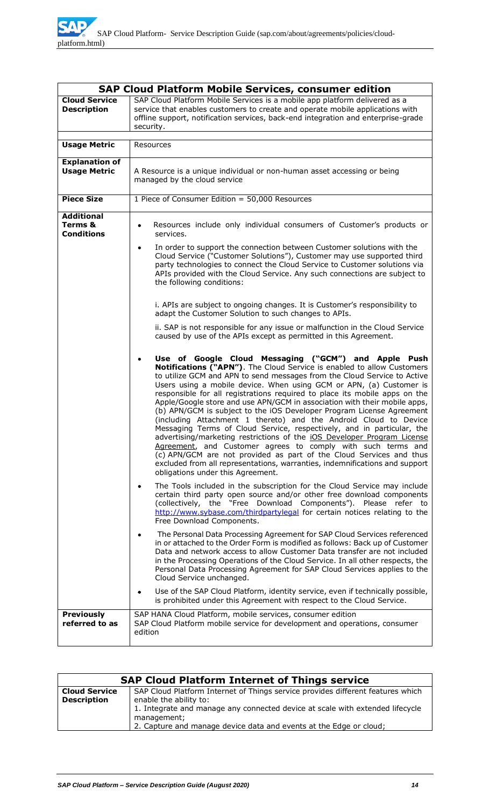| <b>SAP Cloud Platform Mobile Services, consumer edition</b> |                                                                                                                                                                                                                                                                                                                                                                                                                                                                                                                                                                                                                                                                                                                                                                                                                                                                                                                                                                                                                                                                                                                                                                                                                                                                                                                                                                                                                                                                                                                                                                                                                                                                                                                                                                                                                                                                                                                                                                                          |  |
|-------------------------------------------------------------|------------------------------------------------------------------------------------------------------------------------------------------------------------------------------------------------------------------------------------------------------------------------------------------------------------------------------------------------------------------------------------------------------------------------------------------------------------------------------------------------------------------------------------------------------------------------------------------------------------------------------------------------------------------------------------------------------------------------------------------------------------------------------------------------------------------------------------------------------------------------------------------------------------------------------------------------------------------------------------------------------------------------------------------------------------------------------------------------------------------------------------------------------------------------------------------------------------------------------------------------------------------------------------------------------------------------------------------------------------------------------------------------------------------------------------------------------------------------------------------------------------------------------------------------------------------------------------------------------------------------------------------------------------------------------------------------------------------------------------------------------------------------------------------------------------------------------------------------------------------------------------------------------------------------------------------------------------------------------------------|--|
| <b>Cloud Service</b><br><b>Description</b>                  | SAP Cloud Platform Mobile Services is a mobile app platform delivered as a<br>service that enables customers to create and operate mobile applications with<br>offline support, notification services, back-end integration and enterprise-grade<br>security.                                                                                                                                                                                                                                                                                                                                                                                                                                                                                                                                                                                                                                                                                                                                                                                                                                                                                                                                                                                                                                                                                                                                                                                                                                                                                                                                                                                                                                                                                                                                                                                                                                                                                                                            |  |
| <b>Usage Metric</b>                                         | Resources                                                                                                                                                                                                                                                                                                                                                                                                                                                                                                                                                                                                                                                                                                                                                                                                                                                                                                                                                                                                                                                                                                                                                                                                                                                                                                                                                                                                                                                                                                                                                                                                                                                                                                                                                                                                                                                                                                                                                                                |  |
| <b>Explanation of</b><br><b>Usage Metric</b>                | A Resource is a unique individual or non-human asset accessing or being<br>managed by the cloud service                                                                                                                                                                                                                                                                                                                                                                                                                                                                                                                                                                                                                                                                                                                                                                                                                                                                                                                                                                                                                                                                                                                                                                                                                                                                                                                                                                                                                                                                                                                                                                                                                                                                                                                                                                                                                                                                                  |  |
| <b>Piece Size</b>                                           | 1 Piece of Consumer Edition = 50,000 Resources                                                                                                                                                                                                                                                                                                                                                                                                                                                                                                                                                                                                                                                                                                                                                                                                                                                                                                                                                                                                                                                                                                                                                                                                                                                                                                                                                                                                                                                                                                                                                                                                                                                                                                                                                                                                                                                                                                                                           |  |
| <b>Additional</b><br>Terms &<br><b>Conditions</b>           | Resources include only individual consumers of Customer's products or<br>٠<br>services.<br>In order to support the connection between Customer solutions with the<br>٠<br>Cloud Service ("Customer Solutions"), Customer may use supported third<br>party technologies to connect the Cloud Service to Customer solutions via<br>APIs provided with the Cloud Service. Any such connections are subject to<br>the following conditions:<br>i. APIs are subject to ongoing changes. It is Customer's responsibility to<br>adapt the Customer Solution to such changes to APIs.<br>ii. SAP is not responsible for any issue or malfunction in the Cloud Service<br>caused by use of the APIs except as permitted in this Agreement.<br>Use of Google Cloud Messaging ("GCM") and Apple Push<br>٠<br>Notifications ("APN"). The Cloud Service is enabled to allow Customers<br>to utilize GCM and APN to send messages from the Cloud Service to Active<br>Users using a mobile device. When using GCM or APN, (a) Customer is<br>responsible for all registrations required to place its mobile apps on the<br>Apple/Google store and use APN/GCM in association with their mobile apps,<br>(b) APN/GCM is subject to the iOS Developer Program License Agreement<br>(including Attachment 1 thereto) and the Android Cloud to Device<br>Messaging Terms of Cloud Service, respectively, and in particular, the<br>advertising/marketing restrictions of the iOS Developer Program License<br>Agreement, and Customer agrees to comply with such terms and<br>(c) APN/GCM are not provided as part of the Cloud Services and thus<br>excluded from all representations, warranties, indemnifications and support<br>obligations under this Agreement.<br>The Tools included in the subscription for the Cloud Service may include<br>$\bullet$<br>certain third party open source and/or other free download components<br>(collectively, the "Free Download Components"). Please refer to |  |
|                                                             | http://www.sybase.com/thirdpartylegal for certain notices relating to the<br>Free Download Components.                                                                                                                                                                                                                                                                                                                                                                                                                                                                                                                                                                                                                                                                                                                                                                                                                                                                                                                                                                                                                                                                                                                                                                                                                                                                                                                                                                                                                                                                                                                                                                                                                                                                                                                                                                                                                                                                                   |  |
|                                                             | The Personal Data Processing Agreement for SAP Cloud Services referenced<br>in or attached to the Order Form is modified as follows: Back up of Customer<br>Data and network access to allow Customer Data transfer are not included<br>in the Processing Operations of the Cloud Service. In all other respects, the<br>Personal Data Processing Agreement for SAP Cloud Services applies to the<br>Cloud Service unchanged.                                                                                                                                                                                                                                                                                                                                                                                                                                                                                                                                                                                                                                                                                                                                                                                                                                                                                                                                                                                                                                                                                                                                                                                                                                                                                                                                                                                                                                                                                                                                                            |  |
|                                                             | Use of the SAP Cloud Platform, identity service, even if technically possible,<br>٠<br>is prohibited under this Agreement with respect to the Cloud Service.                                                                                                                                                                                                                                                                                                                                                                                                                                                                                                                                                                                                                                                                                                                                                                                                                                                                                                                                                                                                                                                                                                                                                                                                                                                                                                                                                                                                                                                                                                                                                                                                                                                                                                                                                                                                                             |  |
| <b>Previously</b><br>referred to as                         | SAP HANA Cloud Platform, mobile services, consumer edition<br>SAP Cloud Platform mobile service for development and operations, consumer<br>edition                                                                                                                                                                                                                                                                                                                                                                                                                                                                                                                                                                                                                                                                                                                                                                                                                                                                                                                                                                                                                                                                                                                                                                                                                                                                                                                                                                                                                                                                                                                                                                                                                                                                                                                                                                                                                                      |  |

| <b>SAP Cloud Platform Internet of Things service</b> |                                                                                                           |  |
|------------------------------------------------------|-----------------------------------------------------------------------------------------------------------|--|
| <b>Cloud Service</b><br><b>Description</b>           | SAP Cloud Platform Internet of Things service provides different features which<br>enable the ability to: |  |
|                                                      | 1. Integrate and manage any connected device at scale with extended lifecycle<br>management;              |  |
|                                                      | 2. Capture and manage device data and events at the Edge or cloud;                                        |  |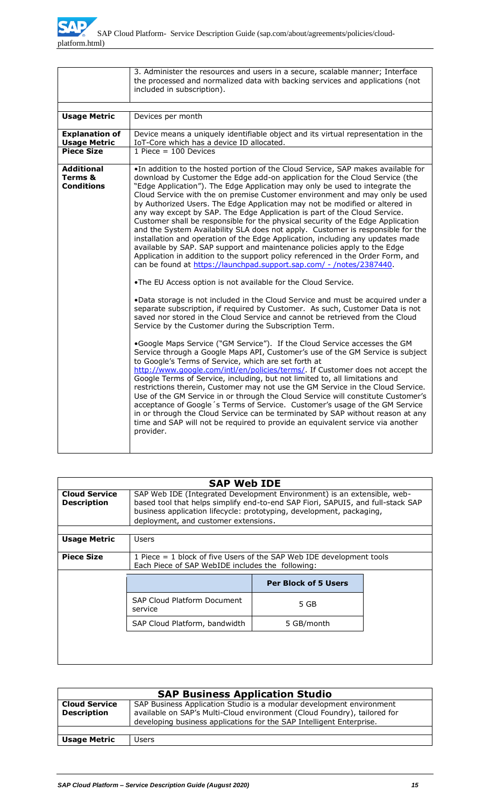

|                                                   | 3. Administer the resources and users in a secure, scalable manner; Interface<br>the processed and normalized data with backing services and applications (not<br>included in subscription).                                                                                                                                                                                                                                                                                                                                                                                                                                                                                                                                                                                                                                                                                                                                                                                                                                                                                                                                                                                                                                                                                                                    |
|---------------------------------------------------|-----------------------------------------------------------------------------------------------------------------------------------------------------------------------------------------------------------------------------------------------------------------------------------------------------------------------------------------------------------------------------------------------------------------------------------------------------------------------------------------------------------------------------------------------------------------------------------------------------------------------------------------------------------------------------------------------------------------------------------------------------------------------------------------------------------------------------------------------------------------------------------------------------------------------------------------------------------------------------------------------------------------------------------------------------------------------------------------------------------------------------------------------------------------------------------------------------------------------------------------------------------------------------------------------------------------|
|                                                   |                                                                                                                                                                                                                                                                                                                                                                                                                                                                                                                                                                                                                                                                                                                                                                                                                                                                                                                                                                                                                                                                                                                                                                                                                                                                                                                 |
| <b>Usage Metric</b>                               | Devices per month                                                                                                                                                                                                                                                                                                                                                                                                                                                                                                                                                                                                                                                                                                                                                                                                                                                                                                                                                                                                                                                                                                                                                                                                                                                                                               |
| <b>Explanation of</b><br><b>Usage Metric</b>      | Device means a uniquely identifiable object and its virtual representation in the<br>IoT-Core which has a device ID allocated.                                                                                                                                                                                                                                                                                                                                                                                                                                                                                                                                                                                                                                                                                                                                                                                                                                                                                                                                                                                                                                                                                                                                                                                  |
| <b>Piece Size</b>                                 | 1 Piece = $100$ Devices                                                                                                                                                                                                                                                                                                                                                                                                                                                                                                                                                                                                                                                                                                                                                                                                                                                                                                                                                                                                                                                                                                                                                                                                                                                                                         |
| <b>Additional</b><br>Terms &<br><b>Conditions</b> | . In addition to the hosted portion of the Cloud Service, SAP makes available for<br>download by Customer the Edge add-on application for the Cloud Service (the<br>"Edge Application"). The Edge Application may only be used to integrate the<br>Cloud Service with the on premise Customer environment and may only be used<br>by Authorized Users. The Edge Application may not be modified or altered in<br>any way except by SAP. The Edge Application is part of the Cloud Service.<br>Customer shall be responsible for the physical security of the Edge Application<br>and the System Availability SLA does not apply. Customer is responsible for the<br>installation and operation of the Edge Application, including any updates made<br>available by SAP. SAP support and maintenance policies apply to the Edge<br>Application in addition to the support policy referenced in the Order Form, and<br>can be found at https://launchpad.support.sap.com/ - /notes/2387440.<br>.The EU Access option is not available for the Cloud Service.<br>. Data storage is not included in the Cloud Service and must be acquired under a<br>separate subscription, if required by Customer. As such, Customer Data is not<br>saved nor stored in the Cloud Service and cannot be retrieved from the Cloud |
|                                                   | Service by the Customer during the Subscription Term.<br>.Google Maps Service ("GM Service"). If the Cloud Service accesses the GM<br>Service through a Google Maps API, Customer's use of the GM Service is subject<br>to Google's Terms of Service, which are set forth at<br>http://www.google.com/intl/en/policies/terms/. If Customer does not accept the<br>Google Terms of Service, including, but not limited to, all limitations and<br>restrictions therein, Customer may not use the GM Service in the Cloud Service.<br>Use of the GM Service in or through the Cloud Service will constitute Customer's<br>acceptance of Google's Terms of Service. Customer's usage of the GM Service<br>in or through the Cloud Service can be terminated by SAP without reason at any<br>time and SAP will not be required to provide an equivalent service via another<br>provider.                                                                                                                                                                                                                                                                                                                                                                                                                            |

|                                            | <b>SAP Web IDE</b>                                                                                                                                                                                                                                                         |                             |  |
|--------------------------------------------|----------------------------------------------------------------------------------------------------------------------------------------------------------------------------------------------------------------------------------------------------------------------------|-----------------------------|--|
| <b>Cloud Service</b><br><b>Description</b> | SAP Web IDE (Integrated Development Environment) is an extensible, web-<br>based tool that helps simplify end-to-end SAP Fiori, SAPUI5, and full-stack SAP<br>business application lifecycle: prototyping, development, packaging,<br>deployment, and customer extensions. |                             |  |
| <b>Usage Metric</b>                        | Users                                                                                                                                                                                                                                                                      |                             |  |
| <b>Piece Size</b>                          | 1 Piece $=$ 1 block of five Users of the SAP Web IDE development tools<br>Each Piece of SAP WebIDE includes the following:                                                                                                                                                 |                             |  |
|                                            |                                                                                                                                                                                                                                                                            | <b>Per Block of 5 Users</b> |  |
|                                            |                                                                                                                                                                                                                                                                            |                             |  |
|                                            | <b>SAP Cloud Platform Document</b><br>service                                                                                                                                                                                                                              | 5 GB                        |  |
|                                            | SAP Cloud Platform, bandwidth                                                                                                                                                                                                                                              | 5 GB/month                  |  |

| <b>SAP Business Application Studio</b>     |                                                                                                                                                                                                                          |
|--------------------------------------------|--------------------------------------------------------------------------------------------------------------------------------------------------------------------------------------------------------------------------|
| <b>Cloud Service</b><br><b>Description</b> | SAP Business Application Studio is a modular development environment<br>available on SAP's Multi-Cloud environment (Cloud Foundry), tailored for<br>developing business applications for the SAP Intelligent Enterprise. |
| <b>Usage Metric</b>                        | Users                                                                                                                                                                                                                    |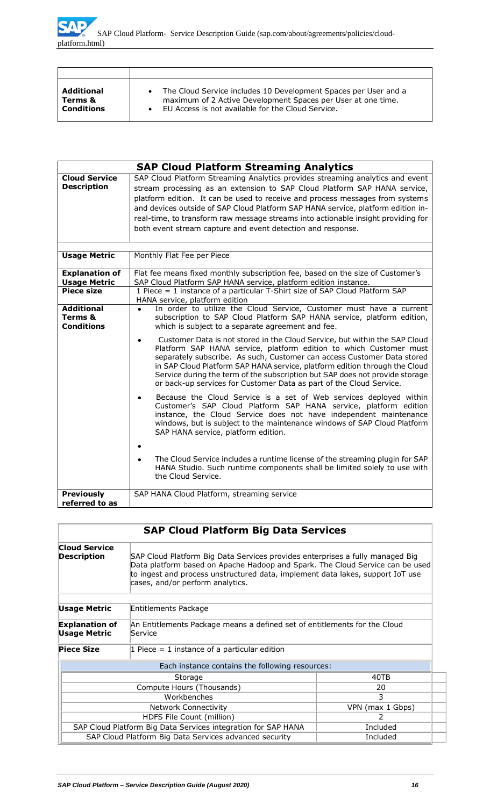| <b>Additional</b> | The Cloud Service includes 10 Development Spaces per User and a |
|-------------------|-----------------------------------------------------------------|
| Terms &           | maximum of 2 Active Development Spaces per User at one time.    |
| <b>Conditions</b> | EU Access is not available for the Cloud Service.               |

|                                                   | <b>SAP Cloud Platform Streaming Analytics</b>                                                                                                                                                                                                                                                                                                                                                                                                                                       |  |  |
|---------------------------------------------------|-------------------------------------------------------------------------------------------------------------------------------------------------------------------------------------------------------------------------------------------------------------------------------------------------------------------------------------------------------------------------------------------------------------------------------------------------------------------------------------|--|--|
| <b>Cloud Service</b><br><b>Description</b>        | SAP Cloud Platform Streaming Analytics provides streaming analytics and event<br>stream processing as an extension to SAP Cloud Platform SAP HANA service,<br>platform edition. It can be used to receive and process messages from systems<br>and devices outside of SAP Cloud Platform SAP HANA service, platform edition in-<br>real-time, to transform raw message streams into actionable insight providing for<br>both event stream capture and event detection and response. |  |  |
|                                                   |                                                                                                                                                                                                                                                                                                                                                                                                                                                                                     |  |  |
| <b>Usage Metric</b>                               | Monthly Flat Fee per Piece                                                                                                                                                                                                                                                                                                                                                                                                                                                          |  |  |
| <b>Explanation of</b><br><b>Usage Metric</b>      | Flat fee means fixed monthly subscription fee, based on the size of Customer's<br>SAP Cloud Platform SAP HANA service, platform edition instance.                                                                                                                                                                                                                                                                                                                                   |  |  |
| <b>Piece size</b>                                 | 1 Piece = 1 instance of a particular T-Shirt size of SAP Cloud Platform SAP<br>HANA service, platform edition                                                                                                                                                                                                                                                                                                                                                                       |  |  |
| <b>Additional</b><br>Terms &<br><b>Conditions</b> | In order to utilize the Cloud Service, Customer must have a current<br>subscription to SAP Cloud Platform SAP HANA service, platform edition,<br>which is subject to a separate agreement and fee.                                                                                                                                                                                                                                                                                  |  |  |
|                                                   | Customer Data is not stored in the Cloud Service, but within the SAP Cloud<br>$\bullet$<br>Platform SAP HANA service, platform edition to which Customer must<br>separately subscribe. As such, Customer can access Customer Data stored<br>in SAP Cloud Platform SAP HANA service, platform edition through the Cloud<br>Service during the term of the subscription but SAP does not provide storage<br>or back-up services for Customer Data as part of the Cloud Service.       |  |  |
|                                                   | Because the Cloud Service is a set of Web services deployed within<br>Customer's SAP Cloud Platform SAP HANA service, platform edition<br>instance, the Cloud Service does not have independent maintenance<br>windows, but is subject to the maintenance windows of SAP Cloud Platform<br>SAP HANA service, platform edition.                                                                                                                                                      |  |  |
|                                                   | The Cloud Service includes a runtime license of the streaming plugin for SAP<br>HANA Studio. Such runtime components shall be limited solely to use with<br>the Cloud Service.                                                                                                                                                                                                                                                                                                      |  |  |
| <b>Previously</b><br>referred to as               | SAP HANA Cloud Platform, streaming service                                                                                                                                                                                                                                                                                                                                                                                                                                          |  |  |

|                                                                                                                                      | <b>SAP Cloud Platform Big Data Services</b>                                                                                                                                                                                                                                          |                  |  |
|--------------------------------------------------------------------------------------------------------------------------------------|--------------------------------------------------------------------------------------------------------------------------------------------------------------------------------------------------------------------------------------------------------------------------------------|------------------|--|
| <b>Cloud Service</b><br><b>Description</b>                                                                                           | SAP Cloud Platform Big Data Services provides enterprises a fully managed Big<br>Data platform based on Apache Hadoop and Spark. The Cloud Service can be used<br>to ingest and process unstructured data, implement data lakes, support IoT use<br>cases, and/or perform analytics. |                  |  |
| Usage Metric                                                                                                                         | Entitlements Package                                                                                                                                                                                                                                                                 |                  |  |
| <b>Explanation of</b><br>An Entitlements Package means a defined set of entitlements for the Cloud<br><b>Usage Metric</b><br>Service |                                                                                                                                                                                                                                                                                      |                  |  |
| <b>Piece Size</b>                                                                                                                    | 1 Piece $=$ 1 instance of a particular edition                                                                                                                                                                                                                                       |                  |  |
|                                                                                                                                      | Each instance contains the following resources:                                                                                                                                                                                                                                      |                  |  |
| 40TB<br>Storage                                                                                                                      |                                                                                                                                                                                                                                                                                      |                  |  |
| Compute Hours (Thousands)<br>20                                                                                                      |                                                                                                                                                                                                                                                                                      |                  |  |
| Workbenches<br>3                                                                                                                     |                                                                                                                                                                                                                                                                                      |                  |  |
| <b>Network Connectivity</b>                                                                                                          |                                                                                                                                                                                                                                                                                      | VPN (max 1 Gbps) |  |
| HDFS File Count (million)<br>2                                                                                                       |                                                                                                                                                                                                                                                                                      |                  |  |
|                                                                                                                                      | SAP Cloud Platform Big Data Services integration for SAP HANA<br>Included                                                                                                                                                                                                            |                  |  |
| SAP Cloud Platform Big Data Services advanced security<br>Included                                                                   |                                                                                                                                                                                                                                                                                      |                  |  |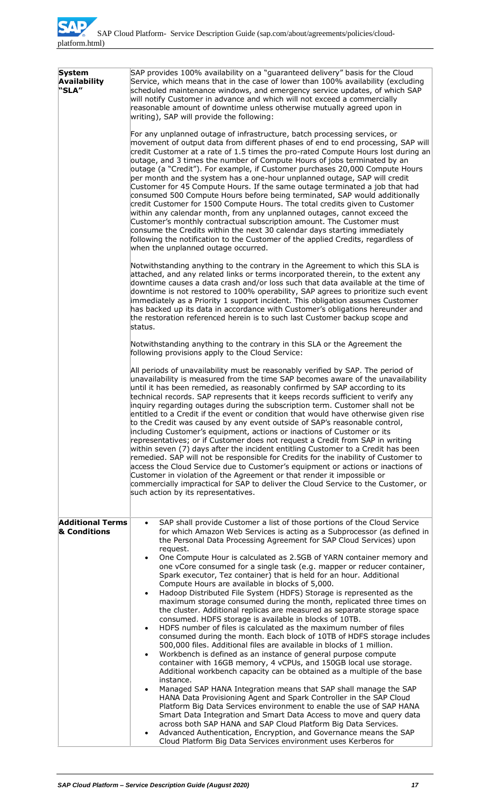| <b>System</b><br>Availability<br>"SLA"  | SAP provides 100% availability on a "guaranteed delivery" basis for the Cloud<br>Service, which means that in the case of lower than 100% availability (excluding<br>scheduled maintenance windows, and emergency service updates, of which SAP<br>will notify Customer in advance and which will not exceed a commercially                                                                                                                                                                                                                                                                                                                                                                                                                                                                                                                                                                                                                                                                                                                                                                                                                                                                                                 |  |  |
|-----------------------------------------|-----------------------------------------------------------------------------------------------------------------------------------------------------------------------------------------------------------------------------------------------------------------------------------------------------------------------------------------------------------------------------------------------------------------------------------------------------------------------------------------------------------------------------------------------------------------------------------------------------------------------------------------------------------------------------------------------------------------------------------------------------------------------------------------------------------------------------------------------------------------------------------------------------------------------------------------------------------------------------------------------------------------------------------------------------------------------------------------------------------------------------------------------------------------------------------------------------------------------------|--|--|
|                                         | reasonable amount of downtime unless otherwise mutually agreed upon in<br>writing), SAP will provide the following:                                                                                                                                                                                                                                                                                                                                                                                                                                                                                                                                                                                                                                                                                                                                                                                                                                                                                                                                                                                                                                                                                                         |  |  |
|                                         | For any unplanned outage of infrastructure, batch processing services, or<br>movement of output data from different phases of end to end processing, SAP will<br>credit Customer at a rate of 1.5 times the pro-rated Compute Hours lost during an<br>outage, and 3 times the number of Compute Hours of jobs terminated by an<br>outage (a "Credit"). For example, if Customer purchases 20,000 Compute Hours<br>per month and the system has a one-hour unplanned outage, SAP will credit<br>Customer for 45 Compute Hours. If the same outage terminated a job that had<br>consumed 500 Compute Hours before being terminated, SAP would additionally<br>credit Customer for 1500 Compute Hours. The total credits given to Customer<br>within any calendar month, from any unplanned outages, cannot exceed the<br>Customer's monthly contractual subscription amount. The Customer must<br>consume the Credits within the next 30 calendar days starting immediately<br>following the notification to the Customer of the applied Credits, regardless of<br>when the unplanned outage occurred.                                                                                                                        |  |  |
|                                         | Notwithstanding anything to the contrary in the Agreement to which this SLA is<br>attached, and any related links or terms incorporated therein, to the extent any<br>downtime causes a data crash and/or loss such that data available at the time of<br>downtime is not restored to 100% operability, SAP agrees to prioritize such event<br>immediately as a Priority 1 support incident. This obligation assumes Customer<br>has backed up its data in accordance with Customer's obligations hereunder and<br>the restoration referenced herein is to such last Customer backup scope and<br>status.                                                                                                                                                                                                                                                                                                                                                                                                                                                                                                                                                                                                                   |  |  |
|                                         | Notwithstanding anything to the contrary in this SLA or the Agreement the<br>following provisions apply to the Cloud Service:                                                                                                                                                                                                                                                                                                                                                                                                                                                                                                                                                                                                                                                                                                                                                                                                                                                                                                                                                                                                                                                                                               |  |  |
|                                         | All periods of unavailability must be reasonably verified by SAP. The period of<br>unavailability is measured from the time SAP becomes aware of the unavailability<br>until it has been remedied, as reasonably confirmed by SAP according to its<br>technical records. SAP represents that it keeps records sufficient to verify any<br>inquiry regarding outages during the subscription term. Customer shall not be<br>entitled to a Credit if the event or condition that would have otherwise given rise<br>to the Credit was caused by any event outside of SAP's reasonable control,<br>including Customer's equipment, actions or inactions of Customer or its<br>representatives; or if Customer does not request a Credit from SAP in writing<br>within seven (7) days after the incident entitling Customer to a Credit has been<br>remedied. SAP will not be responsible for Credits for the inability of Customer to<br>access the Cloud Service due to Customer's equipment or actions or inactions of<br>Customer in violation of the Agreement or that render it impossible or<br>commercially impractical for SAP to deliver the Cloud Service to the Customer, or<br>such action by its representatives. |  |  |
| <b>Additional Terms</b><br>& Conditions | SAP shall provide Customer a list of those portions of the Cloud Service<br>$\bullet$<br>for which Amazon Web Services is acting as a Subprocessor (as defined in<br>the Personal Data Processing Agreement for SAP Cloud Services) upon                                                                                                                                                                                                                                                                                                                                                                                                                                                                                                                                                                                                                                                                                                                                                                                                                                                                                                                                                                                    |  |  |
|                                         | request.<br>One Compute Hour is calculated as 2.5GB of YARN container memory and<br>one vCore consumed for a single task (e.g. mapper or reducer container,<br>Spark executor, Tez container) that is held for an hour. Additional<br>Compute Hours are available in blocks of 5,000.<br>Hadoop Distributed File System (HDFS) Storage is represented as the<br>maximum storage consumed during the month, replicated three times on<br>the cluster. Additional replicas are measured as separate storage space<br>consumed. HDFS storage is available in blocks of 10TB.<br>HDFS number of files is calculated as the maximum number of files<br>$\bullet$<br>consumed during the month. Each block of 10TB of HDFS storage includes<br>500,000 files. Additional files are available in blocks of 1 million.<br>Workbench is defined as an instance of general purpose compute<br>container with 16GB memory, 4 vCPUs, and 150GB local use storage.<br>Additional workbench capacity can be obtained as a multiple of the base<br>instance.                                                                                                                                                                               |  |  |
|                                         | Managed SAP HANA Integration means that SAP shall manage the SAP<br>HANA Data Provisioning Agent and Spark Controller in the SAP Cloud<br>Platform Big Data Services environment to enable the use of SAP HANA<br>Smart Data Integration and Smart Data Access to move and query data<br>across both SAP HANA and SAP Cloud Platform Big Data Services.<br>Advanced Authentication, Encryption, and Governance means the SAP<br>Cloud Platform Big Data Services environment uses Kerberos for                                                                                                                                                                                                                                                                                                                                                                                                                                                                                                                                                                                                                                                                                                                              |  |  |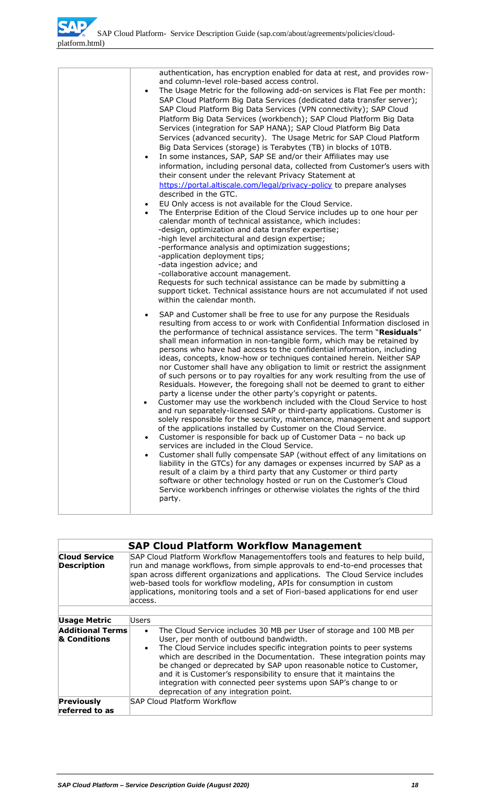|  | authentication, has encryption enabled for data at rest, and provides row-<br>and column-level role-based access control.<br>The Usage Metric for the following add-on services is Flat Fee per month:<br>$\bullet$<br>SAP Cloud Platform Big Data Services (dedicated data transfer server);<br>SAP Cloud Platform Big Data Services (VPN connectivity); SAP Cloud<br>Platform Big Data Services (workbench); SAP Cloud Platform Big Data<br>Services (integration for SAP HANA); SAP Cloud Platform Big Data<br>Services (advanced security). The Usage Metric for SAP Cloud Platform<br>Big Data Services (storage) is Terabytes (TB) in blocks of 10TB.<br>In some instances, SAP, SAP SE and/or their Affiliates may use<br>$\bullet$<br>information, including personal data, collected from Customer's users with<br>their consent under the relevant Privacy Statement at<br>https://portal.altiscale.com/legal/privacy-policy to prepare analyses<br>described in the GTC.<br>EU Only access is not available for the Cloud Service.<br>The Enterprise Edition of the Cloud Service includes up to one hour per<br>$\bullet$<br>calendar month of technical assistance, which includes:<br>-design, optimization and data transfer expertise;<br>-high level architectural and design expertise;<br>-performance analysis and optimization suggestions;<br>-application deployment tips;<br>-data ingestion advice; and<br>-collaborative account management.<br>Requests for such technical assistance can be made by submitting a<br>support ticket. Technical assistance hours are not accumulated if not used<br>within the calendar month. |
|--|----------------------------------------------------------------------------------------------------------------------------------------------------------------------------------------------------------------------------------------------------------------------------------------------------------------------------------------------------------------------------------------------------------------------------------------------------------------------------------------------------------------------------------------------------------------------------------------------------------------------------------------------------------------------------------------------------------------------------------------------------------------------------------------------------------------------------------------------------------------------------------------------------------------------------------------------------------------------------------------------------------------------------------------------------------------------------------------------------------------------------------------------------------------------------------------------------------------------------------------------------------------------------------------------------------------------------------------------------------------------------------------------------------------------------------------------------------------------------------------------------------------------------------------------------------------------------------------------------------------------------------------------------------|
|  | SAP and Customer shall be free to use for any purpose the Residuals<br>resulting from access to or work with Confidential Information disclosed in<br>the performance of technical assistance services. The term "Residuals"<br>shall mean information in non-tangible form, which may be retained by<br>persons who have had access to the confidential information, including<br>ideas, concepts, know-how or techniques contained herein. Neither SAP<br>nor Customer shall have any obligation to limit or restrict the assignment<br>of such persons or to pay royalties for any work resulting from the use of<br>Residuals. However, the foregoing shall not be deemed to grant to either<br>party a license under the other party's copyright or patents.<br>Customer may use the workbench included with the Cloud Service to host<br>$\bullet$<br>and run separately-licensed SAP or third-party applications. Customer is<br>solely responsible for the security, maintenance, management and support<br>of the applications installed by Customer on the Cloud Service.<br>Customer is responsible for back up of Customer Data - no back up<br>$\bullet$<br>services are included in the Cloud Service.<br>Customer shall fully compensate SAP (without effect of any limitations on<br>$\bullet$<br>liability in the GTCs) for any damages or expenses incurred by SAP as a<br>result of a claim by a third party that any Customer or third party<br>software or other technology hosted or run on the Customer's Cloud<br>Service workbench infringes or otherwise violates the rights of the third<br>party.                            |

|                                            | <b>SAP Cloud Platform Workflow Management</b>                                                                                                                                                                                                                                                                                                                                                                                                                                                                                                         |  |
|--------------------------------------------|-------------------------------------------------------------------------------------------------------------------------------------------------------------------------------------------------------------------------------------------------------------------------------------------------------------------------------------------------------------------------------------------------------------------------------------------------------------------------------------------------------------------------------------------------------|--|
| <b>Cloud Service</b><br><b>Description</b> | SAP Cloud Platform Workflow Managementoffers tools and features to help build,<br>run and manage workflows, from simple approvals to end-to-end processes that<br>span across different organizations and applications. The Cloud Service includes<br>web-based tools for workflow modeling, APIs for consumption in custom<br>applications, monitoring tools and a set of Fiori-based applications for end user<br>access.                                                                                                                           |  |
|                                            |                                                                                                                                                                                                                                                                                                                                                                                                                                                                                                                                                       |  |
| Usage Metric                               | Users                                                                                                                                                                                                                                                                                                                                                                                                                                                                                                                                                 |  |
| <b>Additional Terms</b><br>& Conditions    | The Cloud Service includes 30 MB per User of storage and 100 MB per<br>$\bullet$<br>User, per month of outbound bandwidth.<br>The Cloud Service includes specific integration points to peer systems<br>$\bullet$<br>which are described in the Documentation. These integration points may<br>be changed or deprecated by SAP upon reasonable notice to Customer,<br>and it is Customer's responsibility to ensure that it maintains the<br>integration with connected peer systems upon SAP's change to or<br>deprecation of any integration point. |  |
| <b>Previously</b><br>referred to as        | SAP Cloud Platform Workflow                                                                                                                                                                                                                                                                                                                                                                                                                                                                                                                           |  |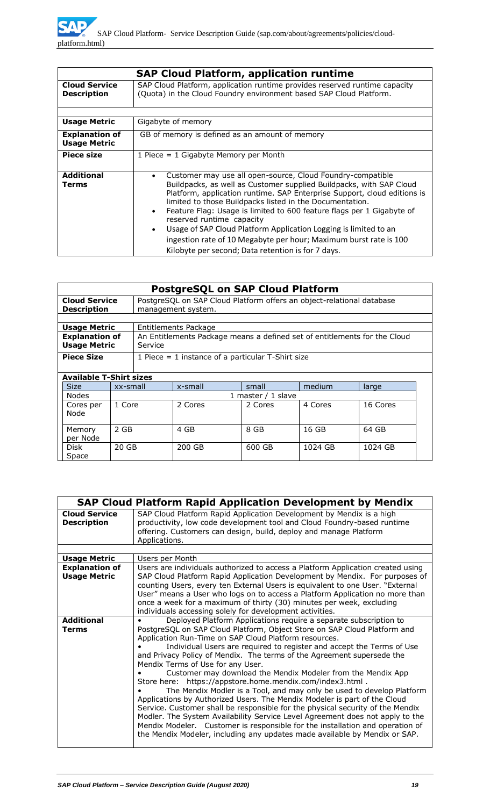| <b>SAP Cloud Platform, application runtime</b> |                                                                                                                                                                                                                                                                                                                                                                                                                                                                                                                                                                                             |  |  |
|------------------------------------------------|---------------------------------------------------------------------------------------------------------------------------------------------------------------------------------------------------------------------------------------------------------------------------------------------------------------------------------------------------------------------------------------------------------------------------------------------------------------------------------------------------------------------------------------------------------------------------------------------|--|--|
| <b>Cloud Service</b><br><b>Description</b>     | SAP Cloud Platform, application runtime provides reserved runtime capacity<br>(Quota) in the Cloud Foundry environment based SAP Cloud Platform.                                                                                                                                                                                                                                                                                                                                                                                                                                            |  |  |
|                                                |                                                                                                                                                                                                                                                                                                                                                                                                                                                                                                                                                                                             |  |  |
| <b>Usage Metric</b>                            | Gigabyte of memory                                                                                                                                                                                                                                                                                                                                                                                                                                                                                                                                                                          |  |  |
| <b>Explanation of</b><br><b>Usage Metric</b>   | GB of memory is defined as an amount of memory                                                                                                                                                                                                                                                                                                                                                                                                                                                                                                                                              |  |  |
| Piece size                                     | 1 Piece $= 1$ Gigabyte Memory per Month                                                                                                                                                                                                                                                                                                                                                                                                                                                                                                                                                     |  |  |
| <b>Additional</b><br>Terms                     | Customer may use all open-source, Cloud Foundry-compatible<br>Buildpacks, as well as Customer supplied Buildpacks, with SAP Cloud<br>Platform, application runtime. SAP Enterprise Support, cloud editions is<br>limited to those Buildpacks listed in the Documentation.<br>Feature Flag: Usage is limited to 600 feature flags per 1 Gigabyte of<br>reserved runtime capacity<br>Usage of SAP Cloud Platform Application Logging is limited to an<br>$\bullet$<br>ingestion rate of 10 Megabyte per hour; Maximum burst rate is 100<br>Kilobyte per second; Data retention is for 7 days. |  |  |

|                                | <b>PostgreSQL on SAP Cloud Platform</b> |         |                                                                           |                    |         |          |
|--------------------------------|-----------------------------------------|---------|---------------------------------------------------------------------------|--------------------|---------|----------|
| <b>Cloud Service</b>           |                                         |         | PostgreSQL on SAP Cloud Platform offers an object-relational database     |                    |         |          |
| <b>Description</b>             |                                         |         | management system.                                                        |                    |         |          |
|                                |                                         |         |                                                                           |                    |         |          |
| <b>Usage Metric</b>            |                                         |         | Entitlements Package                                                      |                    |         |          |
| <b>Explanation of</b>          |                                         |         | An Entitlements Package means a defined set of entitlements for the Cloud |                    |         |          |
| <b>Usage Metric</b>            |                                         | Service |                                                                           |                    |         |          |
| <b>Piece Size</b>              |                                         |         | 1 Piece $=$ 1 instance of a particular T-Shirt size                       |                    |         |          |
|                                |                                         |         |                                                                           |                    |         |          |
| <b>Available T-Shirt sizes</b> |                                         |         |                                                                           |                    |         |          |
| <b>Size</b>                    | xx-small                                |         | x-small                                                                   | small              | medium  | large    |
| <b>Nodes</b>                   |                                         |         |                                                                           | 1 master / 1 slave |         |          |
| Cores per                      | 1 Core                                  |         | 2 Cores                                                                   | 2 Cores            | 4 Cores | 16 Cores |
| Node                           |                                         |         |                                                                           |                    |         |          |
|                                |                                         |         |                                                                           |                    |         |          |
| Memory                         | 2 GB                                    |         | 4 GB                                                                      | 8 GB               | 16 GB   | 64 GB    |
| per Node                       |                                         |         |                                                                           |                    |         |          |
| Disk                           | 20 GB                                   |         | 200 GB                                                                    | 600 GB             | 1024 GB | 1024 GB  |
| Space                          |                                         |         |                                                                           |                    |         |          |

|                                              | <b>SAP Cloud Platform Rapid Application Development by Mendix</b>                                                                                                                                                                                                                                                                                                                                                                                                                                                                                                                                                                                                                                                                                                                                                                                                                                                                                                                                                   |
|----------------------------------------------|---------------------------------------------------------------------------------------------------------------------------------------------------------------------------------------------------------------------------------------------------------------------------------------------------------------------------------------------------------------------------------------------------------------------------------------------------------------------------------------------------------------------------------------------------------------------------------------------------------------------------------------------------------------------------------------------------------------------------------------------------------------------------------------------------------------------------------------------------------------------------------------------------------------------------------------------------------------------------------------------------------------------|
| <b>Cloud Service</b><br><b>Description</b>   | SAP Cloud Platform Rapid Application Development by Mendix is a high<br>productivity, low code development tool and Cloud Foundry-based runtime<br>offering. Customers can design, build, deploy and manage Platform<br>Applications.                                                                                                                                                                                                                                                                                                                                                                                                                                                                                                                                                                                                                                                                                                                                                                               |
|                                              |                                                                                                                                                                                                                                                                                                                                                                                                                                                                                                                                                                                                                                                                                                                                                                                                                                                                                                                                                                                                                     |
| <b>Usage Metric</b>                          | Users per Month                                                                                                                                                                                                                                                                                                                                                                                                                                                                                                                                                                                                                                                                                                                                                                                                                                                                                                                                                                                                     |
| <b>Explanation of</b><br><b>Usage Metric</b> | Users are individuals authorized to access a Platform Application created using<br>SAP Cloud Platform Rapid Application Development by Mendix. For purposes of<br>counting Users, every ten External Users is equivalent to one User. "External<br>User" means a User who logs on to access a Platform Application no more than<br>once a week for a maximum of thirty (30) minutes per week, excluding<br>individuals accessing solely for development activities.                                                                                                                                                                                                                                                                                                                                                                                                                                                                                                                                                 |
| <b>Additional</b><br><b>Terms</b>            | Deployed Platform Applications require a separate subscription to<br>PostgreSQL on SAP Cloud Platform, Object Store on SAP Cloud Platform and<br>Application Run-Time on SAP Cloud Platform resources.<br>Individual Users are required to register and accept the Terms of Use<br>and Privacy Policy of Mendix. The terms of the Agreement supersede the<br>Mendix Terms of Use for any User.<br>Customer may download the Mendix Modeler from the Mendix App<br>Store here: https://appstore.home.mendix.com/index3.html.<br>The Mendix Modler is a Tool, and may only be used to develop Platform<br>Applications by Authorized Users. The Mendix Modeler is part of the Cloud<br>Service. Customer shall be responsible for the physical security of the Mendix<br>Modler. The System Availability Service Level Agreement does not apply to the<br>Mendix Modeler. Customer is responsible for the installation and operation of<br>the Mendix Modeler, including any updates made available by Mendix or SAP. |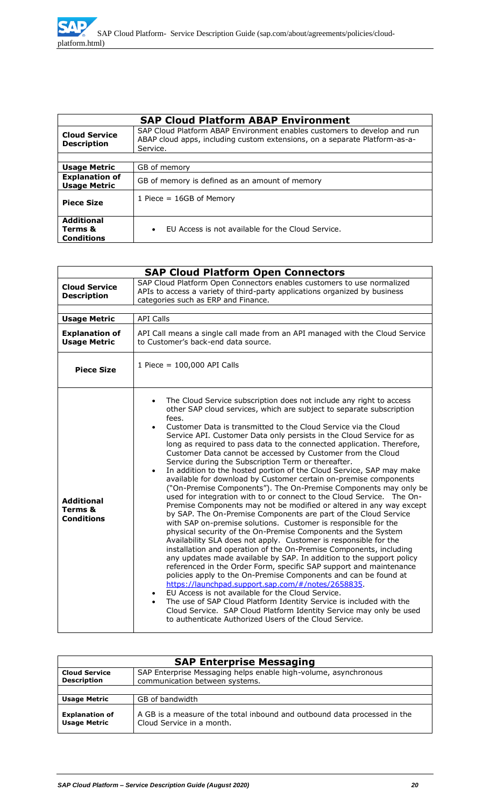|                                                   | <b>SAP Cloud Platform ABAP Environment</b>                                                                                                                         |  |
|---------------------------------------------------|--------------------------------------------------------------------------------------------------------------------------------------------------------------------|--|
| <b>Cloud Service</b><br><b>Description</b>        | SAP Cloud Platform ABAP Environment enables customers to develop and run<br>ABAP cloud apps, including custom extensions, on a separate Platform-as-a-<br>Service. |  |
|                                                   |                                                                                                                                                                    |  |
| <b>Usage Metric</b>                               | GB of memory                                                                                                                                                       |  |
| <b>Explanation of</b><br><b>Usage Metric</b>      | GB of memory is defined as an amount of memory                                                                                                                     |  |
| <b>Piece Size</b>                                 | 1 Piece $= 16GB$ of Memory                                                                                                                                         |  |
| <b>Additional</b><br>Terms &<br><b>Conditions</b> | EU Access is not available for the Cloud Service.<br>$\bullet$                                                                                                     |  |

|                                                   | <b>SAP Cloud Platform Open Connectors</b>                                                                                                                                                                                                                                                                                                                                                                                                                                                                                                                                                                                                                                                                                                                                                                                                                                                                                                                                                                                                                                                                                                                                                                                                                                                                                                                                                                                                                                                                                                                                                                                                                                                                                                                        |  |  |
|---------------------------------------------------|------------------------------------------------------------------------------------------------------------------------------------------------------------------------------------------------------------------------------------------------------------------------------------------------------------------------------------------------------------------------------------------------------------------------------------------------------------------------------------------------------------------------------------------------------------------------------------------------------------------------------------------------------------------------------------------------------------------------------------------------------------------------------------------------------------------------------------------------------------------------------------------------------------------------------------------------------------------------------------------------------------------------------------------------------------------------------------------------------------------------------------------------------------------------------------------------------------------------------------------------------------------------------------------------------------------------------------------------------------------------------------------------------------------------------------------------------------------------------------------------------------------------------------------------------------------------------------------------------------------------------------------------------------------------------------------------------------------------------------------------------------------|--|--|
| <b>Cloud Service</b><br><b>Description</b>        | SAP Cloud Platform Open Connectors enables customers to use normalized<br>APIs to access a variety of third-party applications organized by business<br>categories such as ERP and Finance.                                                                                                                                                                                                                                                                                                                                                                                                                                                                                                                                                                                                                                                                                                                                                                                                                                                                                                                                                                                                                                                                                                                                                                                                                                                                                                                                                                                                                                                                                                                                                                      |  |  |
|                                                   |                                                                                                                                                                                                                                                                                                                                                                                                                                                                                                                                                                                                                                                                                                                                                                                                                                                                                                                                                                                                                                                                                                                                                                                                                                                                                                                                                                                                                                                                                                                                                                                                                                                                                                                                                                  |  |  |
| <b>Usage Metric</b>                               | <b>API Calls</b>                                                                                                                                                                                                                                                                                                                                                                                                                                                                                                                                                                                                                                                                                                                                                                                                                                                                                                                                                                                                                                                                                                                                                                                                                                                                                                                                                                                                                                                                                                                                                                                                                                                                                                                                                 |  |  |
| <b>Explanation of</b><br><b>Usage Metric</b>      | API Call means a single call made from an API managed with the Cloud Service<br>to Customer's back-end data source.                                                                                                                                                                                                                                                                                                                                                                                                                                                                                                                                                                                                                                                                                                                                                                                                                                                                                                                                                                                                                                                                                                                                                                                                                                                                                                                                                                                                                                                                                                                                                                                                                                              |  |  |
| <b>Piece Size</b>                                 | 1 Piece = 100,000 API Calls                                                                                                                                                                                                                                                                                                                                                                                                                                                                                                                                                                                                                                                                                                                                                                                                                                                                                                                                                                                                                                                                                                                                                                                                                                                                                                                                                                                                                                                                                                                                                                                                                                                                                                                                      |  |  |
| <b>Additional</b><br>Terms &<br><b>Conditions</b> | The Cloud Service subscription does not include any right to access<br>other SAP cloud services, which are subject to separate subscription<br>fees.<br>Customer Data is transmitted to the Cloud Service via the Cloud<br>Service API. Customer Data only persists in the Cloud Service for as<br>long as required to pass data to the connected application. Therefore,<br>Customer Data cannot be accessed by Customer from the Cloud<br>Service during the Subscription Term or thereafter.<br>In addition to the hosted portion of the Cloud Service, SAP may make<br>available for download by Customer certain on-premise components<br>("On-Premise Components"). The On-Premise Components may only be<br>used for integration with to or connect to the Cloud Service. The On-<br>Premise Components may not be modified or altered in any way except<br>by SAP. The On-Premise Components are part of the Cloud Service<br>with SAP on-premise solutions. Customer is responsible for the<br>physical security of the On-Premise Components and the System<br>Availability SLA does not apply. Customer is responsible for the<br>installation and operation of the On-Premise Components, including<br>any updates made available by SAP. In addition to the support policy<br>referenced in the Order Form, specific SAP support and maintenance<br>policies apply to the On-Premise Components and can be found at<br>https://launchpad.support.sap.com/#/notes/2658835.<br>EU Access is not available for the Cloud Service.<br>$\bullet$<br>The use of SAP Cloud Platform Identity Service is included with the<br>Cloud Service. SAP Cloud Platform Identity Service may only be used<br>to authenticate Authorized Users of the Cloud Service. |  |  |

| <b>SAP Enterprise Messaging</b>              |                                                                                                        |  |  |
|----------------------------------------------|--------------------------------------------------------------------------------------------------------|--|--|
| <b>Cloud Service</b><br><b>Description</b>   | SAP Enterprise Messaging helps enable high-volume, asynchronous<br>communication between systems.      |  |  |
|                                              |                                                                                                        |  |  |
| <b>Usage Metric</b>                          | GB of bandwidth                                                                                        |  |  |
| <b>Explanation of</b><br><b>Usage Metric</b> | A GB is a measure of the total inbound and outbound data processed in the<br>Cloud Service in a month. |  |  |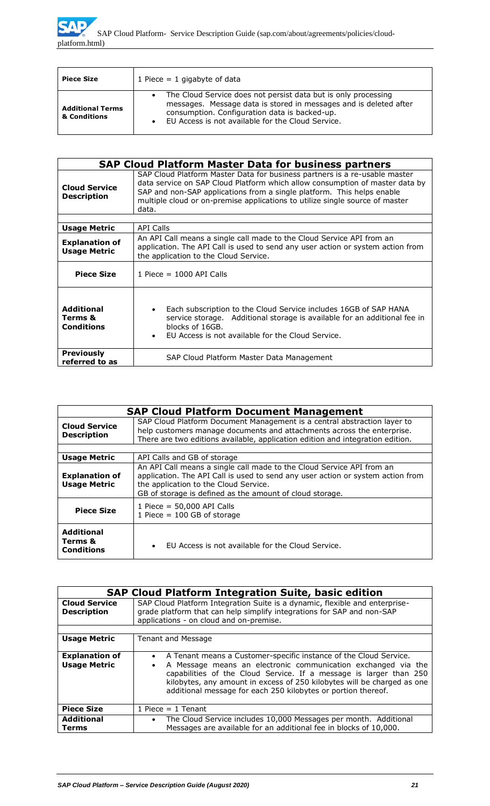| <b>Piece Size</b>                       | 1 Piece $= 1$ gigabyte of data                                                                                                                                                                                                              |  |  |
|-----------------------------------------|---------------------------------------------------------------------------------------------------------------------------------------------------------------------------------------------------------------------------------------------|--|--|
| <b>Additional Terms</b><br>& Conditions | • The Cloud Service does not persist data but is only processing<br>messages. Message data is stored in messages and is deleted after<br>consumption. Configuration data is backed-up.<br>EU Access is not available for the Cloud Service. |  |  |

| <b>SAP Cloud Platform Master Data for business partners</b> |                                                                                                                                                                                                                                                                                                                               |  |  |  |  |
|-------------------------------------------------------------|-------------------------------------------------------------------------------------------------------------------------------------------------------------------------------------------------------------------------------------------------------------------------------------------------------------------------------|--|--|--|--|
| <b>Cloud Service</b><br><b>Description</b>                  | SAP Cloud Platform Master Data for business partners is a re-usable master<br>data service on SAP Cloud Platform which allow consumption of master data by<br>SAP and non-SAP applications from a single platform. This helps enable<br>multiple cloud or on-premise applications to utilize single source of master<br>data. |  |  |  |  |
|                                                             |                                                                                                                                                                                                                                                                                                                               |  |  |  |  |
| <b>Usage Metric</b>                                         | <b>API Calls</b>                                                                                                                                                                                                                                                                                                              |  |  |  |  |
| <b>Explanation of</b><br><b>Usage Metric</b>                | An API Call means a single call made to the Cloud Service API from an<br>application. The API Call is used to send any user action or system action from<br>the application to the Cloud Service.                                                                                                                             |  |  |  |  |
| <b>Piece Size</b>                                           | 1 Piece = $1000$ API Calls                                                                                                                                                                                                                                                                                                    |  |  |  |  |
| <b>Additional</b><br>Terms &<br><b>Conditions</b>           | Each subscription to the Cloud Service includes 16GB of SAP HANA<br>$\bullet$<br>service storage. Additional storage is available for an additional fee in<br>blocks of 16GB.<br>EU Access is not available for the Cloud Service.                                                                                            |  |  |  |  |
| <b>Previously</b><br>referred to as                         | SAP Cloud Platform Master Data Management                                                                                                                                                                                                                                                                                     |  |  |  |  |

|                                                                                                                                                                                                                                                                                    | <b>SAP Cloud Platform Document Management</b>                                                                                                                                                                                                                 |  |  |  |
|------------------------------------------------------------------------------------------------------------------------------------------------------------------------------------------------------------------------------------------------------------------------------------|---------------------------------------------------------------------------------------------------------------------------------------------------------------------------------------------------------------------------------------------------------------|--|--|--|
| SAP Cloud Platform Document Management is a central abstraction layer to<br><b>Cloud Service</b><br>help customers manage documents and attachments across the enterprise.<br><b>Description</b><br>There are two editions available, application edition and integration edition. |                                                                                                                                                                                                                                                               |  |  |  |
| <b>Usage Metric</b>                                                                                                                                                                                                                                                                | API Calls and GB of storage                                                                                                                                                                                                                                   |  |  |  |
| <b>Explanation of</b><br><b>Usage Metric</b>                                                                                                                                                                                                                                       | An API Call means a single call made to the Cloud Service API from an<br>application. The API Call is used to send any user action or system action from<br>the application to the Cloud Service.<br>GB of storage is defined as the amount of cloud storage. |  |  |  |
| <b>Piece Size</b>                                                                                                                                                                                                                                                                  | 1 Piece = $50,000$ API Calls<br>1 Piece = $100$ GB of storage                                                                                                                                                                                                 |  |  |  |
| <b>Additional</b><br>Terms &<br><b>Conditions</b>                                                                                                                                                                                                                                  | EU Access is not available for the Cloud Service.<br>$\bullet$                                                                                                                                                                                                |  |  |  |

| <b>SAP Cloud Platform Integration Suite, basic edition</b> |                                                                                                                                                                                                                                                                                                                                                        |  |  |  |
|------------------------------------------------------------|--------------------------------------------------------------------------------------------------------------------------------------------------------------------------------------------------------------------------------------------------------------------------------------------------------------------------------------------------------|--|--|--|
| <b>Cloud Service</b><br><b>Description</b>                 | SAP Cloud Platform Integration Suite is a dynamic, flexible and enterprise-<br>grade platform that can help simplify integrations for SAP and non-SAP<br>applications - on cloud and on-premise.                                                                                                                                                       |  |  |  |
| <b>Usage Metric</b>                                        | Tenant and Message                                                                                                                                                                                                                                                                                                                                     |  |  |  |
| <b>Explanation of</b><br><b>Usage Metric</b>               | • A Tenant means a Customer-specific instance of the Cloud Service.<br>A Message means an electronic communication exchanged via the<br>capabilities of the Cloud Service. If a message is larger than 250<br>kilobytes, any amount in excess of 250 kilobytes will be charged as one<br>additional message for each 250 kilobytes or portion thereof. |  |  |  |
| <b>Piece Size</b>                                          | 1 Piece $=$ 1 Tenant                                                                                                                                                                                                                                                                                                                                   |  |  |  |
| <b>Additional</b><br>Terms                                 | The Cloud Service includes 10,000 Messages per month. Additional<br>$\bullet$<br>Messages are available for an additional fee in blocks of 10,000.                                                                                                                                                                                                     |  |  |  |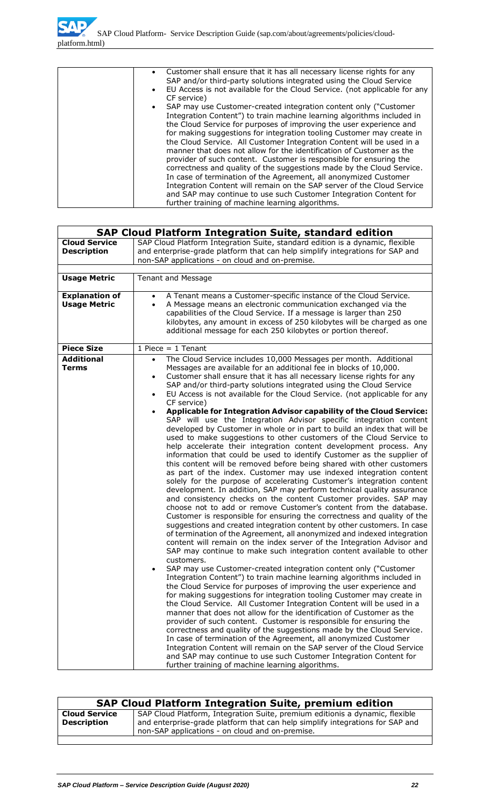| • Customer shall ensure that it has all necessary license rights for any<br>SAP and/or third-party solutions integrated using the Cloud Service<br>EU Access is not available for the Cloud Service. (not applicable for any<br>CF service) |
|---------------------------------------------------------------------------------------------------------------------------------------------------------------------------------------------------------------------------------------------|
| SAP may use Customer-created integration content only ("Customer                                                                                                                                                                            |
| Integration Content") to train machine learning algorithms included in                                                                                                                                                                      |
| the Cloud Service for purposes of improving the user experience and                                                                                                                                                                         |
| for making suggestions for integration tooling Customer may create in                                                                                                                                                                       |
| the Cloud Service. All Customer Integration Content will be used in a                                                                                                                                                                       |
| manner that does not allow for the identification of Customer as the                                                                                                                                                                        |
| provider of such content. Customer is responsible for ensuring the                                                                                                                                                                          |
| correctness and quality of the suggestions made by the Cloud Service.                                                                                                                                                                       |
| In case of termination of the Agreement, all anonymized Customer                                                                                                                                                                            |
| Integration Content will remain on the SAP server of the Cloud Service                                                                                                                                                                      |
| and SAP may continue to use such Customer Integration Content for                                                                                                                                                                           |
| further training of machine learning algorithms.                                                                                                                                                                                            |

|                                              | <b>SAP Cloud Platform Integration Suite, standard edition</b>                                                                                                                                                                                                                                                                                                                                                                                                                                                                                                                                                                                                                                                                                                                                                                                                                                                                                                                                                                                                                                                                                                                                                                                                                                                                                                                                                                                                                                                                                                                                                                                                                                                                                                                                                                                                                                                                                                                                                                                                                                                                                                                                                                                                                                                                                                                                                                                                                                                                                                                            |  |  |  |  |
|----------------------------------------------|------------------------------------------------------------------------------------------------------------------------------------------------------------------------------------------------------------------------------------------------------------------------------------------------------------------------------------------------------------------------------------------------------------------------------------------------------------------------------------------------------------------------------------------------------------------------------------------------------------------------------------------------------------------------------------------------------------------------------------------------------------------------------------------------------------------------------------------------------------------------------------------------------------------------------------------------------------------------------------------------------------------------------------------------------------------------------------------------------------------------------------------------------------------------------------------------------------------------------------------------------------------------------------------------------------------------------------------------------------------------------------------------------------------------------------------------------------------------------------------------------------------------------------------------------------------------------------------------------------------------------------------------------------------------------------------------------------------------------------------------------------------------------------------------------------------------------------------------------------------------------------------------------------------------------------------------------------------------------------------------------------------------------------------------------------------------------------------------------------------------------------------------------------------------------------------------------------------------------------------------------------------------------------------------------------------------------------------------------------------------------------------------------------------------------------------------------------------------------------------------------------------------------------------------------------------------------------------|--|--|--|--|
| <b>Cloud Service</b><br><b>Description</b>   | SAP Cloud Platform Integration Suite, standard edition is a dynamic, flexible<br>and enterprise-grade platform that can help simplify integrations for SAP and                                                                                                                                                                                                                                                                                                                                                                                                                                                                                                                                                                                                                                                                                                                                                                                                                                                                                                                                                                                                                                                                                                                                                                                                                                                                                                                                                                                                                                                                                                                                                                                                                                                                                                                                                                                                                                                                                                                                                                                                                                                                                                                                                                                                                                                                                                                                                                                                                           |  |  |  |  |
|                                              | non-SAP applications - on cloud and on-premise.                                                                                                                                                                                                                                                                                                                                                                                                                                                                                                                                                                                                                                                                                                                                                                                                                                                                                                                                                                                                                                                                                                                                                                                                                                                                                                                                                                                                                                                                                                                                                                                                                                                                                                                                                                                                                                                                                                                                                                                                                                                                                                                                                                                                                                                                                                                                                                                                                                                                                                                                          |  |  |  |  |
| <b>Usage Metric</b>                          | <b>Tenant and Message</b>                                                                                                                                                                                                                                                                                                                                                                                                                                                                                                                                                                                                                                                                                                                                                                                                                                                                                                                                                                                                                                                                                                                                                                                                                                                                                                                                                                                                                                                                                                                                                                                                                                                                                                                                                                                                                                                                                                                                                                                                                                                                                                                                                                                                                                                                                                                                                                                                                                                                                                                                                                |  |  |  |  |
| <b>Explanation of</b><br><b>Usage Metric</b> | A Tenant means a Customer-specific instance of the Cloud Service.<br>$\bullet$<br>A Message means an electronic communication exchanged via the<br>$\bullet$<br>capabilities of the Cloud Service. If a message is larger than 250<br>kilobytes, any amount in excess of 250 kilobytes will be charged as one<br>additional message for each 250 kilobytes or portion thereof.                                                                                                                                                                                                                                                                                                                                                                                                                                                                                                                                                                                                                                                                                                                                                                                                                                                                                                                                                                                                                                                                                                                                                                                                                                                                                                                                                                                                                                                                                                                                                                                                                                                                                                                                                                                                                                                                                                                                                                                                                                                                                                                                                                                                           |  |  |  |  |
| <b>Piece Size</b>                            | 1 Piece $= 1$ Tenant                                                                                                                                                                                                                                                                                                                                                                                                                                                                                                                                                                                                                                                                                                                                                                                                                                                                                                                                                                                                                                                                                                                                                                                                                                                                                                                                                                                                                                                                                                                                                                                                                                                                                                                                                                                                                                                                                                                                                                                                                                                                                                                                                                                                                                                                                                                                                                                                                                                                                                                                                                     |  |  |  |  |
| <b>Additional</b><br><b>Terms</b>            | The Cloud Service includes 10,000 Messages per month. Additional<br>$\bullet$<br>Messages are available for an additional fee in blocks of 10,000.<br>Customer shall ensure that it has all necessary license rights for any<br>$\bullet$<br>SAP and/or third-party solutions integrated using the Cloud Service<br>EU Access is not available for the Cloud Service. (not applicable for any<br>$\bullet$<br>CF service)<br>Applicable for Integration Advisor capability of the Cloud Service:<br>SAP will use the Integration Advisor specific integration content<br>developed by Customer in whole or in part to build an index that will be<br>used to make suggestions to other customers of the Cloud Service to<br>help accelerate their integration content development process. Any<br>information that could be used to identify Customer as the supplier of<br>this content will be removed before being shared with other customers<br>as part of the index. Customer may use indexed integration content<br>solely for the purpose of accelerating Customer's integration content<br>development. In addition, SAP may perform technical quality assurance<br>and consistency checks on the content Customer provides. SAP may<br>choose not to add or remove Customer's content from the database.<br>Customer is responsible for ensuring the correctness and quality of the<br>suggestions and created integration content by other customers. In case<br>of termination of the Agreement, all anonymized and indexed integration<br>content will remain on the index server of the Integration Advisor and<br>SAP may continue to make such integration content available to other<br>customers.<br>SAP may use Customer-created integration content only ("Customer<br>Integration Content") to train machine learning algorithms included in<br>the Cloud Service for purposes of improving the user experience and<br>for making suggestions for integration tooling Customer may create in<br>the Cloud Service. All Customer Integration Content will be used in a<br>manner that does not allow for the identification of Customer as the<br>provider of such content. Customer is responsible for ensuring the<br>correctness and quality of the suggestions made by the Cloud Service.<br>In case of termination of the Agreement, all anonymized Customer<br>Integration Content will remain on the SAP server of the Cloud Service<br>and SAP may continue to use such Customer Integration Content for<br>further training of machine learning algorithms. |  |  |  |  |

| <b>SAP Cloud Platform Integration Suite, premium edition</b> |                                                                                                                                                                                                                  |  |  |
|--------------------------------------------------------------|------------------------------------------------------------------------------------------------------------------------------------------------------------------------------------------------------------------|--|--|
| <b>Cloud Service</b><br><b>Description</b>                   | SAP Cloud Platform, Integration Suite, premium editionis a dynamic, flexible<br>and enterprise-grade platform that can help simplify integrations for SAP and<br>non-SAP applications - on cloud and on-premise. |  |  |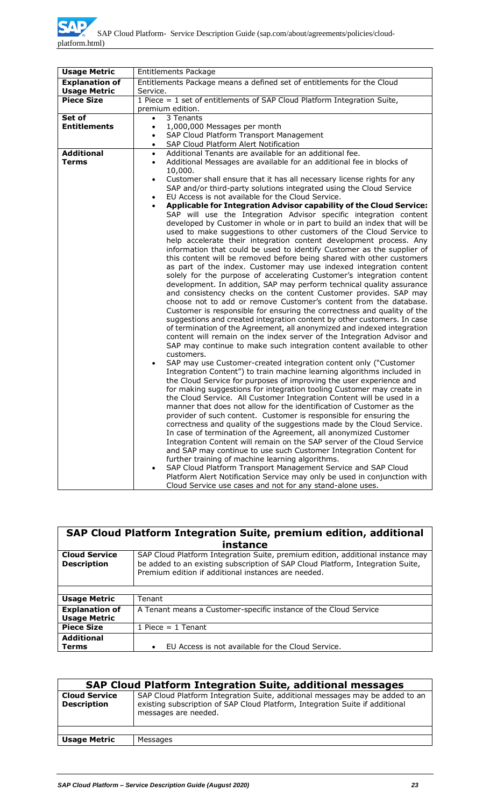| <b>Usage Metric</b>   | Entitlements Package                                                                                                                            |  |  |  |  |
|-----------------------|-------------------------------------------------------------------------------------------------------------------------------------------------|--|--|--|--|
| <b>Explanation of</b> | Entitlements Package means a defined set of entitlements for the Cloud                                                                          |  |  |  |  |
| <b>Usage Metric</b>   | Service.                                                                                                                                        |  |  |  |  |
| <b>Piece Size</b>     | 1 Piece = 1 set of entitlements of SAP Cloud Platform Integration Suite,                                                                        |  |  |  |  |
|                       | premium edition.                                                                                                                                |  |  |  |  |
| Set of                | 3 Tenants<br>$\bullet$                                                                                                                          |  |  |  |  |
| <b>Entitlements</b>   | 1,000,000 Messages per month<br>$\bullet$<br>SAP Cloud Platform Transport Management<br>$\bullet$                                               |  |  |  |  |
|                       | SAP Cloud Platform Alert Notification                                                                                                           |  |  |  |  |
| <b>Additional</b>     | $\bullet$<br>Additional Tenants are available for an additional fee.<br>$\bullet$                                                               |  |  |  |  |
| <b>Terms</b>          | Additional Messages are available for an additional fee in blocks of<br>$\bullet$                                                               |  |  |  |  |
|                       | 10,000.                                                                                                                                         |  |  |  |  |
|                       | Customer shall ensure that it has all necessary license rights for any<br>$\bullet$                                                             |  |  |  |  |
|                       | SAP and/or third-party solutions integrated using the Cloud Service                                                                             |  |  |  |  |
|                       | EU Access is not available for the Cloud Service.                                                                                               |  |  |  |  |
|                       | Applicable for Integration Advisor capability of the Cloud Service:<br>$\bullet$                                                                |  |  |  |  |
|                       | SAP will use the Integration Advisor specific integration content                                                                               |  |  |  |  |
|                       | developed by Customer in whole or in part to build an index that will be                                                                        |  |  |  |  |
|                       | used to make suggestions to other customers of the Cloud Service to                                                                             |  |  |  |  |
|                       | help accelerate their integration content development process. Any                                                                              |  |  |  |  |
|                       | information that could be used to identify Customer as the supplier of<br>this content will be removed before being shared with other customers |  |  |  |  |
|                       | as part of the index. Customer may use indexed integration content                                                                              |  |  |  |  |
|                       | solely for the purpose of accelerating Customer's integration content                                                                           |  |  |  |  |
|                       | development. In addition, SAP may perform technical quality assurance                                                                           |  |  |  |  |
|                       | and consistency checks on the content Customer provides. SAP may                                                                                |  |  |  |  |
|                       | choose not to add or remove Customer's content from the database.                                                                               |  |  |  |  |
|                       | Customer is responsible for ensuring the correctness and quality of the                                                                         |  |  |  |  |
|                       | suggestions and created integration content by other customers. In case                                                                         |  |  |  |  |
|                       | of termination of the Agreement, all anonymized and indexed integration                                                                         |  |  |  |  |
|                       | content will remain on the index server of the Integration Advisor and                                                                          |  |  |  |  |
|                       | SAP may continue to make such integration content available to other                                                                            |  |  |  |  |
|                       | customers.                                                                                                                                      |  |  |  |  |
|                       | SAP may use Customer-created integration content only ("Customer<br>$\bullet$                                                                   |  |  |  |  |
|                       | Integration Content") to train machine learning algorithms included in<br>the Cloud Service for purposes of improving the user experience and   |  |  |  |  |
|                       | for making suggestions for integration tooling Customer may create in                                                                           |  |  |  |  |
|                       | the Cloud Service. All Customer Integration Content will be used in a                                                                           |  |  |  |  |
|                       | manner that does not allow for the identification of Customer as the                                                                            |  |  |  |  |
|                       | provider of such content. Customer is responsible for ensuring the                                                                              |  |  |  |  |
|                       | correctness and quality of the suggestions made by the Cloud Service.                                                                           |  |  |  |  |
|                       | In case of termination of the Agreement, all anonymized Customer                                                                                |  |  |  |  |
|                       | Integration Content will remain on the SAP server of the Cloud Service                                                                          |  |  |  |  |
|                       | and SAP may continue to use such Customer Integration Content for                                                                               |  |  |  |  |
|                       | further training of machine learning algorithms.                                                                                                |  |  |  |  |
|                       | SAP Cloud Platform Transport Management Service and SAP Cloud                                                                                   |  |  |  |  |
|                       | Platform Alert Notification Service may only be used in conjunction with                                                                        |  |  |  |  |
|                       | Cloud Service use cases and not for any stand-alone uses.                                                                                       |  |  |  |  |

| SAP Cloud Platform Integration Suite, premium edition, additional                                                                                                                                                                                                     |                                                                  |  |  |
|-----------------------------------------------------------------------------------------------------------------------------------------------------------------------------------------------------------------------------------------------------------------------|------------------------------------------------------------------|--|--|
|                                                                                                                                                                                                                                                                       | instance                                                         |  |  |
| <b>Cloud Service</b><br>SAP Cloud Platform Integration Suite, premium edition, additional instance may<br>be added to an existing subscription of SAP Cloud Platform, Integration Suite,<br><b>Description</b><br>Premium edition if additional instances are needed. |                                                                  |  |  |
|                                                                                                                                                                                                                                                                       |                                                                  |  |  |
| <b>Usage Metric</b>                                                                                                                                                                                                                                                   | Tenant                                                           |  |  |
| <b>Explanation of</b><br><b>Usage Metric</b>                                                                                                                                                                                                                          | A Tenant means a Customer-specific instance of the Cloud Service |  |  |
| <b>Piece Size</b>                                                                                                                                                                                                                                                     | 1 Piece $= 1$ Tenant                                             |  |  |
| <b>Additional</b><br>Terms                                                                                                                                                                                                                                            | EU Access is not available for the Cloud Service.                |  |  |

| <b>SAP Cloud Platform Integration Suite, additional messages</b> |                                                                                                                                                                                      |  |  |
|------------------------------------------------------------------|--------------------------------------------------------------------------------------------------------------------------------------------------------------------------------------|--|--|
| <b>Cloud Service</b><br><b>Description</b>                       | SAP Cloud Platform Integration Suite, additional messages may be added to an<br>existing subscription of SAP Cloud Platform, Integration Suite if additional<br>messages are needed. |  |  |
|                                                                  |                                                                                                                                                                                      |  |  |
| <b>Usage Metric</b>                                              | Messages                                                                                                                                                                             |  |  |
|                                                                  |                                                                                                                                                                                      |  |  |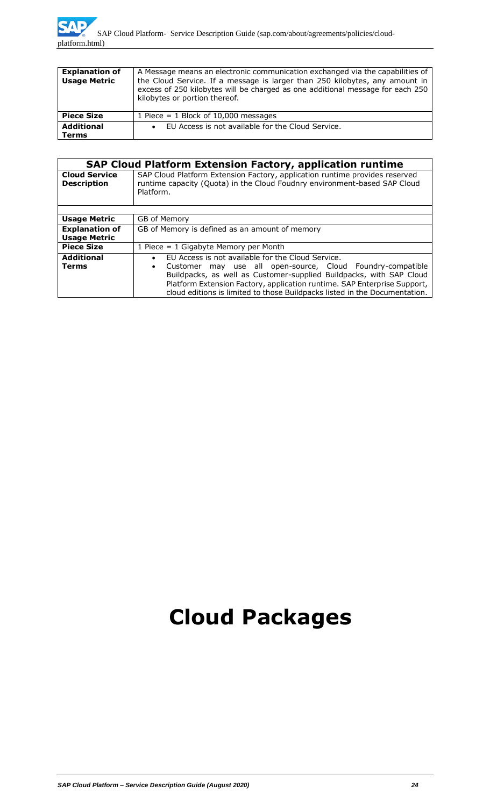| <b>Explanation of</b><br><b>Usage Metric</b> | A Message means an electronic communication exchanged via the capabilities of<br>the Cloud Service. If a message is larger than 250 kilobytes, any amount in<br>excess of 250 kilobytes will be charged as one additional message for each 250<br>kilobytes or portion thereof. |  |
|----------------------------------------------|---------------------------------------------------------------------------------------------------------------------------------------------------------------------------------------------------------------------------------------------------------------------------------|--|
| <b>Piece Size</b>                            | 1 Piece = $1$ Block of 10,000 messages                                                                                                                                                                                                                                          |  |
| <b>Additional</b><br><b>Terms</b>            | EU Access is not available for the Cloud Service.                                                                                                                                                                                                                               |  |

|                                              | <b>SAP Cloud Platform Extension Factory, application runtime</b>                                                                                                                                                                                                                                                                                                 |  |  |
|----------------------------------------------|------------------------------------------------------------------------------------------------------------------------------------------------------------------------------------------------------------------------------------------------------------------------------------------------------------------------------------------------------------------|--|--|
| <b>Cloud Service</b><br><b>Description</b>   | SAP Cloud Platform Extension Factory, application runtime provides reserved<br>runtime capacity (Quota) in the Cloud Foudnry environment-based SAP Cloud<br>Platform.                                                                                                                                                                                            |  |  |
|                                              |                                                                                                                                                                                                                                                                                                                                                                  |  |  |
| <b>Usage Metric</b>                          | GB of Memory                                                                                                                                                                                                                                                                                                                                                     |  |  |
| <b>Explanation of</b><br><b>Usage Metric</b> | GB of Memory is defined as an amount of memory                                                                                                                                                                                                                                                                                                                   |  |  |
| <b>Piece Size</b>                            | 1 Piece $= 1$ Gigabyte Memory per Month                                                                                                                                                                                                                                                                                                                          |  |  |
| <b>Additional</b><br><b>Terms</b>            | EU Access is not available for the Cloud Service.<br>$\bullet$<br>may use all open-source, Cloud Foundry-compatible<br>Customer<br>Buildpacks, as well as Customer-supplied Buildpacks, with SAP Cloud<br>Platform Extension Factory, application runtime. SAP Enterprise Support,<br>cloud editions is limited to those Buildpacks listed in the Documentation. |  |  |

# **Cloud Packages**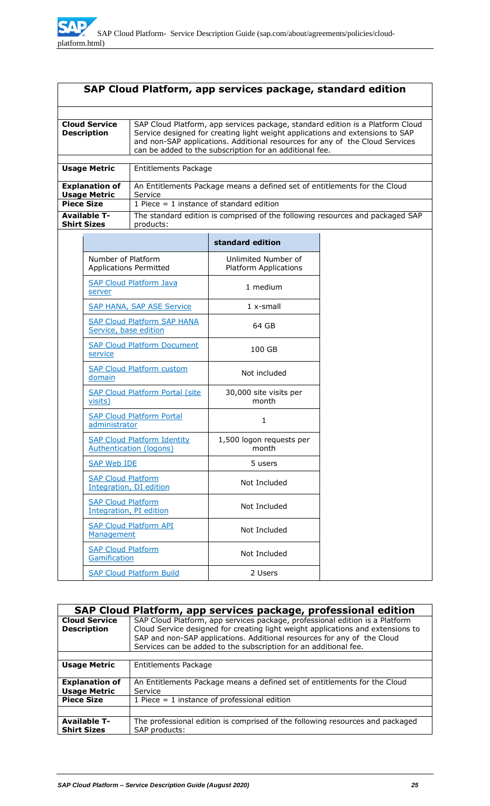| SAP Cloud Platform, app services package, standard edition                   |                                                                                                                                                                                                         |                                                                                                                                                                                                                                                                                                            |                                                                               |  |  |
|------------------------------------------------------------------------------|---------------------------------------------------------------------------------------------------------------------------------------------------------------------------------------------------------|------------------------------------------------------------------------------------------------------------------------------------------------------------------------------------------------------------------------------------------------------------------------------------------------------------|-------------------------------------------------------------------------------|--|--|
|                                                                              |                                                                                                                                                                                                         |                                                                                                                                                                                                                                                                                                            |                                                                               |  |  |
| <b>Cloud Service</b><br><b>Description</b>                                   |                                                                                                                                                                                                         | SAP Cloud Platform, app services package, standard edition is a Platform Cloud<br>Service designed for creating light weight applications and extensions to SAP<br>and non-SAP applications. Additional resources for any of the Cloud Services<br>can be added to the subscription for an additional fee. |                                                                               |  |  |
|                                                                              | <b>Usage Metric</b>                                                                                                                                                                                     | Entitlements Package                                                                                                                                                                                                                                                                                       |                                                                               |  |  |
| <b>Explanation of</b><br><b>Usage Metric</b><br>Service<br><b>Piece Size</b> |                                                                                                                                                                                                         | 1 Piece $= 1$ instance of standard edition                                                                                                                                                                                                                                                                 | An Entitlements Package means a defined set of entitlements for the Cloud     |  |  |
|                                                                              | <b>Available T-</b><br><b>Shirt Sizes</b>                                                                                                                                                               | products:                                                                                                                                                                                                                                                                                                  | The standard edition is comprised of the following resources and packaged SAP |  |  |
|                                                                              |                                                                                                                                                                                                         |                                                                                                                                                                                                                                                                                                            | standard edition                                                              |  |  |
|                                                                              | Number of Platform                                                                                                                                                                                      | <b>Applications Permitted</b>                                                                                                                                                                                                                                                                              | Unlimited Number of<br><b>Platform Applications</b>                           |  |  |
|                                                                              | server                                                                                                                                                                                                  | <b>SAP Cloud Platform Java</b>                                                                                                                                                                                                                                                                             | 1 medium                                                                      |  |  |
|                                                                              |                                                                                                                                                                                                         | <b>SAP HANA, SAP ASE Service</b>                                                                                                                                                                                                                                                                           | $1x$ -small                                                                   |  |  |
|                                                                              | <b>SAP Cloud Platform SAP HANA</b><br>Service, base edition                                                                                                                                             |                                                                                                                                                                                                                                                                                                            | 64 GB                                                                         |  |  |
|                                                                              | service                                                                                                                                                                                                 | <b>SAP Cloud Platform Document</b>                                                                                                                                                                                                                                                                         | 100 GB                                                                        |  |  |
|                                                                              | domain                                                                                                                                                                                                  | <b>SAP Cloud Platform custom</b>                                                                                                                                                                                                                                                                           | Not included                                                                  |  |  |
|                                                                              | visits)                                                                                                                                                                                                 | <b>SAP Cloud Platform Portal (site)</b>                                                                                                                                                                                                                                                                    | 30,000 site visits per<br>month                                               |  |  |
|                                                                              | <b>SAP Cloud Platform Portal</b><br>administrator<br><b>SAP Cloud Platform Identity</b><br><b>Authentication (logons)</b><br><b>SAP Web IDE</b><br><b>SAP Cloud Platform</b><br>Integration, DI edition |                                                                                                                                                                                                                                                                                                            | 1                                                                             |  |  |
|                                                                              |                                                                                                                                                                                                         |                                                                                                                                                                                                                                                                                                            | 1,500 logon requests per<br>month                                             |  |  |
|                                                                              |                                                                                                                                                                                                         |                                                                                                                                                                                                                                                                                                            | 5 users                                                                       |  |  |
|                                                                              |                                                                                                                                                                                                         |                                                                                                                                                                                                                                                                                                            | Not Included                                                                  |  |  |
|                                                                              | <b>SAP Cloud Platform</b><br>Integration, PI edition                                                                                                                                                    |                                                                                                                                                                                                                                                                                                            | Not Included                                                                  |  |  |
|                                                                              | <b>SAP Cloud Platform API</b><br>Management                                                                                                                                                             |                                                                                                                                                                                                                                                                                                            | Not Included                                                                  |  |  |
|                                                                              | <b>SAP Cloud Platform</b><br>Gamification                                                                                                                                                               |                                                                                                                                                                                                                                                                                                            | Not Included                                                                  |  |  |
|                                                                              |                                                                                                                                                                                                         | <b>SAP Cloud Platform Build</b>                                                                                                                                                                                                                                                                            | 2 Users                                                                       |  |  |

|                                              | SAP Cloud Platform, app services package, professional edition                                                                                                                                                                                                                                                 |
|----------------------------------------------|----------------------------------------------------------------------------------------------------------------------------------------------------------------------------------------------------------------------------------------------------------------------------------------------------------------|
| <b>Cloud Service</b><br><b>Description</b>   | SAP Cloud Platform, app services package, professional edition is a Platform<br>Cloud Service designed for creating light weight applications and extensions to<br>SAP and non-SAP applications. Additional resources for any of the Cloud<br>Services can be added to the subscription for an additional fee. |
|                                              |                                                                                                                                                                                                                                                                                                                |
| <b>Usage Metric</b>                          | Entitlements Package                                                                                                                                                                                                                                                                                           |
| <b>Explanation of</b><br><b>Usage Metric</b> | An Entitlements Package means a defined set of entitlements for the Cloud<br>Service                                                                                                                                                                                                                           |
| <b>Piece Size</b>                            | 1 Piece $=$ 1 instance of professional edition                                                                                                                                                                                                                                                                 |
|                                              |                                                                                                                                                                                                                                                                                                                |
| <b>Available T-</b><br><b>Shirt Sizes</b>    | The professional edition is comprised of the following resources and packaged<br>SAP products:                                                                                                                                                                                                                 |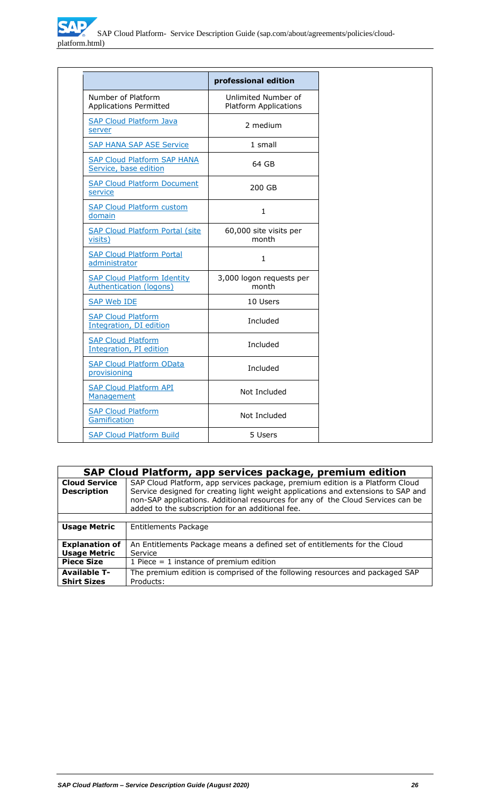|                                                                      | professional edition                                |
|----------------------------------------------------------------------|-----------------------------------------------------|
| Number of Platform<br><b>Applications Permitted</b>                  | Unlimited Number of<br><b>Platform Applications</b> |
| <b>SAP Cloud Platform Java</b><br>server                             | 2 medium                                            |
| <b>SAP HANA SAP ASE Service</b>                                      | 1 small                                             |
| <b>SAP Cloud Platform SAP HANA</b><br>Service, base edition          | 64 GB                                               |
| <b>SAP Cloud Platform Document</b><br>service                        | 200 GB                                              |
| <b>SAP Cloud Platform custom</b><br>domain                           | $\mathbf{1}$                                        |
| <b>SAP Cloud Platform Portal (site)</b><br>visits)                   | 60,000 site visits per<br>month                     |
| <b>SAP Cloud Platform Portal</b><br>administrator                    | $\mathbf{1}$                                        |
| <b>SAP Cloud Platform Identity</b><br><b>Authentication (logons)</b> | 3,000 logon requests per<br>month                   |
| <b>SAP Web IDE</b>                                                   | 10 Users                                            |
| <b>SAP Cloud Platform</b><br>Integration, DI edition                 | Included                                            |
| <b>SAP Cloud Platform</b><br>Integration, PI edition                 | Included                                            |
| <b>SAP Cloud Platform OData</b><br>provisioning                      | Included                                            |
| <b>SAP Cloud Platform API</b><br>Management                          | Not Included                                        |
| <b>SAP Cloud Platform</b><br>Gamification                            | Not Included                                        |
| <b>SAP Cloud Platform Build</b>                                      | 5 Users                                             |

|                                              | SAP Cloud Platform, app services package, premium edition                                                                                                                                                                                                                                                 |
|----------------------------------------------|-----------------------------------------------------------------------------------------------------------------------------------------------------------------------------------------------------------------------------------------------------------------------------------------------------------|
| <b>Cloud Service</b><br><b>Description</b>   | SAP Cloud Platform, app services package, premium edition is a Platform Cloud<br>Service designed for creating light weight applications and extensions to SAP and<br>non-SAP applications. Additional resources for any of the Cloud Services can be<br>added to the subscription for an additional fee. |
|                                              |                                                                                                                                                                                                                                                                                                           |
| <b>Usage Metric</b>                          | Entitlements Package                                                                                                                                                                                                                                                                                      |
| <b>Explanation of</b><br><b>Usage Metric</b> | An Entitlements Package means a defined set of entitlements for the Cloud<br>Service                                                                                                                                                                                                                      |
| <b>Piece Size</b>                            | 1 Piece = 1 instance of premium edition                                                                                                                                                                                                                                                                   |
| <b>Available T-</b><br><b>Shirt Sizes</b>    | The premium edition is comprised of the following resources and packaged SAP<br>Products:                                                                                                                                                                                                                 |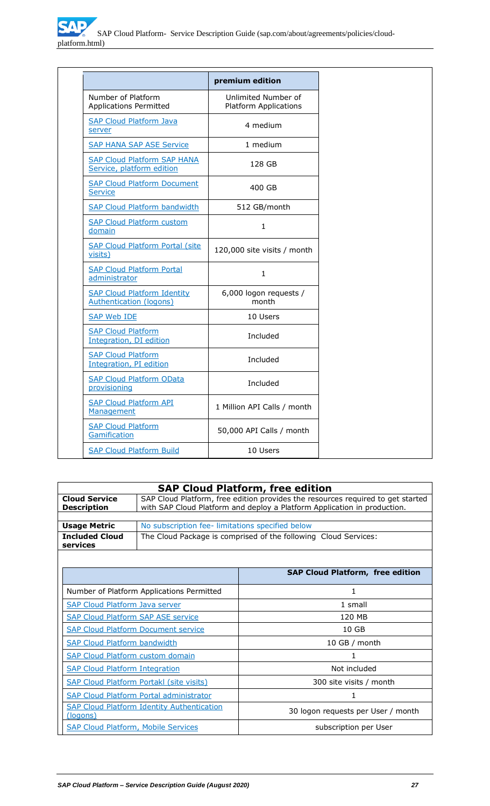|                                                                 | premium edition                                     |
|-----------------------------------------------------------------|-----------------------------------------------------|
| Number of Platform<br><b>Applications Permitted</b>             | Unlimited Number of<br><b>Platform Applications</b> |
| <b>SAP Cloud Platform Java</b><br>server                        | 4 medium                                            |
| <b>SAP HANA SAP ASE Service</b>                                 | 1 medium                                            |
| <b>SAP Cloud Platform SAP HANA</b><br>Service, platform edition | 128 GB                                              |
| <b>SAP Cloud Platform Document</b><br>Service                   | 400 GB                                              |
| <b>SAP Cloud Platform bandwidth</b>                             | 512 GB/month                                        |
| <b>SAP Cloud Platform custom</b><br>domain                      | $\mathbf{1}$                                        |
| <b>SAP Cloud Platform Portal (site)</b><br>visits)              | 120,000 site visits / month                         |
| <b>SAP Cloud Platform Portal</b><br>administrator               | $\mathbf{1}$                                        |
| <b>SAP Cloud Platform Identity</b><br>Authentication (logons)   | 6,000 logon requests /<br>month                     |
| <b>SAP Web IDE</b>                                              | 10 Users                                            |
| <b>SAP Cloud Platform</b><br>Integration, DI edition            | Included                                            |
| <b>SAP Cloud Platform</b><br>Integration, PI edition            | Included                                            |
| <b>SAP Cloud Platform OData</b><br>provisioning                 | Included                                            |
| <b>SAP Cloud Platform API</b><br>Management                     | 1 Million API Calls / month                         |
| <b>SAP Cloud Platform</b><br>Gamification                       | 50,000 API Calls / month                            |
| <b>SAP Cloud Platform Build</b>                                 | 10 Users                                            |

|                                                                     |                                                                                                                                                             | <b>SAP Cloud Platform, free edition</b> |  |  |
|---------------------------------------------------------------------|-------------------------------------------------------------------------------------------------------------------------------------------------------------|-----------------------------------------|--|--|
| <b>Cloud Service</b><br><b>Description</b>                          | SAP Cloud Platform, free edition provides the resources required to get started<br>with SAP Cloud Platform and deploy a Platform Application in production. |                                         |  |  |
|                                                                     |                                                                                                                                                             |                                         |  |  |
| <b>Usage Metric</b>                                                 | No subscription fee-limitations specified below                                                                                                             |                                         |  |  |
| <b>Included Cloud</b><br>services                                   | The Cloud Package is comprised of the following Cloud Services:                                                                                             |                                         |  |  |
|                                                                     |                                                                                                                                                             |                                         |  |  |
|                                                                     |                                                                                                                                                             | <b>SAP Cloud Platform, free edition</b> |  |  |
|                                                                     | Number of Platform Applications Permitted                                                                                                                   | 1                                       |  |  |
| <b>SAP Cloud Platform Java server</b>                               |                                                                                                                                                             | 1 small                                 |  |  |
| <b>SAP Cloud Platform SAP ASE service</b>                           |                                                                                                                                                             | 120 MB                                  |  |  |
| <b>SAP Cloud Platform Document service</b>                          |                                                                                                                                                             | 10 <sub>GB</sub>                        |  |  |
| <b>SAP Cloud Platform bandwidth</b>                                 |                                                                                                                                                             | 10 GB / month                           |  |  |
| <b>SAP Cloud Platform custom domain</b>                             |                                                                                                                                                             |                                         |  |  |
| <b>SAP Cloud Platform Integration</b>                               |                                                                                                                                                             | Not included                            |  |  |
| SAP Cloud Platform Portakl (site visits)                            |                                                                                                                                                             | 300 site visits / month                 |  |  |
| <b>SAP Cloud Platform Portal administrator</b>                      |                                                                                                                                                             | 1                                       |  |  |
| <b>SAP Cloud Platform Identity Authentication</b><br>(logons)       |                                                                                                                                                             | 30 logon requests per User / month      |  |  |
| <b>SAP Cloud Platform, Mobile Services</b><br>subscription per User |                                                                                                                                                             |                                         |  |  |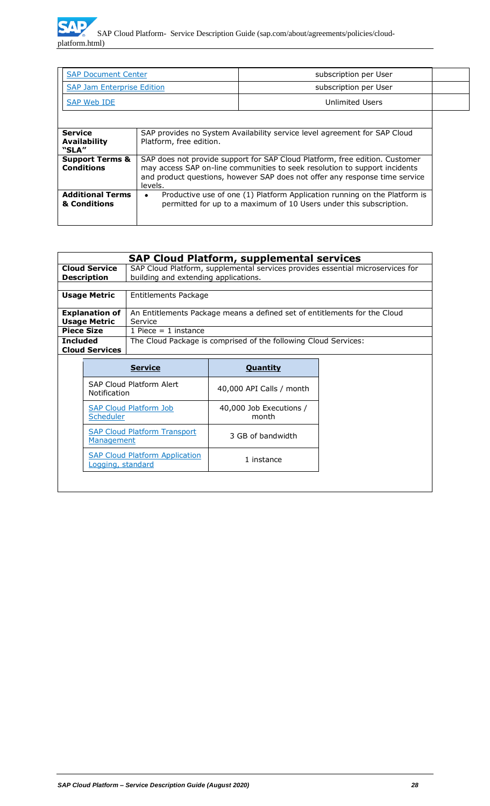| <b>SAP Document Center</b>                      |                                                                                                                                                                                                                                                     | subscription per User |  |
|-------------------------------------------------|-----------------------------------------------------------------------------------------------------------------------------------------------------------------------------------------------------------------------------------------------------|-----------------------|--|
| <b>SAP Jam Enterprise Edition</b>               |                                                                                                                                                                                                                                                     | subscription per User |  |
| SAP Web IDE                                     |                                                                                                                                                                                                                                                     | Unlimited Users       |  |
|                                                 |                                                                                                                                                                                                                                                     |                       |  |
| <b>Service</b><br><b>Availability</b><br>"SLA"  | SAP provides no System Availability service level agreement for SAP Cloud<br>Platform, free edition.                                                                                                                                                |                       |  |
| <b>Support Terms &amp;</b><br><b>Conditions</b> | SAP does not provide support for SAP Cloud Platform, free edition. Customer<br>may access SAP on-line communities to seek resolution to support incidents<br>and product questions, however SAP does not offer any response time service<br>levels. |                       |  |
| <b>Additional Terms</b><br>& Conditions         | Productive use of one (1) Platform Application running on the Platform is<br>٠<br>permitted for up to a maximum of 10 Users under this subscription.                                                                                                |                       |  |

|                                                 |                                                            |                                                                                | <b>SAP Cloud Platform, supplemental services</b>                          |  |  |
|-------------------------------------------------|------------------------------------------------------------|--------------------------------------------------------------------------------|---------------------------------------------------------------------------|--|--|
|                                                 | <b>Cloud Service</b>                                       | SAP Cloud Platform, supplemental services provides essential microservices for |                                                                           |  |  |
|                                                 | <b>Description</b>                                         | building and extending applications.                                           |                                                                           |  |  |
|                                                 | <b>Usage Metric</b>                                        | Entitlements Package                                                           |                                                                           |  |  |
|                                                 | <b>Explanation of</b><br><b>Usage Metric</b>               | Service                                                                        | An Entitlements Package means a defined set of entitlements for the Cloud |  |  |
|                                                 | <b>Piece Size</b>                                          | 1 Piece $= 1$ instance                                                         |                                                                           |  |  |
| <b>Included</b>                                 | <b>Cloud Services</b>                                      | The Cloud Package is comprised of the following Cloud Services:                |                                                                           |  |  |
|                                                 |                                                            | <b>Service</b><br><b>Quantity</b>                                              |                                                                           |  |  |
| SAP Cloud Platform Alert<br><b>Notification</b> |                                                            |                                                                                | 40,000 API Calls / month                                                  |  |  |
|                                                 | <b>SAP Cloud Platform Job</b><br><b>Scheduler</b>          |                                                                                | 40,000 Job Executions /<br>month                                          |  |  |
|                                                 | <b>SAP Cloud Platform Transport</b><br>Management          |                                                                                | 3 GB of bandwidth                                                         |  |  |
|                                                 | <b>SAP Cloud Platform Application</b><br>Logging, standard |                                                                                | 1 instance                                                                |  |  |
|                                                 |                                                            |                                                                                |                                                                           |  |  |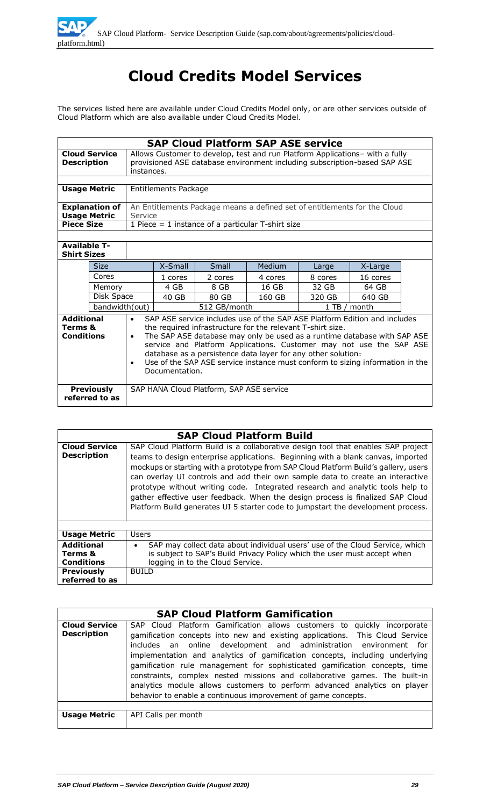# **Cloud Credits Model Services**

The services listed here are available under Cloud Credits Model only, or are other services outside of Cloud Platform which are also available under Cloud Credits Model.

|                                                   | <b>SAP Cloud Platform SAP ASE service</b>    |                                                                                                                                                                                                                                                                                                                                                                                                                                                                                         |                             |         |                                                                           |         |          |  |
|---------------------------------------------------|----------------------------------------------|-----------------------------------------------------------------------------------------------------------------------------------------------------------------------------------------------------------------------------------------------------------------------------------------------------------------------------------------------------------------------------------------------------------------------------------------------------------------------------------------|-----------------------------|---------|---------------------------------------------------------------------------|---------|----------|--|
| <b>Description</b>                                | <b>Cloud Service</b>                         | Allows Customer to develop, test and run Platform Applications- with a fully<br>provisioned ASE database environment including subscription-based SAP ASE<br>instances.                                                                                                                                                                                                                                                                                                                 |                             |         |                                                                           |         |          |  |
|                                                   | <b>Usage Metric</b>                          |                                                                                                                                                                                                                                                                                                                                                                                                                                                                                         | <b>Entitlements Package</b> |         |                                                                           |         |          |  |
|                                                   |                                              |                                                                                                                                                                                                                                                                                                                                                                                                                                                                                         |                             |         |                                                                           |         |          |  |
|                                                   | <b>Explanation of</b><br><b>Usage Metric</b> | Service                                                                                                                                                                                                                                                                                                                                                                                                                                                                                 |                             |         | An Entitlements Package means a defined set of entitlements for the Cloud |         |          |  |
| <b>Piece Size</b>                                 |                                              |                                                                                                                                                                                                                                                                                                                                                                                                                                                                                         |                             |         | 1 Piece = 1 instance of a particular T-shirt size                         |         |          |  |
|                                                   |                                              |                                                                                                                                                                                                                                                                                                                                                                                                                                                                                         |                             |         |                                                                           |         |          |  |
| <b>Available T-</b><br><b>Shirt Sizes</b>         |                                              |                                                                                                                                                                                                                                                                                                                                                                                                                                                                                         |                             |         |                                                                           |         |          |  |
|                                                   | <b>Size</b>                                  |                                                                                                                                                                                                                                                                                                                                                                                                                                                                                         | X-Small                     | Small   | Medium                                                                    | Large   | X-Large  |  |
|                                                   | Cores                                        |                                                                                                                                                                                                                                                                                                                                                                                                                                                                                         | 1 cores                     | 2 cores | 4 cores                                                                   | 8 cores | 16 cores |  |
|                                                   | Memory                                       |                                                                                                                                                                                                                                                                                                                                                                                                                                                                                         | 4 GB                        | 8 GB    | 16 GB                                                                     | 32 GB   | 64 GB    |  |
| Disk Space                                        |                                              |                                                                                                                                                                                                                                                                                                                                                                                                                                                                                         | 40 GB                       | 80 GB   | 160 GB                                                                    | 320 GB  | 640 GB   |  |
| bandwidth(out)                                    |                                              | 512 GB/month                                                                                                                                                                                                                                                                                                                                                                                                                                                                            |                             |         | 1 TB / month                                                              |         |          |  |
| <b>Additional</b><br>Terms &<br><b>Conditions</b> |                                              | SAP ASE service includes use of the SAP ASE Platform Edition and includes<br>$\bullet$<br>the required infrastructure for the relevant T-shirt size.<br>The SAP ASE database may only be used as a runtime database with SAP ASE<br>$\bullet$<br>service and Platform Applications. Customer may not use the SAP ASE<br>database as a persistence data layer for any other solution-<br>Use of the SAP ASE service instance must conform to sizing information in the<br>Documentation. |                             |         |                                                                           |         |          |  |
|                                                   | <b>Previously</b><br>referred to as          | SAP HANA Cloud Platform, SAP ASE service                                                                                                                                                                                                                                                                                                                                                                                                                                                |                             |         |                                                                           |         |          |  |

|  |  | <b>SAP Cloud Platform Build</b> |  |
|--|--|---------------------------------|--|
|--|--|---------------------------------|--|

| <b>Cloud Service</b><br><b>Description</b>        | SAP Cloud Platform Build is a collaborative design tool that enables SAP project<br>teams to design enterprise applications. Beginning with a blank canvas, imported<br>mockups or starting with a prototype from SAP Cloud Platform Build's gallery, users<br>can overlay UI controls and add their own sample data to create an interactive<br>prototype without writing code. Integrated research and analytic tools help to<br>gather effective user feedback. When the design process is finalized SAP Cloud<br>Platform Build generates UI 5 starter code to jumpstart the development process. |
|---------------------------------------------------|-------------------------------------------------------------------------------------------------------------------------------------------------------------------------------------------------------------------------------------------------------------------------------------------------------------------------------------------------------------------------------------------------------------------------------------------------------------------------------------------------------------------------------------------------------------------------------------------------------|
| <b>Usage Metric</b>                               | <b>Users</b>                                                                                                                                                                                                                                                                                                                                                                                                                                                                                                                                                                                          |
| <b>Additional</b><br>Terms &<br><b>Conditions</b> | SAP may collect data about individual users' use of the Cloud Service, which<br>$\bullet$<br>is subject to SAP's Build Privacy Policy which the user must accept when<br>logging in to the Cloud Service.                                                                                                                                                                                                                                                                                                                                                                                             |
| <b>Previously</b><br>referred to as               | BUILD                                                                                                                                                                                                                                                                                                                                                                                                                                                                                                                                                                                                 |

|                                            | <b>SAP Cloud Platform Gamification</b>                                                                                                                                                                                                                                                                                                                                                                                                                                                                                                                                                                                |
|--------------------------------------------|-----------------------------------------------------------------------------------------------------------------------------------------------------------------------------------------------------------------------------------------------------------------------------------------------------------------------------------------------------------------------------------------------------------------------------------------------------------------------------------------------------------------------------------------------------------------------------------------------------------------------|
| <b>Cloud Service</b><br><b>Description</b> | SAP Cloud Platform Gamification allows customers to quickly incorporate<br>gamification concepts into new and existing applications. This Cloud Service<br>includes an online development and administration environment for<br>implementation and analytics of gamification concepts, including underlying<br>gamification rule management for sophisticated gamification concepts, time<br>constraints, complex nested missions and collaborative games. The built-in<br>analytics module allows customers to perform advanced analytics on player<br>behavior to enable a continuous improvement of game concepts. |
|                                            |                                                                                                                                                                                                                                                                                                                                                                                                                                                                                                                                                                                                                       |
| Usage Metric                               | API Calls per month                                                                                                                                                                                                                                                                                                                                                                                                                                                                                                                                                                                                   |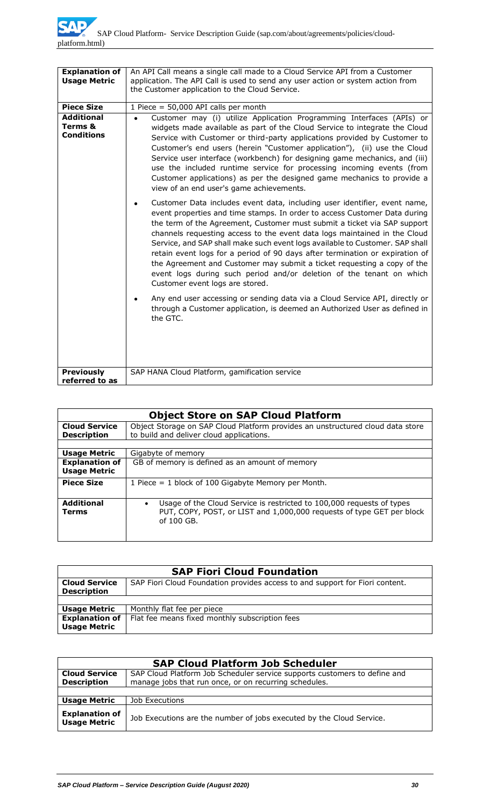| <b>Explanation of</b><br><b>Usage Metric</b>      | An API Call means a single call made to a Cloud Service API from a Customer<br>application. The API Call is used to send any user action or system action from<br>the Customer application to the Cloud Service.                                                                                                                                                                                                                                                                                                                                                                                                                                                      |
|---------------------------------------------------|-----------------------------------------------------------------------------------------------------------------------------------------------------------------------------------------------------------------------------------------------------------------------------------------------------------------------------------------------------------------------------------------------------------------------------------------------------------------------------------------------------------------------------------------------------------------------------------------------------------------------------------------------------------------------|
| <b>Piece Size</b>                                 | 1 Piece = 50,000 API calls per month                                                                                                                                                                                                                                                                                                                                                                                                                                                                                                                                                                                                                                  |
| <b>Additional</b><br>Terms &<br><b>Conditions</b> | Customer may (i) utilize Application Programming Interfaces (APIs) or<br>$\bullet$<br>widgets made available as part of the Cloud Service to integrate the Cloud<br>Service with Customer or third-party applications provided by Customer to<br>Customer's end users (herein "Customer application"), (ii) use the Cloud<br>Service user interface (workbench) for designing game mechanics, and (iii)<br>use the included runtime service for processing incoming events (from<br>Customer applications) as per the designed game mechanics to provide a<br>view of an end user's game achievements.                                                                |
|                                                   | Customer Data includes event data, including user identifier, event name,<br>event properties and time stamps. In order to access Customer Data during<br>the term of the Agreement, Customer must submit a ticket via SAP support<br>channels requesting access to the event data logs maintained in the Cloud<br>Service, and SAP shall make such event logs available to Customer. SAP shall<br>retain event logs for a period of 90 days after termination or expiration of<br>the Agreement and Customer may submit a ticket requesting a copy of the<br>event logs during such period and/or deletion of the tenant on which<br>Customer event logs are stored. |
|                                                   | Any end user accessing or sending data via a Cloud Service API, directly or<br>through a Customer application, is deemed an Authorized User as defined in<br>the GTC.                                                                                                                                                                                                                                                                                                                                                                                                                                                                                                 |
| <b>Previously</b><br>referred to as               | SAP HANA Cloud Platform, gamification service                                                                                                                                                                                                                                                                                                                                                                                                                                                                                                                                                                                                                         |

| <b>Object Store on SAP Cloud Platform</b>    |                                                                                                                                                                |  |
|----------------------------------------------|----------------------------------------------------------------------------------------------------------------------------------------------------------------|--|
| <b>Cloud Service</b><br><b>Description</b>   | Object Storage on SAP Cloud Platform provides an unstructured cloud data store<br>to build and deliver cloud applications.                                     |  |
| <b>Usage Metric</b>                          | Gigabyte of memory                                                                                                                                             |  |
| <b>Explanation of</b><br><b>Usage Metric</b> | GB of memory is defined as an amount of memory                                                                                                                 |  |
| <b>Piece Size</b>                            | 1 Piece = 1 block of 100 Gigabyte Memory per Month.                                                                                                            |  |
| <b>Additional</b><br><b>Terms</b>            | Usage of the Cloud Service is restricted to 100,000 requests of types<br>PUT, COPY, POST, or LIST and 1,000,000 requests of type GET per block<br>of $100$ GB. |  |

| <b>SAP Fiori Cloud Foundation</b> |                                                                              |  |
|-----------------------------------|------------------------------------------------------------------------------|--|
| <b>Cloud Service</b>              | SAP Fiori Cloud Foundation provides access to and support for Fiori content. |  |
| <b>Description</b>                |                                                                              |  |
|                                   |                                                                              |  |
| <b>Usage Metric</b>               | Monthly flat fee per piece                                                   |  |
| <b>Explanation of</b>             | Flat fee means fixed monthly subscription fees                               |  |
| <b>Usage Metric</b>               |                                                                              |  |

| <b>SAP Cloud Platform Job Scheduler</b>      |                                                                                                                                    |  |
|----------------------------------------------|------------------------------------------------------------------------------------------------------------------------------------|--|
| <b>Cloud Service</b><br><b>Description</b>   | SAP Cloud Platform Job Scheduler service supports customers to define and<br>manage jobs that run once, or on recurring schedules. |  |
|                                              |                                                                                                                                    |  |
| <b>Usage Metric</b>                          | Job Executions                                                                                                                     |  |
| <b>Explanation of</b><br><b>Usage Metric</b> | Job Executions are the number of jobs executed by the Cloud Service.                                                               |  |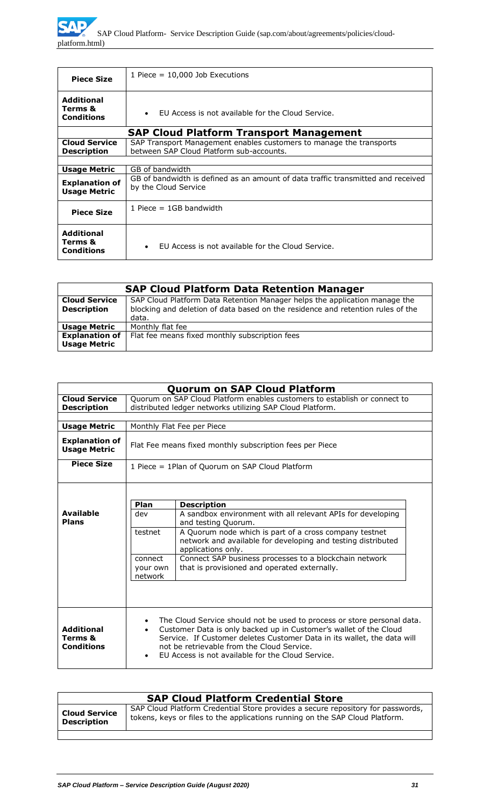| <b>Piece Size</b>                                 | 1 Piece $= 10,000$ Job Executions                                                                               |  |
|---------------------------------------------------|-----------------------------------------------------------------------------------------------------------------|--|
| <b>Additional</b><br>Terms &<br><b>Conditions</b> | EU Access is not available for the Cloud Service.<br>$\bullet$                                                  |  |
|                                                   | <b>SAP Cloud Platform Transport Management</b>                                                                  |  |
| <b>Cloud Service</b><br><b>Description</b>        | SAP Transport Management enables customers to manage the transports<br>between SAP Cloud Platform sub-accounts. |  |
|                                                   |                                                                                                                 |  |
| <b>Usage Metric</b>                               | GB of bandwidth                                                                                                 |  |
| <b>Explanation of</b><br><b>Usage Metric</b>      | GB of bandwidth is defined as an amount of data traffic transmitted and received<br>by the Cloud Service        |  |
| <b>Piece Size</b>                                 | 1 Piece $=$ 1GB bandwidth                                                                                       |  |
| <b>Additional</b><br>Terms &<br><b>Conditions</b> | EU Access is not available for the Cloud Service.<br>$\bullet$                                                  |  |

|                                              | <b>SAP Cloud Platform Data Retention Manager</b>                                                                                                                       |
|----------------------------------------------|------------------------------------------------------------------------------------------------------------------------------------------------------------------------|
| <b>Cloud Service</b><br><b>Description</b>   | SAP Cloud Platform Data Retention Manager helps the application manage the<br>blocking and deletion of data based on the residence and retention rules of the<br>data. |
| <b>Usage Metric</b>                          | Monthly flat fee                                                                                                                                                       |
| <b>Explanation of</b><br><b>Usage Metric</b> | Flat fee means fixed monthly subscription fees                                                                                                                         |

|                                                   |                                                                                                                                        | <b>Quorum on SAP Cloud Platform</b>                                                                                                                                                                                                                                                                                        |
|---------------------------------------------------|----------------------------------------------------------------------------------------------------------------------------------------|----------------------------------------------------------------------------------------------------------------------------------------------------------------------------------------------------------------------------------------------------------------------------------------------------------------------------|
| <b>Cloud Service</b><br><b>Description</b>        | Quorum on SAP Cloud Platform enables customers to establish or connect to<br>distributed ledger networks utilizing SAP Cloud Platform. |                                                                                                                                                                                                                                                                                                                            |
| <b>Usage Metric</b>                               | Monthly Flat Fee per Piece                                                                                                             |                                                                                                                                                                                                                                                                                                                            |
| <b>Explanation of</b><br><b>Usage Metric</b>      | Flat Fee means fixed monthly subscription fees per Piece                                                                               |                                                                                                                                                                                                                                                                                                                            |
| <b>Piece Size</b>                                 | 1 Piece = 1Plan of Quorum on SAP Cloud Platform                                                                                        |                                                                                                                                                                                                                                                                                                                            |
|                                                   |                                                                                                                                        |                                                                                                                                                                                                                                                                                                                            |
| <b>Available</b><br><b>Plans</b>                  | Plan<br>dev                                                                                                                            | <b>Description</b><br>A sandbox environment with all relevant APIs for developing<br>and testing Quorum.                                                                                                                                                                                                                   |
|                                                   | testnet                                                                                                                                | A Quorum node which is part of a cross company testnet<br>network and available for developing and testing distributed<br>applications only.                                                                                                                                                                               |
|                                                   | connect<br>your own<br>network                                                                                                         | Connect SAP business processes to a blockchain network<br>that is provisioned and operated externally.                                                                                                                                                                                                                     |
|                                                   |                                                                                                                                        |                                                                                                                                                                                                                                                                                                                            |
| <b>Additional</b><br>Terms &<br><b>Conditions</b> |                                                                                                                                        | The Cloud Service should not be used to process or store personal data.<br>Customer Data is only backed up in Customer's wallet of the Cloud<br>Service. If Customer deletes Customer Data in its wallet, the data will<br>not be retrievable from the Cloud Service.<br>EU Access is not available for the Cloud Service. |

| <b>SAP Cloud Platform Credential Store</b> |                                                                                                                                                                 |
|--------------------------------------------|-----------------------------------------------------------------------------------------------------------------------------------------------------------------|
| <b>Cloud Service</b><br><b>Description</b> | SAP Cloud Platform Credential Store provides a secure repository for passwords,<br>tokens, keys or files to the applications running on the SAP Cloud Platform. |
|                                            |                                                                                                                                                                 |

 $\overline{\phantom{a}}$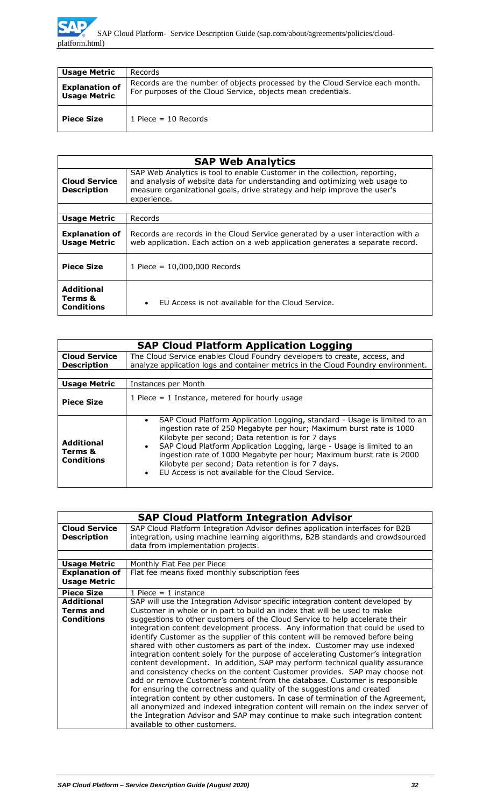

| <b>Usage Metric</b>                          | Records                                                                                                                                      |
|----------------------------------------------|----------------------------------------------------------------------------------------------------------------------------------------------|
| <b>Explanation of</b><br><b>Usage Metric</b> | Records are the number of objects processed by the Cloud Service each month.<br>For purposes of the Cloud Service, objects mean credentials. |
| <b>Piece Size</b>                            | 1 Piece = $10$ Records                                                                                                                       |

| <b>SAP Web Analytics</b>                          |                                                                                                                                                                                                                                                     |
|---------------------------------------------------|-----------------------------------------------------------------------------------------------------------------------------------------------------------------------------------------------------------------------------------------------------|
| <b>Cloud Service</b><br><b>Description</b>        | SAP Web Analytics is tool to enable Customer in the collection, reporting,<br>and analysis of website data for understanding and optimizing web usage to<br>measure organizational goals, drive strategy and help improve the user's<br>experience. |
|                                                   |                                                                                                                                                                                                                                                     |
| <b>Usage Metric</b>                               | Records                                                                                                                                                                                                                                             |
| <b>Explanation of</b><br><b>Usage Metric</b>      | Records are records in the Cloud Service generated by a user interaction with a<br>web application. Each action on a web application generates a separate record.                                                                                   |
| <b>Piece Size</b>                                 | 1 Piece = $10,000,000$ Records                                                                                                                                                                                                                      |
| <b>Additional</b><br>Terms &<br><b>Conditions</b> | EU Access is not available for the Cloud Service.<br>$\bullet$                                                                                                                                                                                      |

| <b>SAP Cloud Platform Application Logging</b>     |                                                                                                                                                                                                                                                                                                                                                                                                                                                                                                           |
|---------------------------------------------------|-----------------------------------------------------------------------------------------------------------------------------------------------------------------------------------------------------------------------------------------------------------------------------------------------------------------------------------------------------------------------------------------------------------------------------------------------------------------------------------------------------------|
| <b>Cloud Service</b><br><b>Description</b>        | The Cloud Service enables Cloud Foundry developers to create, access, and<br>analyze application logs and container metrics in the Cloud Foundry environment.                                                                                                                                                                                                                                                                                                                                             |
| <b>Usage Metric</b>                               | Instances per Month                                                                                                                                                                                                                                                                                                                                                                                                                                                                                       |
| <b>Piece Size</b>                                 | 1 Piece $=$ 1 Instance, metered for hourly usage                                                                                                                                                                                                                                                                                                                                                                                                                                                          |
| <b>Additional</b><br>Terms &<br><b>Conditions</b> | SAP Cloud Platform Application Logging, standard - Usage is limited to an<br>$\bullet$<br>ingestion rate of 250 Megabyte per hour; Maximum burst rate is 1000<br>Kilobyte per second; Data retention is for 7 days<br>SAP Cloud Platform Application Logging, large - Usage is limited to an<br>$\bullet$<br>ingestion rate of 1000 Megabyte per hour; Maximum burst rate is 2000<br>Kilobyte per second; Data retention is for 7 days.<br>EU Access is not available for the Cloud Service.<br>$\bullet$ |

|                       | <b>SAP Cloud Platform Integration Advisor</b>                                     |
|-----------------------|-----------------------------------------------------------------------------------|
| <b>Cloud Service</b>  | SAP Cloud Platform Integration Advisor defines application interfaces for B2B     |
| <b>Description</b>    | integration, using machine learning algorithms, B2B standards and crowdsourced    |
|                       | data from implementation projects.                                                |
|                       |                                                                                   |
| <b>Usage Metric</b>   | Monthly Flat Fee per Piece                                                        |
| <b>Explanation of</b> | Flat fee means fixed monthly subscription fees                                    |
| <b>Usage Metric</b>   |                                                                                   |
| <b>Piece Size</b>     | 1 Piece $=$ 1 instance                                                            |
| <b>Additional</b>     | SAP will use the Integration Advisor specific integration content developed by    |
| <b>Terms and</b>      | Customer in whole or in part to build an index that will be used to make          |
| <b>Conditions</b>     | suggestions to other customers of the Cloud Service to help accelerate their      |
|                       | integration content development process. Any information that could be used to    |
|                       | identify Customer as the supplier of this content will be removed before being    |
|                       | shared with other customers as part of the index. Customer may use indexed        |
|                       | integration content solely for the purpose of accelerating Customer's integration |
|                       | content development. In addition, SAP may perform technical quality assurance     |
|                       | and consistency checks on the content Customer provides. SAP may choose not       |
|                       | add or remove Customer's content from the database. Customer is responsible       |
|                       |                                                                                   |
|                       | for ensuring the correctness and quality of the suggestions and created           |
|                       | integration content by other customers. In case of termination of the Agreement,  |
|                       | all anonymized and indexed integration content will remain on the index server of |
|                       | the Integration Advisor and SAP may continue to make such integration content     |
|                       | available to other customers.                                                     |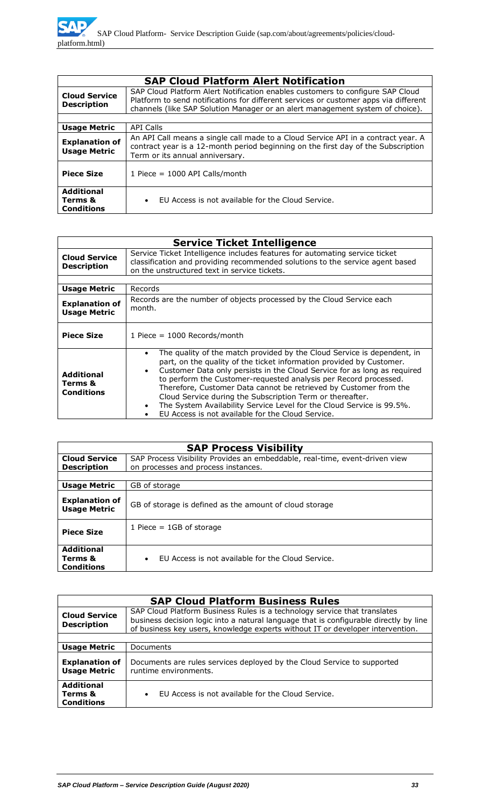|                                                   | <b>SAP Cloud Platform Alert Notification</b>                                                                                                                                                                                                            |
|---------------------------------------------------|---------------------------------------------------------------------------------------------------------------------------------------------------------------------------------------------------------------------------------------------------------|
| <b>Cloud Service</b><br><b>Description</b>        | SAP Cloud Platform Alert Notification enables customers to configure SAP Cloud<br>Platform to send notifications for different services or customer apps via different<br>channels (like SAP Solution Manager or an alert management system of choice). |
|                                                   |                                                                                                                                                                                                                                                         |
| <b>Usage Metric</b>                               | <b>API Calls</b>                                                                                                                                                                                                                                        |
| <b>Explanation of</b><br><b>Usage Metric</b>      | An API Call means a single call made to a Cloud Service API in a contract year. A<br>contract year is a 12-month period beginning on the first day of the Subscription<br>Term or its annual anniversary.                                               |
| <b>Piece Size</b>                                 | 1 Piece = $1000$ API Calls/month                                                                                                                                                                                                                        |
| <b>Additional</b><br>Terms &<br><b>Conditions</b> | EU Access is not available for the Cloud Service.<br>$\bullet$                                                                                                                                                                                          |

| <b>Service Ticket Intelligence</b>                |                                                                                                                                                                                                                                                                                                                                                                                                                                                                                                                                                                                           |  |  |
|---------------------------------------------------|-------------------------------------------------------------------------------------------------------------------------------------------------------------------------------------------------------------------------------------------------------------------------------------------------------------------------------------------------------------------------------------------------------------------------------------------------------------------------------------------------------------------------------------------------------------------------------------------|--|--|
| <b>Cloud Service</b><br><b>Description</b>        | Service Ticket Intelligence includes features for automating service ticket<br>classification and providing recommended solutions to the service agent based<br>on the unstructured text in service tickets.                                                                                                                                                                                                                                                                                                                                                                              |  |  |
|                                                   |                                                                                                                                                                                                                                                                                                                                                                                                                                                                                                                                                                                           |  |  |
| <b>Usage Metric</b>                               | Records                                                                                                                                                                                                                                                                                                                                                                                                                                                                                                                                                                                   |  |  |
| <b>Explanation of</b><br><b>Usage Metric</b>      | Records are the number of objects processed by the Cloud Service each<br>month.                                                                                                                                                                                                                                                                                                                                                                                                                                                                                                           |  |  |
| <b>Piece Size</b>                                 | 1 Piece $= 1000$ Records/month                                                                                                                                                                                                                                                                                                                                                                                                                                                                                                                                                            |  |  |
| <b>Additional</b><br>Terms &<br><b>Conditions</b> | The quality of the match provided by the Cloud Service is dependent, in<br>$\bullet$<br>part, on the quality of the ticket information provided by Customer.<br>Customer Data only persists in the Cloud Service for as long as required<br>$\bullet$<br>to perform the Customer-requested analysis per Record processed.<br>Therefore, Customer Data cannot be retrieved by Customer from the<br>Cloud Service during the Subscription Term or thereafter.<br>The System Availability Service Level for the Cloud Service is 99.5%.<br>EU Access is not available for the Cloud Service. |  |  |

| <b>SAP Process Visibility</b>                     |                                                                                                                    |  |
|---------------------------------------------------|--------------------------------------------------------------------------------------------------------------------|--|
| <b>Cloud Service</b><br><b>Description</b>        | SAP Process Visibility Provides an embeddable, real-time, event-driven view<br>on processes and process instances. |  |
| <b>Usage Metric</b>                               | GB of storage                                                                                                      |  |
| <b>Explanation of</b><br><b>Usage Metric</b>      | GB of storage is defined as the amount of cloud storage                                                            |  |
| <b>Piece Size</b>                                 | 1 Piece $=$ 1GB of storage                                                                                         |  |
| <b>Additional</b><br>Terms &<br><b>Conditions</b> | FU Access is not available for the Cloud Service.<br>$\bullet$                                                     |  |

| <b>SAP Cloud Platform Business Rules</b>          |                                                                                                                                                                                                                                                      |  |
|---------------------------------------------------|------------------------------------------------------------------------------------------------------------------------------------------------------------------------------------------------------------------------------------------------------|--|
| <b>Cloud Service</b><br><b>Description</b>        | SAP Cloud Platform Business Rules is a technology service that translates<br>business decision logic into a natural language that is configurable directly by line<br>of business key users, knowledge experts without IT or developer intervention. |  |
|                                                   |                                                                                                                                                                                                                                                      |  |
| <b>Usage Metric</b>                               | Documents                                                                                                                                                                                                                                            |  |
| <b>Explanation of</b><br><b>Usage Metric</b>      | Documents are rules services deployed by the Cloud Service to supported<br>runtime environments.                                                                                                                                                     |  |
| <b>Additional</b><br>Terms &<br><b>Conditions</b> | EU Access is not available for the Cloud Service.<br>$\bullet$                                                                                                                                                                                       |  |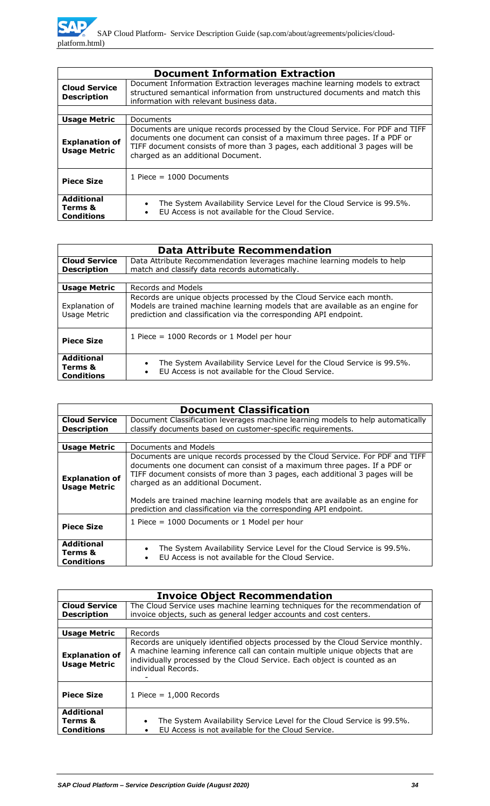| <b>Document Information Extraction</b>            |                                                                                                                                                                                                                                                                                 |  |  |
|---------------------------------------------------|---------------------------------------------------------------------------------------------------------------------------------------------------------------------------------------------------------------------------------------------------------------------------------|--|--|
| <b>Cloud Service</b><br><b>Description</b>        | Document Information Extraction leverages machine learning models to extract<br>structured semantical information from unstructured documents and match this<br>information with relevant business data.                                                                        |  |  |
|                                                   |                                                                                                                                                                                                                                                                                 |  |  |
| <b>Usage Metric</b>                               | Documents                                                                                                                                                                                                                                                                       |  |  |
| <b>Explanation of</b><br><b>Usage Metric</b>      | Documents are unique records processed by the Cloud Service. For PDF and TIFF<br>documents one document can consist of a maximum three pages. If a PDF or<br>TIFF document consists of more than 3 pages, each additional 3 pages will be<br>charged as an additional Document. |  |  |
| <b>Piece Size</b>                                 | 1 Piece = $1000$ Documents                                                                                                                                                                                                                                                      |  |  |
| <b>Additional</b><br>Terms &<br><b>Conditions</b> | The System Availability Service Level for the Cloud Service is 99.5%.<br>EU Access is not available for the Cloud Service.                                                                                                                                                      |  |  |

| <b>Data Attribute Recommendation</b>              |                                                                                                                                                                                                                              |  |  |  |
|---------------------------------------------------|------------------------------------------------------------------------------------------------------------------------------------------------------------------------------------------------------------------------------|--|--|--|
| <b>Cloud Service</b>                              | Data Attribute Recommendation leverages machine learning models to help                                                                                                                                                      |  |  |  |
| <b>Description</b>                                | match and classify data records automatically.                                                                                                                                                                               |  |  |  |
|                                                   |                                                                                                                                                                                                                              |  |  |  |
| <b>Usage Metric</b>                               | Records and Models                                                                                                                                                                                                           |  |  |  |
| Explanation of<br>Usage Metric                    | Records are unique objects processed by the Cloud Service each month.<br>Models are trained machine learning models that are available as an engine for<br>prediction and classification via the corresponding API endpoint. |  |  |  |
| <b>Piece Size</b>                                 | 1 Piece $= 1000$ Records or 1 Model per hour                                                                                                                                                                                 |  |  |  |
| <b>Additional</b><br>Terms &<br><b>Conditions</b> | The System Availability Service Level for the Cloud Service is 99.5%.<br>$\bullet$<br>EU Access is not available for the Cloud Service.<br>$\bullet$                                                                         |  |  |  |

| <b>Document Classification</b>                    |                                                                                                                                                                                                                                                                                                                                                                                                                                        |  |  |  |
|---------------------------------------------------|----------------------------------------------------------------------------------------------------------------------------------------------------------------------------------------------------------------------------------------------------------------------------------------------------------------------------------------------------------------------------------------------------------------------------------------|--|--|--|
| <b>Cloud Service</b>                              | Document Classification leverages machine learning models to help automatically                                                                                                                                                                                                                                                                                                                                                        |  |  |  |
| <b>Description</b>                                | classify documents based on customer-specific requirements.                                                                                                                                                                                                                                                                                                                                                                            |  |  |  |
|                                                   |                                                                                                                                                                                                                                                                                                                                                                                                                                        |  |  |  |
| <b>Usage Metric</b>                               | Documents and Models                                                                                                                                                                                                                                                                                                                                                                                                                   |  |  |  |
| <b>Explanation of</b><br><b>Usage Metric</b>      | Documents are unique records processed by the Cloud Service. For PDF and TIFF<br>documents one document can consist of a maximum three pages. If a PDF or<br>TIFF document consists of more than 3 pages, each additional 3 pages will be<br>charged as an additional Document.<br>Models are trained machine learning models that are available as an engine for<br>prediction and classification via the corresponding API endpoint. |  |  |  |
| <b>Piece Size</b>                                 | 1 Piece $= 1000$ Documents or 1 Model per hour                                                                                                                                                                                                                                                                                                                                                                                         |  |  |  |
| <b>Additional</b><br>Terms &<br><b>Conditions</b> | The System Availability Service Level for the Cloud Service is 99.5%.<br>EU Access is not available for the Cloud Service.                                                                                                                                                                                                                                                                                                             |  |  |  |

| <b>Invoice Object Recommendation</b>              |                                                                                                                                                                                                                                                                       |  |  |  |
|---------------------------------------------------|-----------------------------------------------------------------------------------------------------------------------------------------------------------------------------------------------------------------------------------------------------------------------|--|--|--|
| <b>Cloud Service</b><br><b>Description</b>        | The Cloud Service uses machine learning techniques for the recommendation of<br>invoice objects, such as general ledger accounts and cost centers.                                                                                                                    |  |  |  |
|                                                   |                                                                                                                                                                                                                                                                       |  |  |  |
| <b>Usage Metric</b>                               | Records                                                                                                                                                                                                                                                               |  |  |  |
| <b>Explanation of</b><br><b>Usage Metric</b>      | Records are uniquely identified objects processed by the Cloud Service monthly.<br>A machine learning inference call can contain multiple unique objects that are<br>individually processed by the Cloud Service. Each object is counted as an<br>individual Records. |  |  |  |
| <b>Piece Size</b>                                 | 1 Piece $= 1,000$ Records                                                                                                                                                                                                                                             |  |  |  |
| <b>Additional</b><br>Terms &<br><b>Conditions</b> | The System Availability Service Level for the Cloud Service is 99.5%.<br>$\bullet$<br>EU Access is not available for the Cloud Service.<br>$\bullet$                                                                                                                  |  |  |  |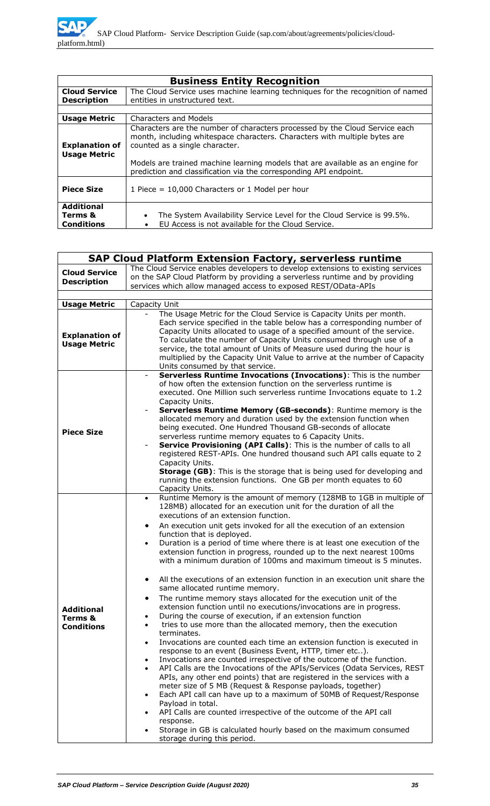| <b>Business Entity Recognition</b>                |                                                                                                                                                                                             |  |
|---------------------------------------------------|---------------------------------------------------------------------------------------------------------------------------------------------------------------------------------------------|--|
| <b>Cloud Service</b>                              | The Cloud Service uses machine learning techniques for the recognition of named                                                                                                             |  |
| <b>Description</b>                                | entities in unstructured text.                                                                                                                                                              |  |
|                                                   |                                                                                                                                                                                             |  |
| <b>Usage Metric</b>                               | <b>Characters and Models</b>                                                                                                                                                                |  |
| <b>Explanation of</b><br><b>Usage Metric</b>      | Characters are the number of characters processed by the Cloud Service each<br>month, including whitespace characters. Characters with multiple bytes are<br>counted as a single character. |  |
|                                                   | Models are trained machine learning models that are available as an engine for<br>prediction and classification via the corresponding API endpoint.                                         |  |
| <b>Piece Size</b>                                 | 1 Piece = $10,000$ Characters or 1 Model per hour                                                                                                                                           |  |
| <b>Additional</b><br>Terms &<br><b>Conditions</b> | The System Availability Service Level for the Cloud Service is 99.5%.<br>$\bullet$<br>EU Access is not available for the Cloud Service.                                                     |  |

| <b>SAP Cloud Platform Extension Factory, serverless runtime</b> |                                                                                                                                                                                                                                                                                                                                                                                                                                                                                                                                                                                                                                                                                                                                                                                                                                                                                                                                                                                                                                                                                                                                                                                                                                                                                                                                                                                                                                                                                                                                                                                                                                                                                                            |  |  |  |
|-----------------------------------------------------------------|------------------------------------------------------------------------------------------------------------------------------------------------------------------------------------------------------------------------------------------------------------------------------------------------------------------------------------------------------------------------------------------------------------------------------------------------------------------------------------------------------------------------------------------------------------------------------------------------------------------------------------------------------------------------------------------------------------------------------------------------------------------------------------------------------------------------------------------------------------------------------------------------------------------------------------------------------------------------------------------------------------------------------------------------------------------------------------------------------------------------------------------------------------------------------------------------------------------------------------------------------------------------------------------------------------------------------------------------------------------------------------------------------------------------------------------------------------------------------------------------------------------------------------------------------------------------------------------------------------------------------------------------------------------------------------------------------------|--|--|--|
| <b>Cloud Service</b><br><b>Description</b>                      | The Cloud Service enables developers to develop extensions to existing services<br>on the SAP Cloud Platform by providing a serverless runtime and by providing<br>services which allow managed access to exposed REST/OData-APIs                                                                                                                                                                                                                                                                                                                                                                                                                                                                                                                                                                                                                                                                                                                                                                                                                                                                                                                                                                                                                                                                                                                                                                                                                                                                                                                                                                                                                                                                          |  |  |  |
| <b>Usage Metric</b>                                             | Capacity Unit                                                                                                                                                                                                                                                                                                                                                                                                                                                                                                                                                                                                                                                                                                                                                                                                                                                                                                                                                                                                                                                                                                                                                                                                                                                                                                                                                                                                                                                                                                                                                                                                                                                                                              |  |  |  |
| <b>Explanation of</b><br><b>Usage Metric</b>                    | The Usage Metric for the Cloud Service is Capacity Units per month.<br>Each service specified in the table below has a corresponding number of<br>Capacity Units allocated to usage of a specified amount of the service.<br>To calculate the number of Capacity Units consumed through use of a<br>service, the total amount of Units of Measure used during the hour is<br>multiplied by the Capacity Unit Value to arrive at the number of Capacity<br>Units consumed by that service.                                                                                                                                                                                                                                                                                                                                                                                                                                                                                                                                                                                                                                                                                                                                                                                                                                                                                                                                                                                                                                                                                                                                                                                                                  |  |  |  |
| <b>Piece Size</b>                                               | Serverless Runtime Invocations (Invocations): This is the number<br>$\overline{\phantom{a}}$<br>of how often the extension function on the serverless runtime is<br>executed. One Million such serverless runtime Invocations equate to 1.2<br>Capacity Units.<br>Serverless Runtime Memory (GB-seconds): Runtime memory is the<br>allocated memory and duration used by the extension function when<br>being executed. One Hundred Thousand GB-seconds of allocate<br>serverless runtime memory equates to 6 Capacity Units.<br>Service Provisioning (API Calls): This is the number of calls to all<br>$\overline{\phantom{a}}$<br>registered REST-APIs. One hundred thousand such API calls equate to 2<br>Capacity Units.<br><b>Storage (GB)</b> : This is the storage that is being used for developing and<br>running the extension functions. One GB per month equates to 60<br>Capacity Units.                                                                                                                                                                                                                                                                                                                                                                                                                                                                                                                                                                                                                                                                                                                                                                                                     |  |  |  |
| <b>Additional</b><br>Terms &<br><b>Conditions</b>               | Runtime Memory is the amount of memory (128MB to 1GB in multiple of<br>$\bullet$<br>128MB) allocated for an execution unit for the duration of all the<br>executions of an extension function.<br>An execution unit gets invoked for all the execution of an extension<br>٠<br>function that is deployed.<br>Duration is a period of time where there is at least one execution of the<br>extension function in progress, rounded up to the next nearest 100ms<br>with a minimum duration of 100ms and maximum timeout is 5 minutes.<br>All the executions of an extension function in an execution unit share the<br>٠<br>same allocated runtime memory.<br>The runtime memory stays allocated for the execution unit of the<br>extension function until no executions/invocations are in progress.<br>During the course of execution, if an extension function<br>tries to use more than the allocated memory, then the execution<br>terminates.<br>Invocations are counted each time an extension function is executed in<br>$\bullet$<br>response to an event (Business Event, HTTP, timer etc).<br>Invocations are counted irrespective of the outcome of the function.<br>$\bullet$<br>API Calls are the Invocations of the APIs/Services (Odata Services, REST<br>APIs, any other end points) that are registered in the services with a<br>meter size of 5 MB (Request & Response payloads, together)<br>Each API call can have up to a maximum of 50MB of Request/Response<br>$\bullet$<br>Payload in total.<br>API Calls are counted irrespective of the outcome of the API call<br>response.<br>Storage in GB is calculated hourly based on the maximum consumed<br>storage during this period. |  |  |  |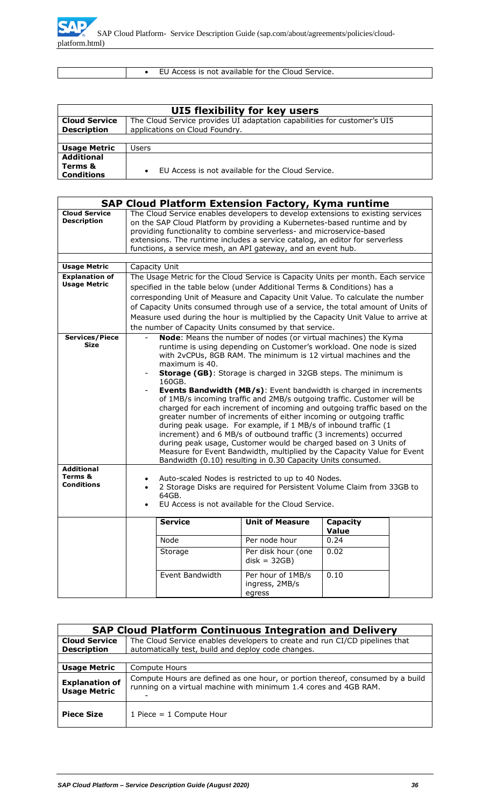

• EU Access is not available for the Cloud Service.

| UI5 flexibility for key users                     |                                                                                                            |  |  |
|---------------------------------------------------|------------------------------------------------------------------------------------------------------------|--|--|
| <b>Cloud Service</b><br><b>Description</b>        | The Cloud Service provides UI adaptation capabilities for customer's UI5<br>applications on Cloud Foundry. |  |  |
|                                                   |                                                                                                            |  |  |
| <b>Usage Metric</b>                               | Users                                                                                                      |  |  |
| <b>Additional</b><br>Terms &<br><b>Conditions</b> | EU Access is not available for the Cloud Service.<br>$\bullet$                                             |  |  |

|                                                   |                                                                                                                                                                                                                                                                                                                                                                                                                                                                                                                                                                                                                                                                                                                                                                                                                                                                                                                                                                              |                 | <b>SAP Cloud Platform Extension Factory, Kyma runtime</b> |                      |  |
|---------------------------------------------------|------------------------------------------------------------------------------------------------------------------------------------------------------------------------------------------------------------------------------------------------------------------------------------------------------------------------------------------------------------------------------------------------------------------------------------------------------------------------------------------------------------------------------------------------------------------------------------------------------------------------------------------------------------------------------------------------------------------------------------------------------------------------------------------------------------------------------------------------------------------------------------------------------------------------------------------------------------------------------|-----------------|-----------------------------------------------------------|----------------------|--|
| <b>Cloud Service</b><br><b>Description</b>        | The Cloud Service enables developers to develop extensions to existing services<br>on the SAP Cloud Platform by providing a Kubernetes-based runtime and by<br>providing functionality to combine serverless- and microservice-based<br>extensions. The runtime includes a service catalog, an editor for serverless<br>functions, a service mesh, an API gateway, and an event hub.                                                                                                                                                                                                                                                                                                                                                                                                                                                                                                                                                                                         |                 |                                                           |                      |  |
|                                                   |                                                                                                                                                                                                                                                                                                                                                                                                                                                                                                                                                                                                                                                                                                                                                                                                                                                                                                                                                                              |                 |                                                           |                      |  |
| <b>Usage Metric</b>                               |                                                                                                                                                                                                                                                                                                                                                                                                                                                                                                                                                                                                                                                                                                                                                                                                                                                                                                                                                                              | Capacity Unit   |                                                           |                      |  |
| <b>Explanation of</b><br><b>Usage Metric</b>      | The Usage Metric for the Cloud Service is Capacity Units per month. Each service<br>specified in the table below (under Additional Terms & Conditions) has a<br>corresponding Unit of Measure and Capacity Unit Value. To calculate the number<br>of Capacity Units consumed through use of a service, the total amount of Units of<br>Measure used during the hour is multiplied by the Capacity Unit Value to arrive at<br>the number of Capacity Units consumed by that service.                                                                                                                                                                                                                                                                                                                                                                                                                                                                                          |                 |                                                           |                      |  |
| <b>Services/Piece</b><br><b>Size</b>              | Node: Means the number of nodes (or virtual machines) the Kyma<br>$\equiv$<br>runtime is using depending on Customer's workload. One node is sized<br>with 2vCPUs, 8GB RAM. The minimum is 12 virtual machines and the<br>maximum is 40.<br>Storage (GB): Storage is charged in 32GB steps. The minimum is<br>160GB.<br>Events Bandwidth (MB/s): Event bandwidth is charged in increments<br>of 1MB/s incoming traffic and 2MB/s outgoing traffic. Customer will be<br>charged for each increment of incoming and outgoing traffic based on the<br>greater number of increments of either incoming or outgoing traffic<br>during peak usage. For example, if 1 MB/s of inbound traffic (1<br>increment) and 6 MB/s of outbound traffic (3 increments) occurred<br>during peak usage, Customer would be charged based on 3 Units of<br>Measure for Event Bandwidth, multiplied by the Capacity Value for Event<br>Bandwidth (0.10) resulting in 0.30 Capacity Units consumed. |                 |                                                           |                      |  |
| <b>Additional</b><br>Terms &<br><b>Conditions</b> | Auto-scaled Nodes is restricted to up to 40 Nodes.<br>2 Storage Disks are required for Persistent Volume Claim from 33GB to<br>64GB.<br>EU Access is not available for the Cloud Service.                                                                                                                                                                                                                                                                                                                                                                                                                                                                                                                                                                                                                                                                                                                                                                                    |                 |                                                           |                      |  |
|                                                   |                                                                                                                                                                                                                                                                                                                                                                                                                                                                                                                                                                                                                                                                                                                                                                                                                                                                                                                                                                              | <b>Service</b>  | <b>Unit of Measure</b>                                    | Capacity             |  |
|                                                   |                                                                                                                                                                                                                                                                                                                                                                                                                                                                                                                                                                                                                                                                                                                                                                                                                                                                                                                                                                              | Node            | Per node hour                                             | <b>Value</b><br>0.24 |  |
|                                                   |                                                                                                                                                                                                                                                                                                                                                                                                                                                                                                                                                                                                                                                                                                                                                                                                                                                                                                                                                                              |                 |                                                           |                      |  |
|                                                   |                                                                                                                                                                                                                                                                                                                                                                                                                                                                                                                                                                                                                                                                                                                                                                                                                                                                                                                                                                              | Storage         | Per disk hour (one<br>$disk = 32GB)$                      | 0.02                 |  |
|                                                   |                                                                                                                                                                                                                                                                                                                                                                                                                                                                                                                                                                                                                                                                                                                                                                                                                                                                                                                                                                              | Event Bandwidth | Per hour of 1MB/s<br>ingress, 2MB/s<br>egress             | 0.10                 |  |

| <b>SAP Cloud Platform Continuous Integration and Delivery</b> |                                                                                                                                                    |  |  |  |
|---------------------------------------------------------------|----------------------------------------------------------------------------------------------------------------------------------------------------|--|--|--|
| <b>Cloud Service</b>                                          | The Cloud Service enables developers to create and run CI/CD pipelines that                                                                        |  |  |  |
| <b>Description</b>                                            | automatically test, build and deploy code changes.                                                                                                 |  |  |  |
|                                                               |                                                                                                                                                    |  |  |  |
| <b>Usage Metric</b>                                           | Compute Hours                                                                                                                                      |  |  |  |
| <b>Explanation of</b><br><b>Usage Metric</b>                  | Compute Hours are defined as one hour, or portion thereof, consumed by a build<br>running on a virtual machine with minimum 1.4 cores and 4GB RAM. |  |  |  |
| <b>Piece Size</b>                                             | 1 Piece $=$ 1 Compute Hour                                                                                                                         |  |  |  |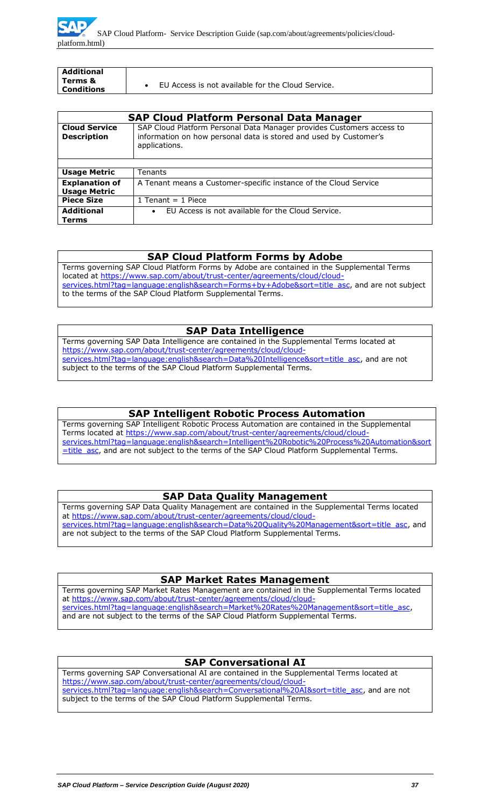

| <b>Additional</b><br>Terms & |                                                   |  |
|------------------------------|---------------------------------------------------|--|
| <b>Conditions</b>            | EU Access is not available for the Cloud Service. |  |

| <b>SAP Cloud Platform Personal Data Manager</b> |                                                                                                                                                             |
|-------------------------------------------------|-------------------------------------------------------------------------------------------------------------------------------------------------------------|
| <b>Cloud Service</b><br><b>Description</b>      | SAP Cloud Platform Personal Data Manager provides Customers access to<br>information on how personal data is stored and used by Customer's<br>applications. |
|                                                 |                                                                                                                                                             |
| <b>Usage Metric</b>                             | Tenants                                                                                                                                                     |
| <b>Explanation of</b><br><b>Usage Metric</b>    | A Tenant means a Customer-specific instance of the Cloud Service                                                                                            |
| <b>Piece Size</b>                               | 1 Tenant $=$ 1 Piece                                                                                                                                        |
| <b>Additional</b><br>Terms                      | EU Access is not available for the Cloud Service.<br>$\bullet$                                                                                              |

#### **SAP Cloud Platform Forms by Adobe**

Terms governing SAP Cloud Platform Forms by Adobe are contained in the Supplemental Terms located at [https://www.sap.com/about/trust-center/agreements/cloud/cloud](https://www.sap.com/about/trust-center/agreements/cloud/cloud-services.html?tag=language:english&search=Forms+by+Adobe&sort=title_asc)[services.html?tag=language:english&search=Forms+by+Adobe&sort=title\\_asc,](https://www.sap.com/about/trust-center/agreements/cloud/cloud-services.html?tag=language:english&search=Forms+by+Adobe&sort=title_asc) and are not subject to the terms of the SAP Cloud Platform Supplemental Terms.

### **SAP Data Intelligence**

Terms governing SAP Data Intelligence are contained in the Supplemental Terms located at [https://www.sap.com/about/trust-center/agreements/cloud/cloud](https://www.sap.com/about/trust-center/agreements/cloud/cloud-services.html?tag=language:english&search=Data%20Intelligence&sort=title_asc)[services.html?tag=language:english&search=Data%20Intelligence&sort=title\\_asc,](https://www.sap.com/about/trust-center/agreements/cloud/cloud-services.html?tag=language:english&search=Data%20Intelligence&sort=title_asc) and are not subject to the terms of the SAP Cloud Platform Supplemental Terms.

## **SAP Intelligent Robotic Process Automation**

Terms governing SAP Intelligent Robotic Process Automation are contained in the Supplemental Terms located at [https://www.sap.com/about/trust-center/agreements/cloud/cloud](https://www.sap.com/about/trust-center/agreements/cloud/cloud-services.html?tag=language:english&search=Intelligent%20Robotic%20Process%20Automation&sort=title_asc)[services.html?tag=language:english&search=Intelligent%20Robotic%20Process%20Automation&sort](https://www.sap.com/about/trust-center/agreements/cloud/cloud-services.html?tag=language:english&search=Intelligent%20Robotic%20Process%20Automation&sort=title_asc) [=title\\_asc,](https://www.sap.com/about/trust-center/agreements/cloud/cloud-services.html?tag=language:english&search=Intelligent%20Robotic%20Process%20Automation&sort=title_asc) and are not subject to the terms of the SAP Cloud Platform Supplemental Terms.

### **SAP Data Quality Management**

Terms governing SAP Data Quality Management are contained in the Supplemental Terms located at [https://www.sap.com/about/trust-center/agreements/cloud/cloud](https://www.sap.com/about/trust-center/agreements/cloud/cloud-services.html?tag=language:english&search=Data%20Quality%20Management&sort=title_asc)[services.html?tag=language:english&search=Data%20Quality%20Management&sort=title\\_asc,](https://www.sap.com/about/trust-center/agreements/cloud/cloud-services.html?tag=language:english&search=Data%20Quality%20Management&sort=title_asc) and are not subject to the terms of the SAP Cloud Platform Supplemental Terms.

#### **SAP Market Rates Management**

Terms governing SAP Market Rates Management are contained in the Supplemental Terms located at [https://www.sap.com/about/trust-center/agreements/cloud/cloud](https://www.sap.com/about/trust-center/agreements/cloud/cloud-services.html?tag=language:english&search=Market%20Rates%20Management&sort=title_asc)[services.html?tag=language:english&search=Market%20Rates%20Management&sort=title\\_asc,](https://www.sap.com/about/trust-center/agreements/cloud/cloud-services.html?tag=language:english&search=Market%20Rates%20Management&sort=title_asc) and are not subject to the terms of the SAP Cloud Platform Supplemental Terms.

### **SAP Conversational AI**

Terms governing SAP Conversational AI are contained in the Supplemental Terms located at [https://www.sap.com/about/trust-center/agreements/cloud/cloud](https://www.sap.com/about/trust-center/agreements/cloud/cloud-services.html?tag=language:english&search=Conversational%20AI&sort=title_asc)[services.html?tag=language:english&search=Conversational%20AI&sort=title\\_asc,](https://www.sap.com/about/trust-center/agreements/cloud/cloud-services.html?tag=language:english&search=Conversational%20AI&sort=title_asc) and are not subject to the terms of the SAP Cloud Platform Supplemental Terms.